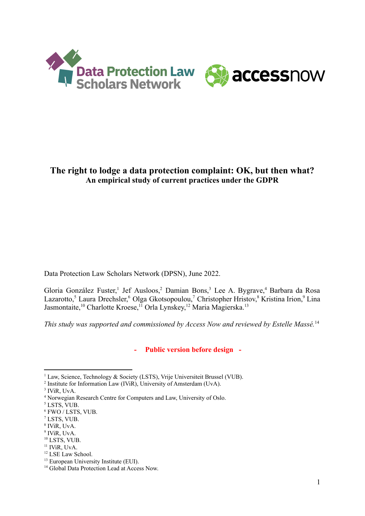



## **The right to lodge a data protection complaint: OK, but then what? An empirical study of current practices under the GDPR**

Data Protection Law Scholars Network (DPSN), June 2022.

Gloria González Fuster,<sup>1</sup> Jef Ausloos,<sup>2</sup> Damian Bons,<sup>3</sup> Lee A. Bygrave,<sup>4</sup> Barbara da Rosa Lazarotto,<sup>5</sup> Laura Drechsler,<sup>6</sup> Olga Gkotsopoulou,<sup>7</sup> Christopher Hristov,<sup>8</sup> Kristina Irion,<sup>9</sup> Lina Jasmontaite,<sup>10</sup> Charlotte Kroese,<sup>11</sup> Orla Lynskey,<sup>12</sup> Maria Magierska.<sup>13</sup>

*This study was supported and commissioned by Access Now and reviewed by Estelle Massé.*<sup>14</sup>

**- Public version before design -**

<sup>10</sup> LSTS, VUB.

<sup>12</sup> LSE Law School.

<sup>&</sup>lt;sup>1</sup> Law, Science, Technology & Society (LSTS), Vrije Universiteit Brussel (VUB).

<sup>&</sup>lt;sup>2</sup> Institute for Information Law (IViR), University of Amsterdam (UvA).

<sup>3</sup> IViR, UvA.

<sup>4</sup> Norwegian Research Centre for Computers and Law, University of Oslo.

<sup>&</sup>lt;sup>5</sup> LSTS, VUB.

<sup>6</sup> FWO / LSTS, VUB.

<sup>7</sup> LSTS, VUB.

<sup>8</sup> IViR, UvA.

<sup>9</sup> IViR, UvA.

<sup>&</sup>lt;sup>11</sup> IViR, UvA.

<sup>&</sup>lt;sup>13</sup> European University Institute (EUI).

<sup>&</sup>lt;sup>14</sup> Global Data Protection Lead at Access Now.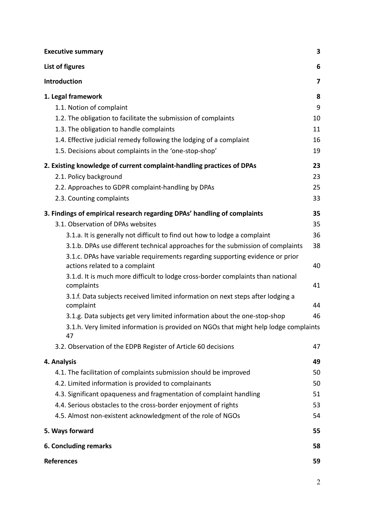| <b>Executive summary</b>                                                                                        | $\overline{\mathbf{3}}$ |
|-----------------------------------------------------------------------------------------------------------------|-------------------------|
| List of figures                                                                                                 | 6                       |
| Introduction                                                                                                    | 7                       |
| 1. Legal framework                                                                                              | 8                       |
| 1.1. Notion of complaint                                                                                        | 9                       |
| 1.2. The obligation to facilitate the submission of complaints                                                  | 10                      |
| 1.3. The obligation to handle complaints                                                                        | 11                      |
| 1.4. Effective judicial remedy following the lodging of a complaint                                             | 16                      |
| 1.5. Decisions about complaints in the 'one-stop-shop'                                                          | 19                      |
| 2. Existing knowledge of current complaint-handling practices of DPAs                                           | 23                      |
| 2.1. Policy background                                                                                          | 23                      |
| 2.2. Approaches to GDPR complaint-handling by DPAs                                                              | 25                      |
| 2.3. Counting complaints                                                                                        | 33                      |
| 3. Findings of empirical research regarding DPAs' handling of complaints                                        | 35                      |
| 3.1. Observation of DPAs websites                                                                               | 35                      |
| 3.1.a. It is generally not difficult to find out how to lodge a complaint                                       | 36                      |
| 3.1.b. DPAs use different technical approaches for the submission of complaints                                 | 38                      |
| 3.1.c. DPAs have variable requirements regarding supporting evidence or prior<br>actions related to a complaint | 40                      |
| 3.1.d. It is much more difficult to lodge cross-border complaints than national<br>complaints                   | 41                      |
| 3.1.f. Data subjects received limited information on next steps after lodging a<br>complaint                    | 44                      |
| 3.1.g. Data subjects get very limited information about the one-stop-shop                                       | 46                      |
| 3.1.h. Very limited information is provided on NGOs that might help lodge complaints<br>47                      |                         |
| 3.2. Observation of the EDPB Register of Article 60 decisions                                                   | 47                      |
| 4. Analysis                                                                                                     | 49                      |
| 4.1. The facilitation of complaints submission should be improved                                               | 50                      |
| 4.2. Limited information is provided to complainants                                                            | 50                      |
| 4.3. Significant opaqueness and fragmentation of complaint handling                                             | 51                      |
| 4.4. Serious obstacles to the cross-border enjoyment of rights                                                  | 53                      |
| 4.5. Almost non-existent acknowledgment of the role of NGOs                                                     | 54                      |
| 5. Ways forward                                                                                                 | 55                      |
| 6. Concluding remarks                                                                                           | 58                      |
| <b>References</b>                                                                                               | 59                      |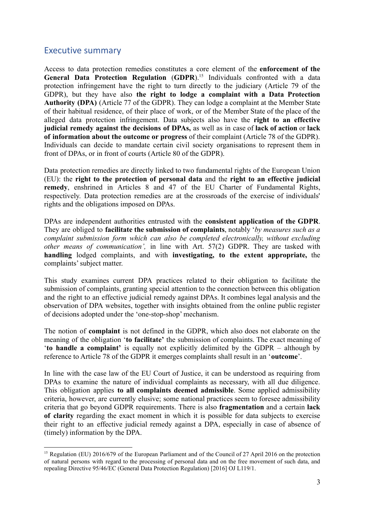### <span id="page-2-0"></span>Executive summary

Access to data protection remedies constitutes a core element of the **enforcement of the General Data Protection Regulation** (**GDPR**).<sup>15</sup> Individuals confronted with a data protection infringement have the right to turn directly to the judiciary (Article 79 of the GDPR), but they have also **the right to lodge a complaint with a Data Protection Authority (DPA)** (Article 77 of the GDPR). They can lodge a complaint at the Member State of their habitual residence, of their place of work, or of the Member State of the place of the alleged data protection infringement. Data subjects also have the **right to an effective judicial remedy against the decisions of DPAs,** as well as in case of **lack of action** or **lack of information about the outcome or progress** of their complaint (Article 78 of the GDPR). Individuals can decide to mandate certain civil society organisations to represent them in front of DPAs, or in front of courts (Article 80 of the GDPR).

Data protection remedies are directly linked to two fundamental rights of the European Union (EU): the **right to the protection of personal data** and the **right to an effective judicial remedy**, enshrined in Articles 8 and 47 of the EU Charter of Fundamental Rights, respectively. Data protection remedies are at the crossroads of the exercise of individuals' rights and the obligations imposed on DPAs.

DPAs are independent authorities entrusted with the **consistent application of the GDPR**. They are obliged to **facilitate the submission of complaints**, notably '*by measures such as a complaint submission form which can also be completed electronically, without excluding other means of communication',* in line with Art. 57(2) GDPR. They are tasked with **handling** lodged complaints, and with **investigating, to the extent appropriate,** the complaints' subject matter.

This study examines current DPA practices related to their obligation to facilitate the submission of complaints, granting special attention to the connection between this obligation and the right to an effective judicial remedy against DPAs. It combines legal analysis and the observation of DPA websites, together with insights obtained from the online public register of decisions adopted under the 'one-stop-shop' mechanism.

The notion of **complaint** is not defined in the GDPR, which also does not elaborate on the meaning of the obligation '**to facilitate'** the submission of complaints. The exact meaning of '**to handle a complaint'** is equally not explicitly delimited by the GDPR – although by reference to Article 78 of the GDPR it emerges complaints shall result in an '**outcome**'.

In line with the case law of the EU Court of Justice, it can be understood as requiring from DPAs to examine the nature of individual complaints as necessary, with all due diligence. This obligation applies **to all complaints deemed admissible**. Some applied admissibility criteria, however, are currently elusive; some national practices seem to foresee admissibility criteria that go beyond GDPR requirements. There is also **fragmentation** and a certain **lack of clarity** regarding the exact moment in which it is possible for data subjects to exercise their right to an effective judicial remedy against a DPA, especially in case of absence of (timely) information by the DPA.

<sup>&</sup>lt;sup>15</sup> Regulation (EU) 2016/679 of the European Parliament and of the Council of 27 April 2016 on the protection of natural persons with regard to the processing of personal data and on the free movement of such data, and repealing Directive 95/46/EC (General Data Protection Regulation) [2016] OJ L119/1.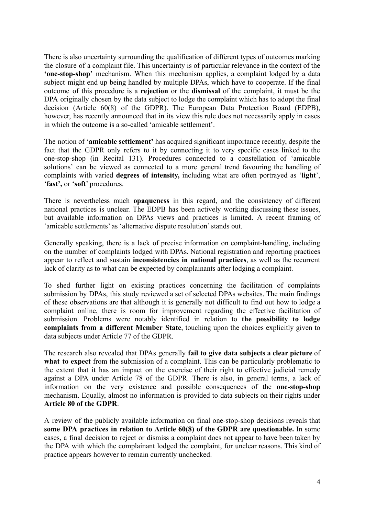There is also uncertainty surrounding the qualification of different types of outcomes marking the closure of a complaint file. This uncertainty is of particular relevance in the context of the **'one-stop-shop'** mechanism. When this mechanism applies, a complaint lodged by a data subject might end up being handled by multiple DPAs, which have to cooperate. If the final outcome of this procedure is a **rejection** or the **dismissal** of the complaint, it must be the DPA originally chosen by the data subject to lodge the complaint which has to adopt the final decision (Article 60(8) of the GDPR). The European Data Protection Board (EDPB), however, has recently announced that in its view this rule does not necessarily apply in cases in which the outcome is a so-called 'amicable settlement'.

The notion of '**amicable settlement'** has acquired significant importance recently, despite the fact that the GDPR only refers to it by connecting it to very specific cases linked to the one-stop-shop (in Recital 131). Procedures connected to a constellation of 'amicable solutions' can be viewed as connected to a more general trend favouring the handling of complaints with varied **degrees of intensity,** including what are often portrayed as '**light**', '**fast',** or '**soft**' procedures.

There is nevertheless much **opaqueness** in this regard, and the consistency of different national practices is unclear. The EDPB has been actively working discussing these issues, but available information on DPAs views and practices is limited. A recent framing of 'amicable settlements' as 'alternative dispute resolution' stands out.

Generally speaking, there is a lack of precise information on complaint-handling, including on the number of complaints lodged with DPAs. National registration and reporting practices appear to reflect and sustain **inconsistencies in national practices**, as well as the recurrent lack of clarity as to what can be expected by complainants after lodging a complaint.

To shed further light on existing practices concerning the facilitation of complaints submission by DPAs, this study reviewed a set of selected DPAs websites. The main findings of these observations are that although it is generally not difficult to find out how to lodge a complaint online, there is room for improvement regarding the effective facilitation of submission. Problems were notably identified in relation to **the possibility to lodge complaints from a different Member State**, touching upon the choices explicitly given to data subjects under Article 77 of the GDPR.

The research also revealed that DPAs generally **fail to give data subjects a clear picture** of **what to expect** from the submission of a complaint. This can be particularly problematic to the extent that it has an impact on the exercise of their right to effective judicial remedy against a DPA under Article 78 of the GDPR. There is also, in general terms, a lack of information on the very existence and possible consequences of the **one-stop-shop** mechanism. Equally, almost no information is provided to data subjects on their rights under **Article 80 of the GDPR**.

A review of the publicly available information on final one-stop-shop decisions reveals that **some DPA practices in relation to Article 60(8) of the GDPR are questionable.** In some cases, a final decision to reject or dismiss a complaint does not appear to have been taken by the DPA with which the complainant lodged the complaint, for unclear reasons. This kind of practice appears however to remain currently unchecked.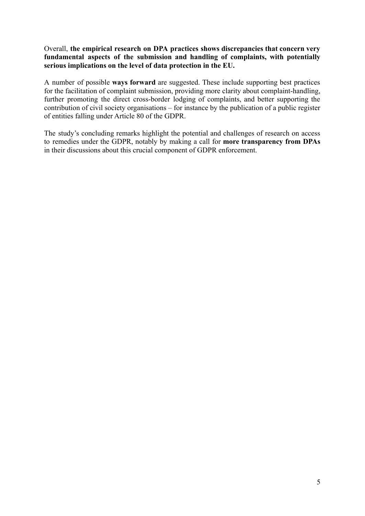#### Overall, **the empirical research on DPA practices shows discrepancies that concern very fundamental aspects of the submission and handling of complaints, with potentially serious implications on the level of data protection in the EU.**

A number of possible **ways forward** are suggested. These include supporting best practices for the facilitation of complaint submission, providing more clarity about complaint-handling, further promoting the direct cross-border lodging of complaints, and better supporting the contribution of civil society organisations – for instance by the publication of a public register of entities falling under Article 80 of the GDPR.

The study's concluding remarks highlight the potential and challenges of research on access to remedies under the GDPR, notably by making a call for **more transparency from DPAs** in their discussions about this crucial component of GDPR enforcement.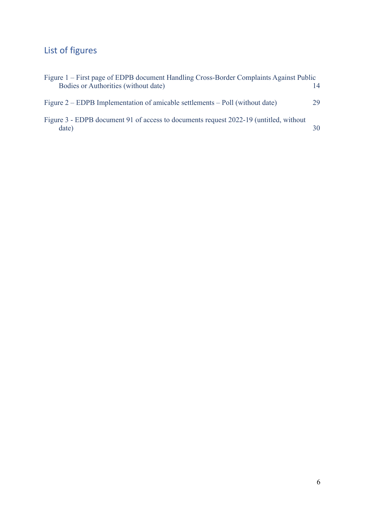# <span id="page-5-0"></span>List of figures

| Figure 1 – First page of EDPB document Handling Cross-Border Complaints Against Public |    |
|----------------------------------------------------------------------------------------|----|
| Bodies or Authorities (without date)                                                   | 14 |
|                                                                                        |    |
| Figure $2 - EDPB$ Implementation of amicable settlements $-$ Poll (without date)       | 29 |
|                                                                                        |    |
| Figure 3 - EDPB document 91 of access to documents request 2022-19 (untitled, without  |    |
| date)                                                                                  | 30 |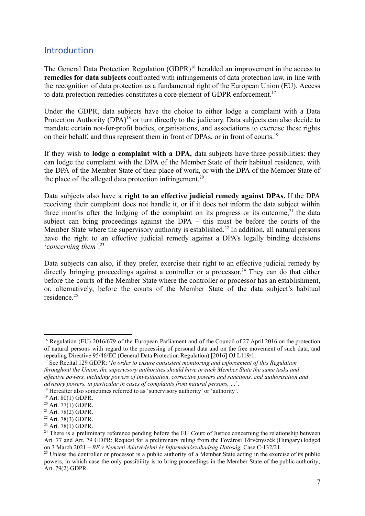### <span id="page-6-0"></span>Introduction

The General Data Protection Regulation (GDPR)<sup>16</sup> heralded an improvement in the access to **remedies for data subjects** confronted with infringements of data protection law, in line with the recognition of data protection as a fundamental right of the European Union (EU). Access to data protection remedies constitutes a core element of GDPR enforcement.<sup>17</sup>

Under the GDPR, data subjects have the choice to either lodge a complaint with a Data Protection Authority (DPA)<sup>18</sup> or turn directly to the judiciary. Data subjects can also decide to mandate certain not-for-profit bodies, organisations, and associations to exercise these rights on their behalf, and thus represent them in front of DPAs, or in front of courts.<sup>19</sup>

If they wish to **lodge a complaint with a DPA,** data subjects have three possibilities: they can lodge the complaint with the DPA of the Member State of their habitual residence, with the DPA of the Member State of their place of work, or with the DPA of the Member State of the place of the alleged data protection infringement.<sup>20</sup>

Data subjects also have a **right to an effective judicial remedy against DPAs.** If the DPA receiving their complaint does not handle it, or if it does not inform the data subject within three months after the lodging of the complaint on its progress or its outcome,<sup>21</sup> the data subject can bring proceedings against the DPA – this must be before the courts of the Member State where the supervisory authority is established.<sup>22</sup> In addition, all natural persons have the right to an effective judicial remedy against a DPA's legally binding decisions '*concerning them'*. 23

Data subjects can also, if they prefer, exercise their right to an effective judicial remedy by directly bringing proceedings against a controller or a processor.<sup>24</sup> They can do that either before the courts of the Member State where the controller or processor has an establishment, or, alternatively, before the courts of the Member State of the data subject's habitual residence<sup>25</sup>

<sup>&</sup>lt;sup>16</sup> Regulation (EU) 2016/679 of the European Parliament and of the Council of 27 April 2016 on the protection of natural persons with regard to the processing of personal data and on the free movement of such data, and repealing Directive 95/46/EC (General Data Protection Regulation) [2016] OJ L119/1.

<sup>17</sup> See Recital 129 GDPR: '*In order to ensure consistent monitoring and enforcement of this Regulation throughout the Union, the supervisory authorities should have in each Member State the same tasks and ef ective powers, including powers of investigation, corrective powers and sanctions, and authorisation and advisory powers, in particular in cases of complaints from natural persons, …*'.

<sup>&</sup>lt;sup>18</sup> Hereafter also sometimes referred to as 'supervisory authority' or 'authority'.

<sup>19</sup> Art. 80(1) GDPR.

 $20$  Art. 77(1) GDPR.

 $21$  Art. 78(2) GDPR.

 $22$  Art. 78(3) GDPR.

<sup>&</sup>lt;sup>23</sup> Art. 78(1) GDPR.

<sup>&</sup>lt;sup>24</sup> There is a preliminary reference pending before the EU Court of Justice concerning the relationship between Art. 77 and Art. 79 GDPR: Request for a preliminary ruling from the Fővárosi Törvényszék (Hungary) lodged on 3 March 2021 – *BE v Nemzeti Adatvédelmi és Információszabadság Hatóság,* Case C-132/21.

<sup>&</sup>lt;sup>25</sup> Unless the controller or processor is a public authority of a Member State acting in the exercise of its public powers, in which case the only possibility is to bring proceedings in the Member State of the public authority; Art. 79(2) GDPR.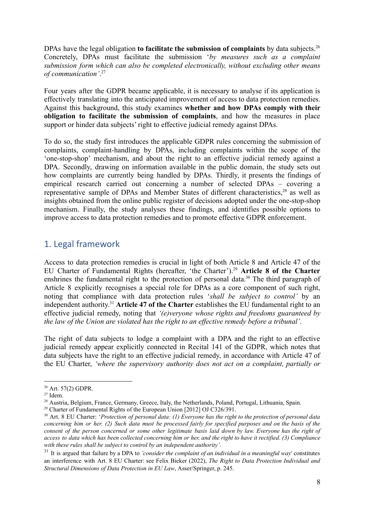DPAs have the legal obligation **to facilitate the submission of complaints** by data subjects.<sup>26</sup> Concretely, DPAs must facilitate the submission '*by measures such as a complaint submission form which can also be completed electronically, without excluding other means of communication'*. 27

Four years after the GDPR became applicable, it is necessary to analyse if its application is effectively translating into the anticipated improvement of access to data protection remedies. Against this background, this study examines **whether and how DPAs comply with their obligation to facilitate the submission of complaints**, and how the measures in place support or hinder data subjects' right to effective judicial remedy against DPAs.

To do so, the study first introduces the applicable GDPR rules concerning the submission of complaints, complaint-handling by DPAs, including complaints within the scope of the 'one-stop-shop' mechanism, and about the right to an effective judicial remedy against a DPA. Secondly, drawing on information available in the public domain, the study sets out how complaints are currently being handled by DPAs. Thirdly, it presents the findings of empirical research carried out concerning a number of selected DPAs – covering a representative sample of DPAs and Member States of different characteristics,<sup>28</sup> as well as insights obtained from the online public register of decisions adopted under the one-stop-shop mechanism. Finally, the study analyses these findings, and identifies possible options to improve access to data protection remedies and to promote effective GDPR enforcement.

### <span id="page-7-0"></span>1. Legal framework

Access to data protection remedies is crucial in light of both Article 8 and Article 47 of the EU Charter of Fundamental Rights (hereafter, 'the Charter').<sup>29</sup> **Article 8 of the Charter** enshrines the fundamental right to the protection of personal data.<sup>30</sup> The third paragraph of Article 8 explicitly recognises a special role for DPAs as a core component of such right, noting that compliance with data protection rules '*shall be subject to control'* by an independent authority. <sup>31</sup> **Article 47 of the Charter** establishes the EU fundamental right to an effective judicial remedy, noting that *'(e)veryone whose rights and freedoms guaranteed by the law of the Union are violated has the right to an effective remedy before a tribunal'.*

The right of data subjects to lodge a complaint with a DPA and the right to an effective judicial remedy appear explicitly connected in Recital 141 of the GDPR, which notes that data subjects have the right to an effective judicial remedy, in accordance with Article 47 of the EU Charter, *'where the supervisory authority does not act on a complaint, partially or*

<sup>26</sup> Art. 57(2) GDPR.

 $27$  Idem.

<sup>&</sup>lt;sup>28</sup> Austria, Belgium, France, Germany, Greece, Italy, the Netherlands, Poland, Portugal, Lithuania, Spain.

<sup>&</sup>lt;sup>29</sup> Charter of Fundamental Rights of the European Union [2012] OJ C326/391.

<sup>30</sup> Art. 8 EU Charter: '*Protection of personal data: (1) Everyone has the right to the protection of personal data* concerning him or her. (2) Such data must be processed fairly for specified purposes and on the basis of the consent of the person concerned or some other legitimate basis laid down by law. Everyone has the right of access to data which has been collected concerning him or her, and the right to have it rectified. (3) Compliance *with these rules shall be subject to control by an independent authority'*.

<sup>31</sup> It is argued that failure by a DPA to *'consider the complaint of an individual in a meaningful way'* constitutes an interference with Art. 8 EU Charter: see Felix Bieker (2022), *The Right to Data Protection Individual and Structural Dimensions of Data Protection in EU Law*, Asser/Springer, p. 245.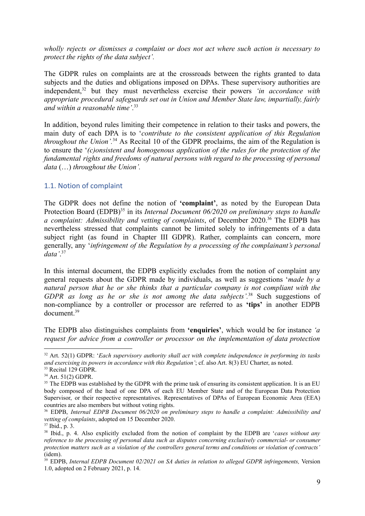*wholly rejects or dismisses a complaint or does not act where such action is necessary to protect the rights of the data subject'.*

The GDPR rules on complaints are at the crossroads between the rights granted to data subjects and the duties and obligations imposed on DPAs. These supervisory authorities are independent,<sup>32</sup> but they must nevertheless exercise their powers *'in accordance with appropriate procedural safeguards set out in Union and Member State law, impartially, fairly and within a reasonable time'*. 33

In addition, beyond rules limiting their competence in relation to their tasks and powers, the main duty of each DPA is to '*contribute to the consistent application of this Regulation throughout the Union'.*<sup>34</sup> As Recital 10 of the GDPR proclaims, the aim of the Regulation is to ensure the '*(c)onsistent and homogenous application of the rules for the protection of the fundamental rights and freedoms of natural persons with regard to the processing of personal data* (…) *throughout the Union'.*

#### <span id="page-8-0"></span>1.1. Notion of complaint

The GDPR does not define the notion of **'complaint'**, as noted by the European Data Protection Board (EDPB)<sup>35</sup> in its *Internal Document* 06/2020 *on preliminary steps to handle a complaint: Admissibility and vetting of complaints*, of December 2020.<sup>36</sup> The EDPB has nevertheless stressed that complaints cannot be limited solely to infringements of a data subject right (as found in Chapter III GDPR). Rather, complaints can concern, more generally, any '*infringement of the Regulation by a processing of the complainant's personal data'*. 37

In this internal document, the EDPB explicitly excludes from the notion of complaint any general requests about the GDPR made by individuals, as well as suggestions '*made by a natural person that he or she thinks that a particular company is not compliant with the GDPR as long as he or she is not among the data subjects'.*<sup>38</sup> Such suggestions of non-compliance by a controller or processor are referred to as **'tips'** in another EDPB document.<sup>39</sup>

The EDPB also distinguishes complaints from **'enquiries'**, which would be for instance *'a request for advice from a controller or processor on the implementation of data protection*

<sup>32</sup> Art. 52(1) GDPR: '*Each supervisory authority shall act with complete independence in performing its tasks and exercising its powers in accordance with this Regulation'*; cf. also Art. 8(3) EU Charter, as noted.

<sup>&</sup>lt;sup>33</sup> Recital 129 GDPR.

<sup>34</sup> Art. 51(2) GDPR.

<sup>&</sup>lt;sup>35</sup> The EDPB was established by the GDPR with the prime task of ensuring its consistent application. It is an EU body composed of the head of one DPA of each EU Member State and of the European Data Protection Supervisor, or their respective representatives. Representatives of DPAs of European Economic Area (EEA) countries are also members but without voting rights.

<sup>36</sup> EDPB, *Internal EDPB Document 06/2020 on preliminary steps to handle a complaint: Admissibility and vetting of complaints*, adopted on 15 December 2020.

<sup>37</sup> Ibid., p. 3.

<sup>38</sup> Ibid., p. 4. Also explicitly excluded from the notion of complaint by the EDPB are '*cases without any reference to the processing of personal data such as disputes concerning exclusively commercial- or consumer* protection matters such as a violation of the controllers general terms and conditions or violation of contracts' (idem).

<sup>39</sup> EDPB, *Internal EDPB Document 02/2021 on SA duties in relation to alleged GDPR infringements,* Version 1.0, adopted on 2 February 2021, p. 14.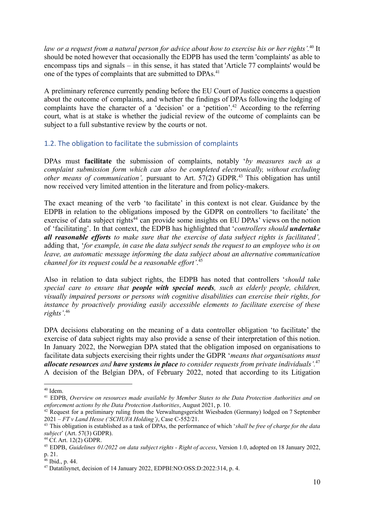*law or a request from a natural person for advice about how to exercise his or her rights'.*<sup>40</sup> It should be noted however that occasionally the EDPB has used the term 'complaints' as able to encompass tips and signals – in this sense, it has stated that 'Article 77 complaints' would be one of the types of complaints that are submitted to DPAs.<sup>41</sup>

A preliminary reference currently pending before the EU Court of Justice concerns a question about the outcome of complaints, and whether the findings of DPAs following the lodging of complaints have the character of a 'decision' or a 'petition'.<sup>42</sup> According to the referring court, what is at stake is whether the judicial review of the outcome of complaints can be subject to a full substantive review by the courts or not.

#### <span id="page-9-0"></span>1.2. The obligation to facilitate the submission of complaints

DPAs must **facilitate** the submission of complaints, notably '*by measures such as a complaint submission form which can also be completed electronically, without excluding other means of communication',* pursuant to Art. 57(2) GDPR.<sup>43</sup> This obligation has until now received very limited attention in the literature and from policy-makers.

The exact meaning of the verb 'to facilitate' in this context is not clear. Guidance by the EDPB in relation to the obligations imposed by the GDPR on controllers 'to facilitate' the exercise of data subject rights<sup>44</sup> can provide some insights on EU DPAs' views on the notion of 'facilitating'. In that context, the EDPB has highlighted that '*controllers should undertake all reasonable efforts to make sure that the exercise of data subject rights is facilitated',* adding that, '*for example, in case the data subject sends the request to an employee who is on leave, an automatic message informing the data subject about an alternative communication channel for its request could be a reasonable effort'*. 45

Also in relation to data subject rights, the EDPB has noted that controllers '*should take special care to ensure that people with special needs, such as elderly people, children, visually impaired persons or persons with cognitive disabilities can exercise their rights, for instance by proactively providing easily accessible elements to facilitate exercise of these rights'*. 46

DPA decisions elaborating on the meaning of a data controller obligation 'to facilitate' the exercise of data subject rights may also provide a sense of their interpretation of this notion. In January 2022, the Norwegian DPA stated that the obligation imposed on organisations to facilitate data subjects exercising their rights under the GDPR '*means that organisations must allocate resources and have systems in place to consider requests from private individuals'.*<sup>47</sup> A decision of the Belgian DPA, of February 2022, noted that according to its Litigation

<sup>40</sup> Idem.

<sup>41</sup> EDPB, *Overview on resources made available by Member States to the Data Protection Authorities and on enforcement actions by the Data Protection Authorities*, August 2021, p. 10.

<sup>&</sup>lt;sup>42</sup> Request for a preliminary ruling from the Verwaltungsgericht Wiesbaden (Germany) lodged on 7 September 2021 – *FT v Land Hesse ('SCHUFA Holding')*, Case C-552/21.

<sup>43</sup> This obligation is established as a task of DPAs, the performance of which '*shall be free of charge for the data subject*' (Art. 57(3) GDPR).

<sup>44</sup> Cf. Art. 12(2) GDPR.

<sup>45</sup> EDPB, *Guidelines 01/2022 on data subject rights - Right of access*, Version 1.0, adopted on 18 January 2022, p. 21.

<sup>46</sup> Ibid., p. 44.

<sup>47</sup> Datatilsynet, decision of 14 January 2022, EDPBI:NO:OSS:D:2022:314, p. 4.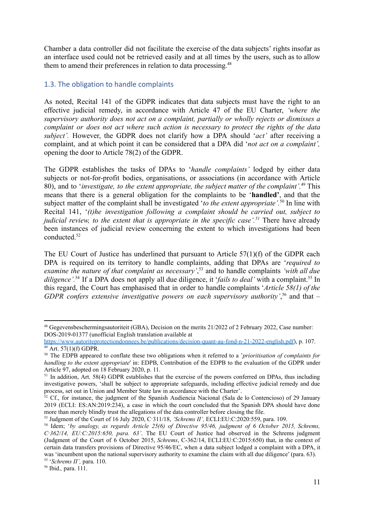Chamber a data controller did not facilitate the exercise of the data subjects' rights insofar as an interface used could not be retrieved easily and at all times by the users, such as to allow them to amend their preferences in relation to data processing.<sup>48</sup>

#### <span id="page-10-0"></span>1.3. The obligation to handle complaints

As noted, Recital 141 of the GDPR indicates that data subjects must have the right to an effective judicial remedy, in accordance with Article 47 of the EU Charter, *'where the supervisory authority does not act on a complaint, partially or wholly rejects or dismisses a complaint or does not act where such action is necessary to protect the rights of the data subject'.* However, the GDPR does not clarify how a DPA should '*act'* after receiving a complaint, and at which point it can be considered that a DPA did '*not act on a complaint',* opening the door to Article 78(2) of the GDPR.

The GDPR establishes the tasks of DPAs to '*handle complaints'* lodged by either data subjects or not-for-profit bodies, organisations, or associations (in accordance with Article 80), and to '*investigate, to the extent appropriate, the subject matter of the complaint'.*<sup>49</sup> This means that there is a general obligation for the complaints to be '**handled'**, and that the subject matter of the complaint shall be investigated '*to the extent appropriate'.*<sup>50</sup> In line with Recital 141, '*(t)he investigation following a complaint should be carried out, subject to judicial review, to the extent that is appropriate in the specific case'.<sup>51</sup>* There have already been instances of judicial review concerning the extent to which investigations had been conducted<sup>52</sup>

The EU Court of Justice has underlined that pursuant to Article 57(1)(f) of the GDPR each DPA is required on its territory to handle complaints, adding that DPAs are '*required to examine the nature of that complaint as necessary'*, <sup>53</sup> and to handle complaints *'with all due* diligence'.<sup>54</sup> If a DPA does not apply all due diligence, it '*fails to deal'* with a complaint.<sup>55</sup> In this regard, the Court has emphasised that in order to handle complaints '*Article 58(1) of the GDPR confers extensive investigative powers on each supervisory authority'*, <sup>56</sup> and that –

55 '*Schrems II',* para. 110.

<sup>48</sup> Gegevensbeschermingsautoriteit (GBA), Decision on the merits 21/2022 of 2 February 2022, Case number: DOS-2019-01377 (unofficial English translation available at

 $49$  Art. 57(1)(f) GDPR. [https://www.autoriteprotectiondonnees.be/publications/decision-quant-au-fond-n-21-2022-english.pdf\)](https://www.autoriteprotectiondonnees.be/publications/decision-quant-au-fond-n-21-2022-english.pdf), p. 107.

<sup>50</sup> The EDPB appeared to conflate these two obligations when it referred to a '*prioritisation of complaints for handling to the extent appropriate*' in: EDPB, Contribution of the EDPB to the evaluation of the GDPR under Article 97, adopted on 18 February 2020, p. 11.

<sup>&</sup>lt;sup>51</sup> In addition, Art. 58(4) GDPR establishes that the exercise of the powers conferred on DPAs, thus including investigative powers, 'shall be subject to appropriate safeguards, including effective judicial remedy and due process, set out in Union and Member State law in accordance with the Charter'.

 $52$  Cf., for instance, the judgment of the Spanish Audiencia Nacional (Sala de lo Contencioso) of 29 January 2019 (ECLI: ES:AN:2019:234), a case in which the court concluded that the Spanish DPA should have done more than merely blindly trust the allegations of the data controller before closing the file.

<sup>53</sup> Judgment of the Court of 16 July 2020, C‑311/18, *'Schrems II',* ECLI:EU:C:2020:559, para. 109.

<sup>54</sup> Idem; '*by analogy, as regards Article 25(6) of Directive 95/46, judgment of 6 October 2015, Schrems, C*‑*362/14, EU:C:2015:650, para. 63'*. The EU Court of Justice had observed in the Schrems judgment (Judgment of the Court of 6 October 2015, *Schrems*, C-362/14, ECLI:EU:C:2015:650) that, in the context of certain data transfers provisions of Directive 95/46/EC, when a data subject lodged a complaint with a DPA, it was 'incumbent upon the national supervisory authority to examine the claim with all due diligence' (para. 63).

<sup>56</sup> Ibid.*,* para. 111.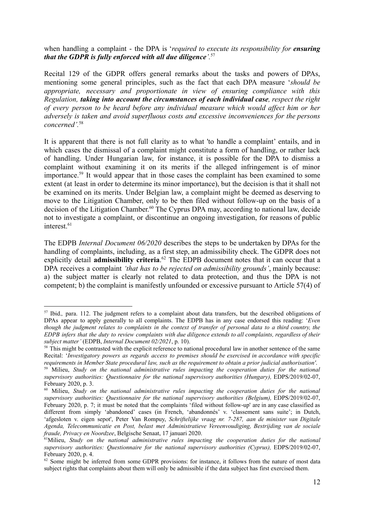when handling a complaint - the DPA is '*required to execute its responsibility for ensuring that the GDPR is fully enforced with all due diligence'.*<sup>57</sup>

Recital 129 of the GDPR offers general remarks about the tasks and powers of DPAs, mentioning some general principles, such as the fact that each DPA measure '*should be appropriate, necessary and proportionate in view of ensuring compliance with this Regulation, taking into account the circumstances of each individual case, respect the right of every person to be heard before any individual measure which would affect him or her adversely is taken and avoid superfluous costs and excessive inconveniences for the persons concerned'.*<sup>58</sup>

It is apparent that there is not full clarity as to what 'to handle a complaint' entails, and in which cases the dismissal of a complaint might constitute a form of handling, or rather lack of handling. Under Hungarian law, for instance, it is possible for the DPA to dismiss a complaint without examining it on its merits if the alleged infringement is of minor importance.<sup>59</sup> It would appear that in those cases the complaint has been examined to some extent (at least in order to determine its minor importance), but the decision is that it shall not be examined on its merits. Under Belgian law, a complaint might be deemed as deserving to move to the Litigation Chamber, only to be then filed without follow-up on the basis of a decision of the Litigation Chamber. <sup>60</sup> The Cyprus DPA may, according to national law, decide not to investigate a complaint, or discontinue an ongoing investigation, for reasons of public interest $61$ 

The EDPB *Internal Document 06/2020* describes the steps to be undertaken by DPAs for the handling of complaints, including, as a first step, an admissibility check. The GDPR does not explicitly detail **admissibility criteria**. <sup>62</sup> The EDPB document notes that it can occur that a DPA receives a complaint *'that has to be rejected on admissibility grounds'*, mainly because: a) the subject matter is clearly not related to data protection, and thus the DPA is not competent; b) the complaint is manifestly unfounded or excessive pursuant to Article 57(4) of

<sup>&</sup>lt;sup>57</sup> Ibid., para. 112. The judgment refers to a complaint about data transfers, but the described obligations of DPAs appear to apply generally to all complaints. The EDPB has in any case endorsed this reading: '*Even* though the judgment relates to complaints in the context of transfer of personal data to a third country, the EDPB infers that the duty to review complaints with due diligence extends to all complaints, regardless of their *subject matter'* (EDPB, *Internal Document 02/2021*, p. 10).

<sup>&</sup>lt;sup>58</sup> This might be contrasted with the explicit reference to national procedural law in another sentence of the same Recital: '*Investigatory powers as regards access to premises should be exercised in accordance with specific requirements in Member State procedural law, such as the requirement to obtain a prior judicial authorisation'*.

<sup>59</sup> Milieu, *Study on the national administrative rules impacting the cooperation duties for the national supervisory authorities: Questionnaire for the national supervisory authorities (Hungary),* EDPS/2019/02-07, February 2020, p. 3.

<sup>60</sup> Milieu, *Study on the national administrative rules impacting the cooperation duties for the national supervisory authorities: Questionnaire for the national supervisory authorities (Belgium),* EDPS/2019/02-07, February 2020, p. 7; it must be noted that the complaints 'filed without follow-up' are in any case classified as different from simply 'abandoned' cases (in French, 'abandonnés' v. 'classement sans suite'; in Dutch, 'afgesloten v. eigen sepot', Peter Van Rompuy, *Schriftelijke vraag nr. 7-287, aan de minister van Digitale Agenda, Telecommunicatie en Post, belast met Administratieve Vereenvoudiging, Bestrijding van de sociale fraude, Privacy en Noordzee*, Belgische Senaat, 17 januari 2020.

<sup>61</sup>Milieu, *Study on the national administrative rules impacting the cooperation duties for the national supervisory authorities: Questionnaire for the national supervisory authorities (Cyprus),* EDPS/2019/02-07, February 2020, p. 4.

 $62$  Some might be inferred from some GDPR provisions: for instance, it follows from the nature of most data subject rights that complaints about them will only be admissible if the data subject has first exercised them.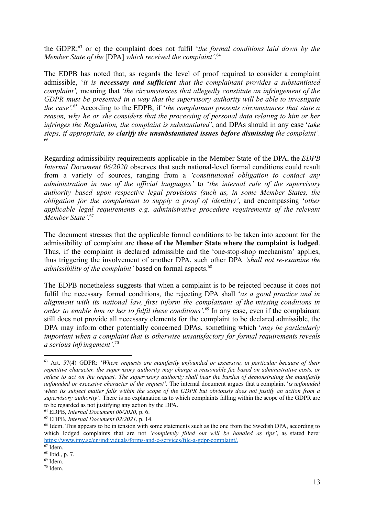the GDPR;<sup>63</sup> or c) the complaint does not fulfil '*the formal conditions laid down by the Member State of the* [DPA] *which received the complaint'*. 64

The EDPB has noted that, as regards the level of proof required to consider a complaint admissible, '*it is necessary and sufficient that the complainant provides a substantiated complaint',* meaning that *'the circumstances that allegedly constitute an infringement of the GDPR must be presented in a way that the supervisory authority will be able to investigate the case'.*<sup>65</sup> According to the EDPB, if '*the complainant presents circumstances that state a reason, why he or she considers that the processing of personal data relating to him or her infringes the Regulation, the complaint is substantiated'*, and DPAs should in any case '*take steps, if appropriate, to clarify the unsubstantiated issues before dismissing the complaint'.* 66

Regarding admissibility requirements applicable in the Member State of the DPA, the *EDPB Internal Document 06/2020* observes that such national-level formal conditions could result from a variety of sources, ranging from a *'constitutional obligation to contact any administration in one of the official languages'* to '*the internal rule of the supervisory authority based upon respective legal provisions (such as, in some Member States, the obligation for the complainant to supply a proof of identity)'*, and encompassing '*other applicable legal requirements e.g. administrative procedure requirements of the relevant Member State'*. 67

The document stresses that the applicable formal conditions to be taken into account for the admissibility of complaint are **those of the Member State where the complaint is lodged**. Thus, if the complaint is declared admissible and the 'one-stop-shop mechanism' applies, thus triggering the involvement of another DPA, such other DPA *'shall not re-examine the admissibility of the complaint'* based on formal aspects.<sup>68</sup>

The EDPB nonetheless suggests that when a complaint is to be rejected because it does not fulfil the necessary formal conditions, the rejecting DPA shall '*as a good practice and in alignment with its national law, first inform the complainant of the missing conditions in order to enable him or her to fulfil these conditions'.*<sup>69</sup> In any case, even if the complainant still does not provide all necessary elements for the complaint to be declared admissible, the DPA may inform other potentially concerned DPAs, something which '*may be particularly important when a complaint that is otherwise unsatisfactory for formal requirements reveals a serious infringement'.*<sup>70</sup>

<sup>63</sup> Art. 57(4) GDPR: '*Where requests are manifestly unfounded or excessive, in particular because of their repetitive character, the supervisory authority may charge a reasonable fee based on administrative costs, or* refuse to act on the request. The supervisory authority shall bear the burden of demonstrating the manifestly *unfounded or excessive character of the request'*. The internal document argues that a complaint '*is unfounded* when its subject matter falls within the scope of the GDPR but obviously does not justify an action from a *supervisory authority*'. There is no explanation as to which complaints falling within the scope of the GDPR are to be regarded as not justifying any action by the DPA.

<sup>64</sup> EDPB, *Internal Document 06/2020*, p. 6.

<sup>65</sup> EDPB, *Internal Document 02/2021*, p. 14.

<sup>&</sup>lt;sup>66</sup> Idem. This appears to be in tension with some statements such as the one from the Swedish DPA, according to which lodged complaints that are not *'completely filled out will be handled as tips'*, as stated here: [https://www.imy.se/en/individuals/forms-and-e-services/file-a-gdpr-complaint/.](https://www.imy.se/en/individuals/forms-and-e-services/file-a-gdpr-complaint/)

 $67$  Idem.

 $69$  Idem<sup>3</sup> <sup>68</sup> Ibid., p. 7.

<sup>70</sup> Idem.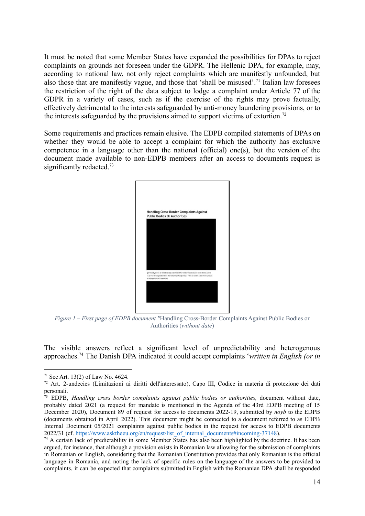It must be noted that some Member States have expanded the possibilities for DPAs to reject complaints on grounds not foreseen under the GDPR. The Hellenic DPA, for example, may, according to national law, not only reject complaints which are manifestly unfounded, but also those that are manifestly vague, and those that 'shall be misused'.<sup>71</sup> Italian law foresees the restriction of the right of the data subject to lodge a complaint under Article 77 of the GDPR in a variety of cases, such as if the exercise of the rights may prove factually, effectively detrimental to the interests safeguarded by anti-money laundering provisions, or to the interests safeguarded by the provisions aimed to support victims of extortion.<sup>72</sup>

Some requirements and practices remain elusive. The EDPB compiled statements of DPAs on whether they would be able to accept a complaint for which the authority has exclusive competence in a language other than the national (official) one(s), but the version of the document made available to non-EDPB members after an access to documents request is significantly redacted.<sup>73</sup>



<span id="page-13-0"></span>*Figure 1 – First page of EDPB document ''*Handling Cross-Border Complaints Against Public Bodies or Authorities (*without date*)

The visible answers reflect a significant level of unpredictability and heterogenous approaches.<sup>74</sup> The Danish DPA indicated it could accept complaints '*written in English (or in*

<sup>&</sup>lt;sup>71</sup> See Art. 13(2) of Law No. 4624.

<sup>72</sup> Art. 2-undecies (Limitazioni ai diritti dell'interessato), Capo III, Codice in materia di protezione dei dati personali.

<sup>73</sup> EDPB, *Handling cross border complaints against public bodies or authorities,* document without date, probably dated 2021 (a request for mandate is mentioned in the Agenda of the 43rd EDPB meeting of 15 December 2020), Document 89 of request for access to documents 2022-19, submitted by *noyb* to the EDPB (documents obtained in April 2022). This document might be connected to a document referred to as EDPB Internal Document 05/2021 complaints against public bodies in the request for access to EDPB documents 2022/31 (cf. [https://www.asktheeu.org/en/request/list\\_of\\_internal\\_documents#incoming-37148](https://www.asktheeu.org/en/request/list_of_internal_documents#incoming-37148)).

<sup>&</sup>lt;sup>74</sup> A certain lack of predictability in some Member States has also been highlighted by the doctrine. It has been argued, for instance, that although a provision exists in Romanian law allowing for the submission of complaints in Romanian or English, considering that the Romanian Constitution provides that only Romanian is the official language in Romania, and noting the lack of specific rules on the language of the answers to be provided to complaints, it can be expected that complaints submitted in English with the Romanian DPA shall be responded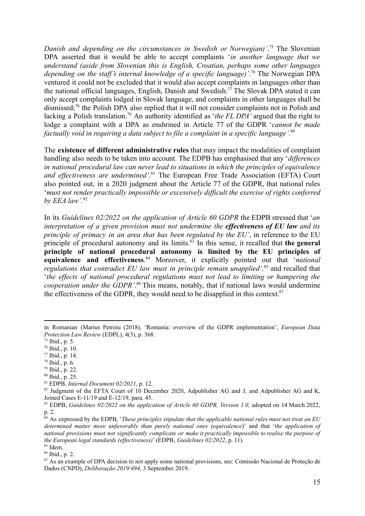*Danish and depending on the circumstances in Swedish or Norwegian)'*. <sup>75</sup> The Slovenian DPA asserted that it would be able to accept complaints '*in another language that we understand (aside from Slovenian this is English, Croatian, perhaps some other languages depending on the staff's internal knowledge of a specific language)'*. <sup>76</sup> The Norwegian DPA ventured it could not be excluded that it would also accept complaints in languages other than the national official languages, English, Danish and Swedish.<sup>77</sup> The Slovak DPA stated it can only accept complaints lodged in Slovak language, and complaints in other languages shall be dismissed;<sup>78</sup> the Polish DPA also replied that it will not consider complaints not in Polish and lacking a Polish translation.<sup>79</sup> An authority identified as '*the FL DPA'* argued that the right to lodge a complaint with a DPA as enshrined in Article 77 of the GDPR '*cannot be made factually void in requiring a data subject to file a complaint in a specific language'*. 80

The **existence of different administrative rules** that may impact the modalities of complaint handling also needs to be taken into account. The EDPB has emphasised that any '*differences in national procedural law can never lead to situations in which the principles of equivalence and effectiveness are undermined'*. <sup>81</sup> The European Free Trade Association (EFTA) Court also pointed out, in a 2020 judgment about the Article 77 of the GDPR, that national rules '*must not render practically impossible or excessively difficult the exercise of rights conferred by EEA law'.*<sup>82</sup>

In its *Guidelines 02/2022 on the application of Article 60 GDPR* the EDPB stressed that '*an interpretation of a given provision must not undermine the effectiveness of EU law and its principle of primacy in an area that has been regulated by the EU'*, in reference to the EU principle of procedural autonomy and its limits.<sup>83</sup> In this sense, it recalled that **the general principle of national procedural autonomy is limited by the EU principles of equivalence and effectiveness**. <sup>84</sup> Moreover, it explicitly pointed out that '*national regulations that contradict EU law must in principle remain unapplied',*<sup>85</sup> and recalled that '*the effects of national procedural regulations must not lead to limiting or hampering the cooperation under the GDPR'*. <sup>86</sup> This means, notably, that if national laws would undermine the effectiveness of the GDPR, they would need to be disapplied in this context. $87$ 

- <sup>79</sup> Ibid., p. 22.
- <sup>80</sup> Ibid., p. 25.

in Romanian (Marius Petroiu (2018), 'Romania: overview of the GDPR implementation', *European Data Protection Law Review* (EDPL), 4(3), p. 368.

<sup>75</sup> Ibid., p. 5.

<sup>76</sup> Ibid., p. 10.

<sup>77</sup> Ibid., p. 14.

<sup>78</sup> Ibid., p. 6.

<sup>81</sup> EDPB, *Internal Document 02/2021*, p. 12.

<sup>&</sup>lt;sup>82</sup> Judgment of the EFTA Court of 10 December 2020, Adpublisher AG and J, and Adpublisher AG and K, Joined Cases E-11/19 and E-12/19, para. 45.

<sup>83</sup> EDPB, *Guidelines 02/2022 on the application of Article 60 GDPR, Version 1.0,* adopted on 14 March 2022, p. 2.

<sup>84</sup> As expressed by the EDPB, '*These principles stipulate that the applicable national rules must not treat an EU determined matter more unfavorably than purely national ones (equivalence*)' and that 't*he application of* national provisions must not significantly complicate or make it practically impossible to realise the purpose of *the European legal standards (ef ectiveness)*' (EDPB, *Guidelines 02/2022*, p. 11).

<sup>85</sup> Idem.

<sup>86</sup> Ibid., p. 2.

<sup>87</sup> As an example of DPA decision to not apply some national provisions, see: Comissão Nacional de Proteção de Dados (CNPD), *Deliberação 2019/494*, 3 September 2019.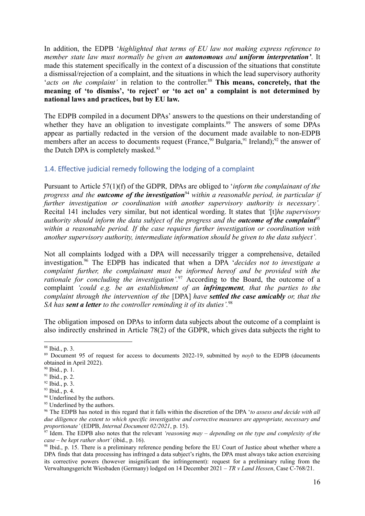In addition, the EDPB '*highlighted that terms of EU law not making express reference to member state law must normally be given an autonomous and uniform interpretation'*. It made this statement specifically in the context of a discussion of the situations that constitute a dismissal/rejection of a complaint, and the situations in which the lead supervisory authority '*acts on the complaint'* in relation to the controller. <sup>88</sup> **This means, concretely, that the meaning of 'to dismiss', 'to reject' or 'to act on' a complaint is not determined by national laws and practices, but by EU law.**

The EDPB compiled in a document DPAs' answers to the questions on their understanding of whether they have an obligation to investigate complaints.<sup>89</sup> The answers of some DPAs appear as partially redacted in the version of the document made available to non-EDPB members after an access to documents request (France,<sup>90</sup> Bulgaria,<sup>91</sup> Ireland);<sup>92</sup> the answer of the Dutch DPA is completely masked. $93$ 

#### <span id="page-15-0"></span>1.4. Effective judicial remedy following the lodging of a complaint

Pursuant to Article 57(1)(f) of the GDPR*,* DPAs are obliged to '*inform the complainant of the progress and the outcome of the investigation*<sup>94</sup> *within a reasonable period, in particular if further investigation or coordination with another supervisory authority is necessary'.* Recital 141 includes very similar, but not identical wording. It states that *'*[t]*he supervisory authority should inform the data subject of the progress and the outcome of the complaint*<sup>95</sup> *within a reasonable period. If the case requires further investigation or coordination with another supervisory authority, intermediate information should be given to the data subject'.*

Not all complaints lodged with a DPA will necessarily trigger a comprehensive, detailed investigation.<sup>96</sup> The EDPB has indicated that when a DPA '*decides not to investigate a complaint further, the complainant must be informed hereof and be provided with the rationale for concluding the investigation'.*<sup>97</sup> According to the Board, the outcome of a complaint *'could e.g. be an establishment of an infringement, that the parties to the complaint through the intervention of the* [DPA] *have settled the case amicably or, that the SA has sent a letter to the controller reminding it of its duties'.*<sup>98</sup>

The obligation imposed on DPAs to inform data subjects about the outcome of a complaint is also indirectly enshrined in Article 78(2) of the GDPR, which gives data subjects the right to

<sup>88</sup> Ibid., p. 3.

<sup>&</sup>lt;sup>89</sup> Document 95 of request for access to documents 2022-19, submitted by *noyb* to the EDPB (documents obtained in April 2022).

 $90$  Ibid., p. 1.

 $91$  Ibid., p. 2.

<sup>92</sup> Ibid., p. 3.

<sup>93</sup> Ibid., p. 4.

<sup>&</sup>lt;sup>94</sup> Underlined by the authors.

<sup>&</sup>lt;sup>95</sup> Underlined by the authors.

<sup>96</sup> The EDPB has noted in this regard that it falls within the discretion of the DPA '*to assess and decide with all due diligence the extent to which specific investigative and corrective measures are appropriate, necessary and proportionate'* (EDPB, *Internal Document 02/2021*, p. 15).

<sup>97</sup> Idem. The EDPB also notes that the relevant *'reasoning may – depending on the type and complexity of the case – be kept rather short'* (ibid., p. 16).

<sup>&</sup>lt;sup>98</sup> Ibid., p. 15. There is a preliminary reference pending before the EU Court of Justice about whether where a DPA finds that data processing has infringed a data subject's rights, the DPA must always take action exercising its corrective powers (however insignificant the infringement): request for a preliminary ruling from the Verwaltungsgericht Wiesbaden (Germany) lodged on 14 December 2021 – *TR v Land Hessen*, Case C-768/21.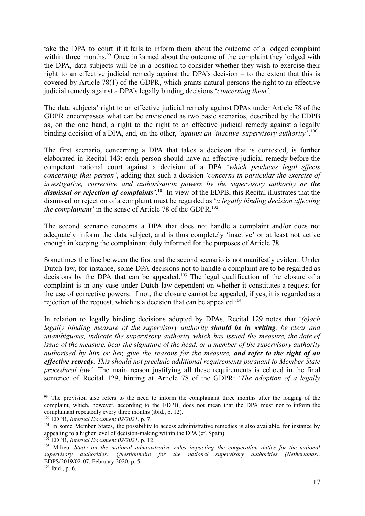take the DPA to court if it fails to inform them about the outcome of a lodged complaint within three months.<sup>99</sup> Once informed about the outcome of the complaint they lodged with the DPA, data subjects will be in a position to consider whether they wish to exercise their right to an effective judicial remedy against the DPA's decision – to the extent that this is covered by Article 78(1) of the GDPR, which grants natural persons the right to an effective judicial remedy against a DPA's legally binding decisions '*concerning them'*.

The data subjects' right to an effective judicial remedy against DPAs under Article 78 of the GDPR encompasses what can be envisioned as two basic scenarios, described by the EDPB as, on the one hand, a right to the right to an effective judicial remedy against a legally binding decision of a DPA, and, on the other, *'against an 'inactive' supervisory authority'*. 100

The first scenario, concerning a DPA that takes a decision that is contested, is further elaborated in Recital 143: each person should have an effective judicial remedy before the competent national court against a decision of a DPA '*which produces legal effects concerning that person'*, adding that such a decision *'concerns in particular the exercise of investigative, corrective and authorisation powers by the supervisory authority or the dismissal or rejection of complaints'*. 101 In view of the EDPB, this Recital illustrates that the dismissal or rejection of a complaint must be regarded as '*a legally binding decision affecting the complainant'* in the sense of Article 78 of the GDPR.<sup>102</sup>

The second scenario concerns a DPA that does not handle a complaint and/or does not adequately inform the data subject, and is thus completely 'inactive' or at least not active enough in keeping the complainant duly informed for the purposes of Article 78.

Sometimes the line between the first and the second scenario is not manifestly evident. Under Dutch law, for instance, some DPA decisions not to handle a complaint are to be regarded as decisions by the DPA that can be appealed.<sup>103</sup> The legal qualification of the closure of a complaint is in any case under Dutch law dependent on whether it constitutes a request for the use of corrective powers: if not, the closure cannot be appealed, if yes, it is regarded as a rejection of the request, which is a decision that can be appealed.<sup>104</sup>

In relation to legally binding decisions adopted by DPAs, Recital 129 notes that '*(e)ach legally binding measure of the supervisory authority should be in writing, be clear and unambiguous, indicate the supervisory authority which has issued the measure, the date of issue of the measure, bear the signature of the head, or a member of the supervisory authority authorised by him or her, give the reasons for the measure, and refer to the right of an effective remedy. This should not preclude additional requirements pursuant to Member State procedural law'.* The main reason justifying all these requirements is echoed in the final sentence of Recital 129, hinting at Article 78 of the GDPR: '*The adoption of a legally*

<sup>&</sup>lt;sup>99</sup> The provision also refers to the need to inform the complainant three months after the lodging of the complaint, which, however, according to the EDPB, does not mean that the DPA must nor to inform the complainant repeatedly every three months (ibid., p. 12).

<sup>100</sup> EDPB, *Internal Document 02/2021*, p. 7.

<sup>&</sup>lt;sup>101</sup> In some Member States, the possibility to access administrative remedies is also available, for instance by appealing to a higher level of decision-making within the DPA (cf. Spain).

<sup>102</sup> EDPB, *Internal Document 02/2021*, p. 12.

<sup>103</sup> Milieu, *Study on the national administrative rules impacting the cooperation duties for the national supervisory authorities: Questionnaire for the national supervisory authorities (Netherlands),* EDPS/2019/02-07, February 2020, p. 5.

 $104$  Ibid., p. 6.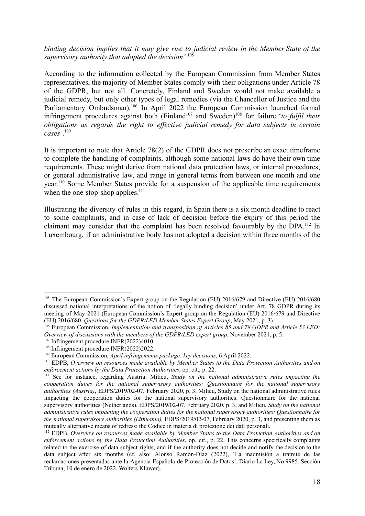*binding decision implies that it may give rise to judicial review in the Member State of the supervisory authority that adopted the decision'.*<sup>105</sup>

According to the information collected by the European Commission from Member States representatives, the majority of Member States comply with their obligations under Article 78 of the GDPR, but not all. Concretely, Finland and Sweden would not make available a judicial remedy, but only other types of legal remedies (via the Chancellor of Justice and the Parliamentary Ombudsman).<sup>106</sup> In April 2022 the European Commission launched formal infringement procedures against both (Finland<sup>107</sup> and Sweden)<sup>108</sup> for failure 'to fulfil their *obligations as regards the right to effective judicial remedy for data subjects in certain cases'*. 109

It is important to note that Article 78(2) of the GDPR does not prescribe an exact timeframe to complete the handling of complaints, although some national laws do have their own time requirements. These might derive from national data protection laws, or internal procedures, or general administrative law, and range in general terms from between one month and one year.<sup>110</sup> Some Member States provide for a suspension of the applicable time requirements when the one-stop-shop applies. $111$ 

Illustrating the diversity of rules in this regard, in Spain there is a six month deadline to react to some complaints, and in case of lack of decision before the expiry of this period the claimant may consider that the complaint has been resolved favourably by the DPA.<sup>112</sup> In Luxembourg, if an administrative body has not adopted a decision within three months of the

<sup>&</sup>lt;sup>105</sup> The European Commission's Expert group on the Regulation (EU) 2016/679 and Directive (EU) 2016/680 discussed national interpretations of the notion of 'legally binding decision' under Art. 78 GDPR during its meeting of May 2021 (European Commission's Expert group on the Regulation (EU) 2016/679 and Directive (EU) 2016/680, *Questions for the GDPR/LED Member States Expert Group*, May 2021, p. 3).

<sup>106</sup> European Commission, *Implementation and transposition of Articles 85 and 78 GDPR and Article 53 LED: Overview of discussions with the members of the GDPR/LED expert group*, November 2021, p. 5.

<sup>&</sup>lt;sup>107</sup> Infringement procedure INFR(2022)4010.

<sup>&</sup>lt;sup>108</sup> Infringement procedure INFR(2022)2022.

<sup>109</sup> European Commission, *April infringements package: key decisions*, 6 April 2022.

<sup>110</sup> EDPB, *Overview on resources made available by Member States to the Data Protection Authorities and on enforcement actions by the Data Protection Authorities*, op. cit., p. 22.

<sup>111</sup> See for instance, regarding Austria: Milieu, *Study on the national administrative rules impacting the cooperation duties for the national supervisory authorities: Questionnaire for the national supervisory authorities (Austria)*, EDPS/2019/02-07, February 2020, p. 3; Milieu, Study on the national administrative rules impacting the cooperation duties for the national supervisory authorities: Questionnaire for the national supervisory authorities (Netherlands), EDPS/2019/02-07, February 2020, p. 3, and Milieu, *Study on the national administrative rules impacting the cooperation duties for the national supervisory authorities: Questionnaire for the national supervisory authorities (Lithuania),* EDPS/2019/02-07, February 2020, p. 3, and presenting them as mutually alternative means of redress: the Codice in materia di protezione dei dati personali.

<sup>112</sup> EDPB, *Overview on resources made available by Member States to the Data Protection Authorities and on enforcement actions by the Data Protection Authorities*, op. cit., p. 22. This concerns specifically complaints related to the exercise of data subject rights, and if the authority does not decide and notify the decision to the data subject after six months (cf. also: Alonso Ramón-Díaz (2022), 'La inadmisión a trámite de las reclamaciones presentadas ante la Agencia Española de Protección de Datos', Diario La Ley, No 9985, Sección Tribuna, 10 de enero de 2022, Wolters Kluwer).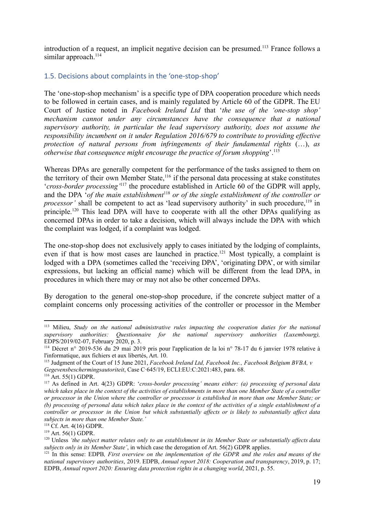introduction of a request, an implicit negative decision can be presumed.<sup>113</sup> France follows a similar approach.<sup>114</sup>

#### <span id="page-18-0"></span>1.5. Decisions about complaints in the 'one-stop-shop'

The 'one-stop-shop mechanism' is a specific type of DPA cooperation procedure which needs to be followed in certain cases, and is mainly regulated by Article 60 of the GDPR. The EU Court of Justice noted in *Facebook Ireland Ltd* that '*the use of the 'one-stop shop' mechanism cannot under any circumstances have the consequence that a national supervisory authority, in particular the lead supervisory authority, does not assume the responsibility incumbent on it under Regulation 2016/679 to contribute to providing effective protection of natural persons from infringements of their fundamental rights* (…), *as otherwise that consequence might encourage the practice of forum shopping*'.<sup>115</sup>

Whereas DPAs are generally competent for the performance of the tasks assigned to them on the territory of their own Member State,<sup>116</sup> if the personal data processing at stake constitutes '*cross-border processing'*<sup>117</sup> the procedure established in Article 60 of the GDPR will apply, and the DPA '*of the main establishment*<sup>118</sup> *or of the single establishment of the controller or* processor' shall be competent to act as 'lead supervisory authority' in such procedure,<sup>119</sup> in principle.<sup>120</sup> This lead DPA will have to cooperate with all the other DPAs qualifying as concerned DPAs in order to take a decision, which will always include the DPA with which the complaint was lodged, if a complaint was lodged.

The one-stop-shop does not exclusively apply to cases initiated by the lodging of complaints, even if that is how most cases are launched in practice.<sup>121</sup> Most typically, a complaint is lodged with a DPA (sometimes called the 'receiving DPA', 'originating DPA', or with similar expressions, but lacking an official name) which will be different from the lead DPA, in procedures in which there may or may not also be other concerned DPAs.

By derogation to the general one-stop-shop procedure, if the concrete subject matter of a complaint concerns only processing activities of the controller or processor in the Member

<sup>113</sup> Milieu, *Study on the national administrative rules impacting the cooperation duties for the national supervisory authorities: Questionnaire for the national supervisory authorities (Luxembourg),* EDPS/2019/02-07, February 2020, p. 3.

<sup>114</sup> Décret n° 2019-536 du 29 mai 2019 pris pour l'application de la loi n° 78-17 du 6 janvier 1978 relative à l'informatique, aux fichiers et aux libertés, Art. 10.

<sup>115</sup> Judgment of the Court of 15 June 2021, *Facebook Ireland Ltd, Facebook Inc., Facebook Belgium BVBA, v Gegevensbeschermingsautoriteit*, Case C‑645/19, ECLI:EU:C:2021:483, para. 68.

<sup>116</sup> Art. 55(1) GDPR.

<sup>117</sup> As defined in Art. 4(23) GDPR: '*cross-border processing' means either: (a) processing of personal data* which takes place in the context of the activities of establishments in more than one Member State of a controller or processor in the Union where the controller or processor is established in more than one Member State; or (b) processing of personal data which takes place in the context of the activities of a single establishment of a controller or processor in the Union but which substantially affects or is likely to substantially affect data *subjects in more than one Member State.'*

<sup>118</sup> Cf. Art. 4(16) GDPR.

<sup>119</sup> Art. 56(1) GDPR.

<sup>&</sup>lt;sup>120</sup> Unless 'the subject matter relates only to an establishment in its Member State or substantially affects data *subjects only in its Member State'*, in which case the derogation of Art. 56(2) GDPR applies.

<sup>121</sup> In this sense: EDPB*, First overview on the implementation of the GDPR and the roles and means of the national supervisory authorities*, 2019. EDPB, *Annual report 2018: Cooperation and transparency*, 2019, p. 17; EDPB, *Annual report 2020: Ensuring data protection rights in a changing world*, 2021, p. 55.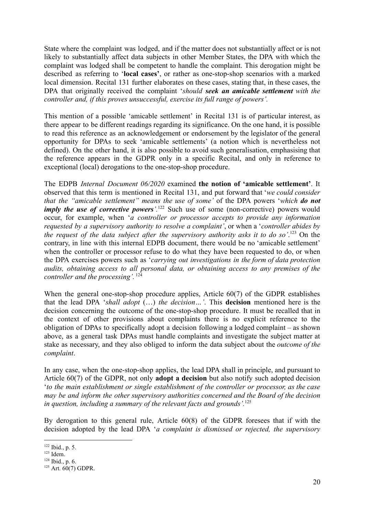State where the complaint was lodged, and if the matter does not substantially affect or is not likely to substantially affect data subjects in other Member States, the DPA with which the complaint was lodged shall be competent to handle the complaint. This derogation might be described as referring to '**local cases'**, or rather as one-stop-shop scenarios with a marked local dimension. Recital 131 further elaborates on these cases, stating that, in these cases, the DPA that originally received the complaint '*should seek an amicable settlement with the controller and, if this proves unsuccessful, exercise its full range of powers'.*

This mention of a possible 'amicable settlement' in Recital 131 is of particular interest, as there appear to be different readings regarding its significance. On the one hand, it is possible to read this reference as an acknowledgement or endorsement by the legislator of the general opportunity for DPAs to seek 'amicable settlements' (a notion which is nevertheless not defined). On the other hand, it is also possible to avoid such generalisation, emphasising that the reference appears in the GDPR only in a specific Recital, and only in reference to exceptional (local) derogations to the one-stop-shop procedure.

The EDPB *Internal Document 06/2020* examined **the notion of 'amicable settlement'**. It observed that this term is mentioned in Recital 131, and put forward that '*we could consider that the "amicable settlement" means the use of some'* of the DPA powers '*which do not imply the use of corrective powers*<sup>'.122</sup> Such use of some (non-corrective) powers would occur, for example, when '*a controller or processor accepts to provide any information requested by a supervisory authority to resolve a complaint'*, or when a '*controller abides by the request of the data subject after the supervisory authority asks it to do so'*. <sup>123</sup> On the contrary, in line with this internal EDPB document, there would be no 'amicable settlement' when the controller or processor refuse to do what they have been requested to do, or when the DPA exercises powers such as '*carrying out investigations in the form of data protection audits, obtaining access to all personal data, or obtaining access to any premises of the controller and the processing'.* <sup>124</sup>

When the general one-stop-shop procedure applies, Article 60(7) of the GDPR establishes that the lead DPA '*shall adopt* (…) *the decision…'*. This **decision** mentioned here is the decision concerning the outcome of the one-stop-shop procedure. It must be recalled that in the context of other provisions about complaints there is no explicit reference to the obligation of DPAs to specifically adopt a decision following a lodged complaint – as shown above, as a general task DPAs must handle complaints and investigate the subject matter at stake as necessary, and they also obliged to inform the data subject about the *outcome of the complaint*.

In any case, when the one-stop-shop applies, the lead DPA shall in principle, and pursuant to Article 60(7) of the GDPR, not only **adopt a decision** but also notify such adopted decision '*to the main establishment or single establishment of the controller or processor, as the case may be and inform the other supervisory authorities concerned and the Board of the decision in question, including a summary of the relevant facts and grounds'.*<sup>125</sup>

By derogation to this general rule, Article 60(8) of the GDPR foresees that if with the decision adopted by the lead DPA '*a complaint is dismissed or rejected, the supervisory*

<sup>122</sup> Ibid., p. 5.

 $123$  Idem.

<sup>124</sup> Ibid., p. 6.

 $125$  Art.  $60(7)$  GDPR.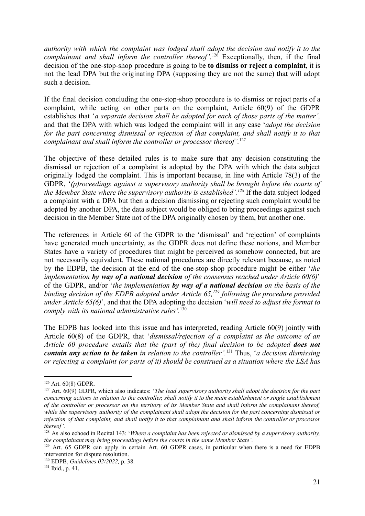*authority with which the complaint was lodged shall adopt the decision and notify it to the complainant and shall inform the controller thereof'.*<sup>126</sup> Exceptionally, then, if the final decision of the one-stop-shop procedure is going to be **to dismiss or reject a complaint**, it is not the lead DPA but the originating DPA (supposing they are not the same) that will adopt such a decision.

If the final decision concluding the one-stop-shop procedure is to dismiss or reject parts of a complaint, while acting on other parts on the complaint, Article 60(9) of the GDPR establishes that '*a separate decision shall be adopted for each of those parts of the matter',* and that the DPA with which was lodged the complaint will in any case '*adopt the decision for the part concerning dismissal or rejection of that complaint, and shall notify it to that complainant and shall inform the controller or processor thereof'.*<sup>127</sup>

The objective of these detailed rules is to make sure that any decision constituting the dismissal or rejection of a complaint is adopted by the DPA with which the data subject originally lodged the complaint. This is important because, in line with Article 78(3) of the GDPR, '*(p)roceedings against a supervisory authority shall be brought before the courts of the Member State where the supervisory authority is established'.<sup>128</sup>* If the data subject lodged a complaint with a DPA but then a decision dismissing or rejecting such complaint would be adopted by another DPA, the data subject would be obliged to bring proceedings against such decision in the Member State not of the DPA originally chosen by them, but another one.

The references in Article 60 of the GDPR to the 'dismissal' and 'rejection' of complaints have generated much uncertainty, as the GDPR does not define these notions, and Member States have a variety of procedures that might be perceived as somehow connected, but are not necessarily equivalent. These national procedures are directly relevant because, as noted by the EDPB, the decision at the end of the one-stop-shop procedure might be either '*the implementation by way of a national decision of the consensus reached under Article 60(6)*' of the GDPR, and/or '*the implementation by way of a national decision on the basis of the binding decision of the EDPB adopted under Article 65,<sup>129</sup> following the procedure provided under Article 65(6)*', and that the DPA adopting the decision '*will need to adjust the format to comply with its national administrative rules'.*<sup>130</sup>

The EDPB has looked into this issue and has interpreted, reading Article 60(9) jointly with Article 60(8) of the GDPR, that '*dismissal/rejection of a complaint as the outcome of an Article 60 procedure entails that the (part of the) final decision to be adopted does not contain any action to be taken in relation to the controller'.*<sup>131</sup> Thus, '*a decision dismissing or rejecting a complaint (or parts of it) should be construed as a situation where the LSA has*

<sup>126</sup> Art. 60(8) GDPR.

<sup>127</sup> Art. 60(9) GDPR, which also indicates: '*The lead supervisory authority shall adopt the decision for the part* concerning actions in relation to the controller, shall notify it to the main establishment or single establishment of the controller or processor on the territory of its Member State and shall inform the complainant thereof, while the supervisory authority of the complainant shall adopt the decision for the part concerning dismissal or rejection of that complaint, and shall notify it to that complainant and shall inform the controller or processor *thereof'.*

<sup>128</sup> As also echoed in Recital 143: '*Where a complaint has been rejected or dismissed by a supervisory authority, the complainant may bring proceedings before the courts in the same Member State'*.

<sup>&</sup>lt;sup>129</sup> Art. 65 GDPR can apply in certain Art. 60 GDPR cases, in particular when there is a need for EDPB intervention for dispute resolution.

<sup>130</sup> EDPB, *Guidelines 02/2022,* p. 38.

<sup>131</sup> Ibid., p. 41.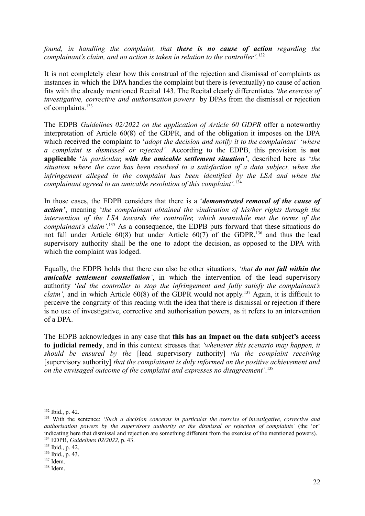*found, in handling the complaint, that there is no cause of action regarding the complainant's claim, and no action is taken in relation to the controller'.*<sup>132</sup>

It is not completely clear how this construal of the rejection and dismissal of complaints as instances in which the DPA handles the complaint but there is (eventually) no cause of action fits with the already mentioned Recital 143. The Recital clearly differentiates *'the exercise of investigative, corrective and authorisation powers'* by DPAs from the dismissal or rejection of complaints.<sup>133</sup>

The EDPB *Guidelines 02/2022 on the application of Article 60 GDPR* offer a noteworthy interpretation of Article 60(8) of the GDPR, and of the obligation it imposes on the DPA which received the complaint to '*adopt the decision and notify it to the complainant'* '*where a complaint is dismissed or rejected'.* According to the EDPB, this provision is **not applicable** '*in particular, with the amicable settlement situation'*, described here as '*the situation where the case has been resolved to a satisfaction of a data subject, when the infringement alleged in the complaint has been identified by the LSA and when the complainant agreed to an amicable resolution of this complaint'.*<sup>134</sup>

In those cases, the EDPB considers that there is a '*demonstrated removal of the cause of action'*, meaning '*the complainant obtained the vindication of his/her rights through the intervention of the LSA towards the controller, which meanwhile met the terms of the complainant's claim'.*<sup>135</sup> As a consequence, the EDPB puts forward that these situations do not fall under Article 60(8) but under Article 60(7) of the GDPR,<sup>136</sup> and thus the lead supervisory authority shall be the one to adopt the decision, as opposed to the DPA with which the complaint was lodged.

Equally, the EDPB holds that there can also be other situations, *'that do not fall within the amicable settlement constellation'*, in which the intervention of the lead supervisory authority '*led the controller to stop the infringement and fully satisfy the complainant's claim'*, and in which Article 60(8) of the GDPR would not apply. <sup>137</sup> Again, it is difficult to perceive the congruity of this reading with the idea that there is dismissal or rejection if there is no use of investigative, corrective and authorisation powers, as it refers to an intervention of a DPA.

The EDPB acknowledges in any case that **this has an impact on the data subject's access to judicial remedy**, and in this context stresses that *'whenever this scenario may happen, it should be ensured by the* [lead supervisory authority] *via the complaint receiving* [supervisory authority] *that the complainant is duly informed on the positive achievement and on the envisaged outcome of the complaint and expresses no disagreement'*. 138

<sup>132</sup> Ibid., p. 42.

<sup>134</sup> EDPB, *Guidelines 02/2022*, p. 43. <sup>133</sup> With the sentence: '*Such a decision concerns in particular the exercise of investigative, corrective and authorisation powers by the supervisory authority or the dismissal or rejection of complaints'* (the 'or' indicating here that dismissal and rejection are something different from the exercise of the mentioned powers).

<sup>135</sup> Ibid., p. 42.

<sup>136</sup> Ibid., p. 43.

 $137$  Idem.

 $138$  Idem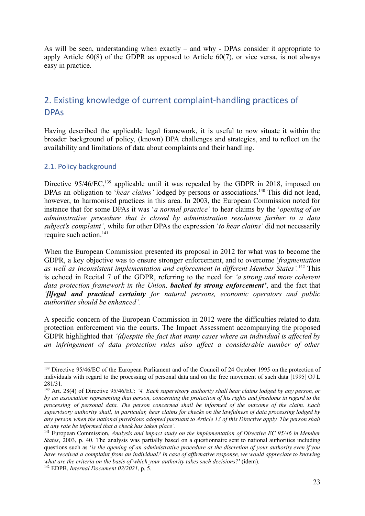As will be seen, understanding when exactly – and why - DPAs consider it appropriate to apply Article  $60(8)$  of the GDPR as opposed to Article  $60(7)$ , or vice versa, is not always easy in practice.

# <span id="page-22-0"></span>2. Existing knowledge of current complaint-handling practices of DPAs

Having described the applicable legal framework, it is useful to now situate it within the broader background of policy, (known) DPA challenges and strategies, and to reflect on the availability and limitations of data about complaints and their handling.

#### <span id="page-22-1"></span>2.1. Policy background

Directive  $95/46/EC$ ,  $^{139}$  applicable until it was repealed by the GDPR in 2018, imposed on DPAs an obligation to *'hear claims'* lodged by persons or associations.<sup>140</sup> This did not lead, however, to harmonised practices in this area. In 2003, the European Commission noted for instance that for some DPAs it was '*a normal practice'* to hear claims by the '*opening of an administrative procedure that is closed by administration resolution further to a data subject's complaint'*, while for other DPAs the expression '*to hear claims'* did not necessarily require such action.<sup>141</sup>

When the European Commission presented its proposal in 2012 for what was to become the GDPR, a key objective was to ensure stronger enforcement, and to overcome '*fragmentation as well as inconsistent implementation and enforcement in different Member States'.*<sup>142</sup> This is echoed in Recital 7 of the GDPR, referring to the need for *'a strong and more coherent data protection framework in the Union, backed by strong enforcement'*, and the fact that *'[l]egal and practical certainty for natural persons, economic operators and public authorities should be enhanced'.*

A specific concern of the European Commission in 2012 were the difficulties related to data protection enforcement via the courts. The Impact Assessment accompanying the proposed GDPR highlighted that *'(d)espite the fact that many cases where an individual is affected by an infringement of data protection rules also affect a considerable number of other*

<sup>&</sup>lt;sup>139</sup> Directive 95/46/EC of the European Parliament and of the Council of 24 October 1995 on the protection of individuals with regard to the processing of personal data and on the free movement of such data [1995] OJ L 281/31.

<sup>140</sup> Art. 28(4) of Directive 95/46/EC: *'4. Each supervisory authority shall hear claims lodged by any person, or* by an association representing that person, concerning the protection of his rights and freedoms in regard to the *processing of personal data. The person concerned shall be informed of the outcome of the claim. Each* supervisory authority shall, in particular, hear claims for checks on the lawfulness of data processing lodged by any person when the national provisions adopted pursuant to Article 13 of this Directive apply. The person shall *at any rate be informed that a check has taken place'.*

<sup>141</sup> European Commission, *Analysis and impact study on the implementation of Directive EC 95/46 in Member States*, 2003, p. 40. The analysis was partially based on a questionnaire sent to national authorities including questions such as '*is the opening of an administrative procedure at the discretion of your authority even if you* have received a complaint from an individual? In case of affirmative response, we would appreciate to knowing *what are the criteria on the basis of which your authority takes such decisions?*' (idem).

<sup>142</sup> EDPB, *Internal Document 02/2021*, p. 5.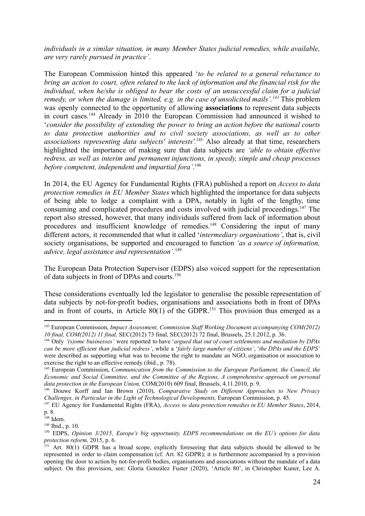*individuals in a similar situation, in many Member States judicial remedies, while available, are very rarely pursued in practice'*.

The European Commission hinted this appeared '*to be related to a general reluctance to bring an action to court, often related to the lack of information and the financial risk for the individual, when he/she is obliged to bear the costs of an unsuccessful claim for a judicial remedy, or when the damage is limited, e.g. in the case of unsolicited mails'.<sup>143</sup>* This problem was openly connected to the opportunity of allowing **associations** to represent data subjects in court cases.<sup>144</sup> Already in 2010 the European Commission had announced it wished to '*consider the possibility of extending the power to bring an action before the national courts to data protection authorities and to civil society associations, as well as to other associations representing data subjects' interests'.*<sup>145</sup> Also already at that time, researchers highlighted the importance of making sure that data subjects are *'able to obtain effective redress, as well as interim and permanent injunctions, in speedy, simple and cheap processes before competent, independent and impartial fora'*. 146

In 2014, the EU Agency for Fundamental Rights (FRA) published a report on *Access to data protection remedies in EU Member States* which highlighted the importance for data subjects of being able to lodge a complaint with a DPA, notably in light of the lengthy, time consuming and complicated procedures and costs involved with judicial proceedings.<sup>147</sup> The report also stressed, however, that many individuals suffered from lack of information about procedures and insufficient knowledge of remedies.<sup>148</sup> Considering the input of many different actors, it recommended that what it called '*intermediary organisations'*, that is, civil society organisations, be supported and encouraged to function *'as a source of information, advice, legal assistance and representation'.*<sup>149</sup>

The European Data Protection Supervisor (EDPS) also voiced support for the representation of data subjects in front of DPAs and courts.<sup>150</sup>

These considerations eventually led the legislator to generalise the possible representation of data subjects by not-for-profit bodies, organisations and associations both in front of DPAs and in front of courts, in Article  $80(1)$  of the GDPR.<sup>151</sup> This provision thus emerged as a

<sup>143</sup> European Commission, *Impact Assessment, Commission Staf Working Document accompanying COM(2012) 10 final, COM(2012) 11 final,* SEC(2012) 73 final, SEC(2012) 72 final, Brussels, 25.1.2012, p. 36.

<sup>144</sup> Only *'(s)ome businesses'* were reported to have '*argued that out of court settlements and mediation by DPAs* can be more efficient than judicial redress', while a 'fairly large number of citizens', 'the DPAs and the EDPS' were described as supporting what was to become the right to mandate an NGO, organisation or association to exercise the right to an effective remedy (ibid., p. 78).

<sup>145</sup> European Commission, *Communication from the Commission to the European Parliament, the Council, the Economic and Social Committee, and the Committee of the Regions, A comprehensive approach on personal data protection in the European Union,* COM(2010) 609 final, Brussels, 4.11.2010, p. 9.

<sup>146</sup> Douwe Korff and Ian Brown (2010), *Comparative Study on Dif erent Approaches to New Privacy Challenges, in Particular in the Light of Technological Developments,* European Commission, p. 45.

<sup>147</sup> EU Agency for Fundamental Rights (FRA), *Access to data protection remedies in EU Member States*, 2014, p. 8.

 $148$  Idem.

<sup>149</sup> Ibid., p. 10.

<sup>150</sup> EDPS, *Opinion 3/2015, Europe's big opportunity, EDPS recommendations on the EU's options for data protection reform,* 2015, p. 6.

<sup>&</sup>lt;sup>151</sup> Art. 80(1) GDPR has a broad scope, explicitly foreseeing that data subjects should be allowed to be represented in order to claim compensation (cf. Art. 82 GDPR); it is furthermore accompanied by a provision opening the door to action by not-for-profit bodies, organisations and associations without the mandate of a data subject. On this provision, see: Gloria González Fuster (2020), 'Article 80', in Christopher Kuner, Lee A.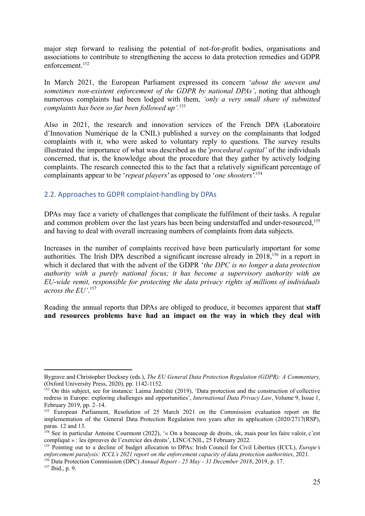major step forward to realising the potential of not-for-profit bodies, organisations and associations to contribute to strengthening the access to data protection remedies and GDPR enforcement<sup>152</sup>

In March 2021, the European Parliament expressed its concern '*about the uneven and sometimes non-existent enforcement of the GDPR by national DPAs'*, noting that although numerous complaints had been lodged with them, *'only a very small share of submitted complaints has been so far been followed up'.*<sup>153</sup>

Also in 2021, the research and innovation services of the French DPA (Laboratoire d'Innovation Numérique de la CNIL) published a survey on the complainants that lodged complaints with it, who were asked to voluntary reply to questions. The survey results illustrated the importance of what was described as the '*procedural capital'* of the individuals concerned, that is, the knowledge about the procedure that they gather by actively lodging complaints. The research connected this to the fact that a relatively significant percentage of complainants appear to be '*repeat players'* as opposed to '*one shooters'.*<sup>154</sup>

#### <span id="page-24-0"></span>2.2. Approaches to GDPR complaint-handling by DPAs

DPAs may face a variety of challenges that complicate the fulfilment of their tasks. A regular and common problem over the last years has been being understaffed and under-resourced,<sup>155</sup> and having to deal with overall increasing numbers of complaints from data subjects.

Increases in the number of complaints received have been particularly important for some authorities. The Irish DPA described a significant increase already in 2018,<sup>156</sup> in a report in which it declared that with the advent of the GDPR '*the DPC is no longer a data protection authority with a purely national focus; it has become a supervisory authority with an EU-wide remit, responsible for protecting the data privacy rights of millions of individuals across the EU'*. 157

Reading the annual reports that DPAs are obliged to produce, it becomes apparent that **staff and resources problems have had an impact on the way in which they deal with**

Bygrave and Christopher Docksey (eds.), *The EU General Data Protection Regulation (GDPR): A Commentary,* (Oxford University Press, 2020), pp. 1142-1152.

<sup>152</sup> On this subject, see for instance: Laima Jančiūtė (2019), 'Data protection and the construction of collective redress in Europe: exploring challenges and opportunities', *International Data Privacy Law*, Volume 9, Issue 1, February 2019, pp. 2–14.

<sup>&</sup>lt;sup>153</sup> European Parliament, Resolution of 25 March 2021 on the Commission evaluation report on the implementation of the General Data Protection Regulation two years after its application (2020/2717(RSP), paras. 12 and 13.

<sup>&</sup>lt;sup>154</sup> See in particular Antoine Courmont (2022), '« On a beaucoup de droits, ok, mais pour les faire valoir, c'est compliqué » : les épreuves de l'exercice des droits', LINC/CNIL, 25 February 2022.

<sup>155</sup> Pointing out to a decline of budget allocation to DPAs: Irish Council for Civil Liberties (ICCL), *Europe's enforcement paralysis: ICCL's 2021 report on the enforcement capacity of data protection authorities*, 2021.

<sup>156</sup> Data Protection Commission (DPC) *Annual Report - 25 May - 31 December 2018*, 2019, p. 17.

<sup>157</sup> Ibid., p. 9.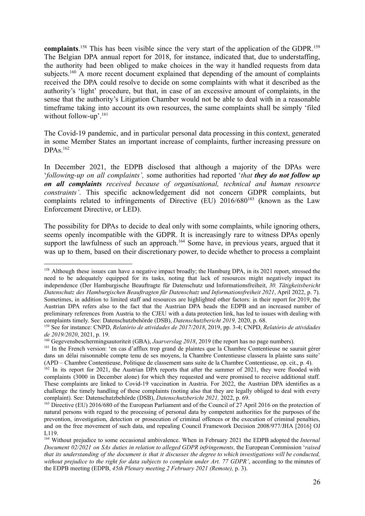complaints.<sup>158</sup> This has been visible since the very start of the application of the GDPR.<sup>159</sup> The Belgian DPA annual report for 2018, for instance, indicated that, due to understaffing, the authority had been obliged to make choices in the way it handled requests from data subjects.<sup>160</sup> A more recent document explained that depending of the amount of complaints received the DPA could resolve to decide on some complaints with what it described as the authority's 'light' procedure, but that, in case of an excessive amount of complaints, in the sense that the authority's Litigation Chamber would not be able to deal with in a reasonable timeframe taking into account its own resources, the same complaints shall be simply 'filed without follow-up'.<sup>161</sup>

The Covid-19 pandemic, and in particular personal data processing in this context, generated in some Member States an important increase of complaints, further increasing pressure on  $DPAs.<sup>162</sup>$ 

In December 2021, the EDPB disclosed that although a majority of the DPAs were '*following-up on all complaints',* some authorities had reported '*that they do not follow up on all complaints received because of organisational, technical and human resource constraints'*. This specific acknowledgement did not concern GDPR complaints, but complaints related to infringements of Directive  $(EU) 2016/680^{163}$  (known as the Law Enforcement Directive, or LED).

The possibility for DPAs to decide to deal only with some complaints, while ignoring others, seems openly incompatible with the GDPR. It is increasingly rare to witness DPAs openly support the lawfulness of such an approach.<sup>164</sup> Some have, in previous years, argued that it was up to them, based on their discretionary power, to decide whether to process a complaint

<sup>&</sup>lt;sup>158</sup> Although these issues can have a negative impact broadly; the Hamburg DPA, in its 2021 report, stressed the need to be adequately equipped for its tasks, noting that lack of resources might negatively impact its independence (Der Hamburgische Beauftragte für Datenschutz und Informationsfreiheit, *30. Tätigkeitsbericht Datenschutz des Hamburgischen Beauftragten für Datenschutz und Informationsfreiheit 2021*, April 2022, p. 7). Sometimes, in addition to limited staff and resources are highlighted other factors: in their report for 2019, the Austrian DPA refers also to the fact that the Austrian DPA heads the EDPB and an increased number of preliminary references from Austria to the CJEU with a data protection link, has led to issues with dealing with complaints timely. See: Datenschutzbehörde (DSB), *Datenschutzbericht 2019,* 2020, p. 68.

<sup>159</sup> See for instance: CNPD, *Relatório de atividades de 2017/2018*, 2019, pp. 3-4; CNPD, *Relatório de atividades de 2019/2020*, 2021, p. 19.

<sup>160</sup> Gegevensbeschermingsautoriteit (GBA), *Jaarverslag 2018*, 2019 (the report has no page numbers).

<sup>&</sup>lt;sup>161</sup> In the French version: 'en cas d'afflux trop grand de plaintes que la Chambre Contentieuse ne saurait gérer dans un délai raisonnable compte tenu de ses moyens, la Chambre Contentieuse classera la plainte sans suite' (APD – Chambre Contentieuse, Politique de classement sans suite de la Chambre Contentieuse, op. cit., p. 4).

<sup>&</sup>lt;sup>162</sup> In its report for 2021, the Austrian DPA reports that after the summer of 2021, they were flooded with complaints (3000 in December alone) for which they requested and were promised to receive additional staff. These complaints are linked to Covid-19 vaccination in Austria. For 2022, the Austrian DPA identifies as a challenge the timely handling of these complaints (noting also that they are legally obliged to deal with every complaint). See: Datenschutzbehörde (DSB), *Datenschutzbericht 2021,* 2022, p. 69.

<sup>&</sup>lt;sup>163</sup> Directive (EU) 2016/680 of the European Parliament and of the Council of 27 April 2016 on the protection of natural persons with regard to the processing of personal data by competent authorities for the purposes of the prevention, investigation, detection or prosecution of criminal offences or the execution of criminal penalties, and on the free movement of such data, and repealing Council Framework Decision 2008/977/JHA [2016] OJ L119.

<sup>164</sup> Without prejudice to some occasional ambivalence. When in February 2021 the EDPB adopted the *Internal Document 02/2021 on SAs duties in relation to alleged GDPR infringements,* the European Commission '*raised* that its understanding of the document is that it discusses the degree to which investigations will be conducted. *without prejudice to the right for data subjects to complain under Art. 77 GDPR'*, according to the minutes of the EDPB meeting (EDPB, *45th Plenary meeting 2 February 2021 (Remote),* p. 3).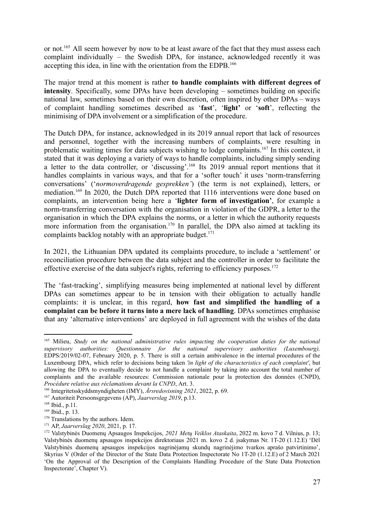or not.<sup>165</sup> All seem however by now to be at least aware of the fact that they must assess each complaint individually – the Swedish DPA, for instance, acknowledged recently it was accepting this idea, in line with the orientation from the EDPB.<sup>166</sup>

The major trend at this moment is rather **to handle complaints with different degrees of intensity**. Specifically, some DPAs have been developing – sometimes building on specific national law, sometimes based on their own discretion, often inspired by other DPAs – ways of complaint handling sometimes described as '**fast**', '**light'** or '**soft**', reflecting the minimising of DPA involvement or a simplification of the procedure.

The Dutch DPA, for instance, acknowledged in its 2019 annual report that lack of resources and personnel, together with the increasing numbers of complaints, were resulting in problematic waiting times for data subjects wishing to lodge complaints.<sup>167</sup> In this context, it stated that it was deploying a variety of ways to handle complaints, including simply sending a letter to the data controller, or 'discussing'.<sup>168</sup> Its 2019 annual report mentions that it handles complaints in various ways, and that for a 'softer touch' it uses 'norm-transferring conversations' ('*normoverdragende gesprekken'*) (the term is not explained), letters, or mediation.<sup>169</sup> In 2020, the Dutch DPA reported that 1116 interventions were done based on complaints, an intervention being here a '**lighter form of investigation'**, for example a norm-transferring conversation with the organisation in violation of the GDPR, a letter to the organisation in which the DPA explains the norms, or a letter in which the authority requests more information from the organisation.<sup>170</sup> In parallel, the DPA also aimed at tackling its complaints backlog notably with an appropriate budget.<sup>171</sup>

In 2021, the Lithuanian DPA updated its complaints procedure, to include a 'settlement' or reconciliation procedure between the data subject and the controller in order to facilitate the effective exercise of the data subject's rights, referring to efficiency purposes.<sup>172</sup>

The 'fast-tracking', simplifying measures being implemented at national level by different DPAs can sometimes appear to be in tension with their obligation to actually handle complaints: it is unclear, in this regard, **how fast and simplified the handling of a complaint can be before it turns into a mere lack of handling**. DPAs sometimes emphasise that any 'alternative interventions' are deployed in full agreement with the wishes of the data

<sup>165</sup> Milieu, *Study on the national administrative rules impacting the cooperation duties for the national supervisory authorities: Questionnaire for the national supervisory authorities (Luxembourg),* EDPS/2019/02-07, February 2020, p. 5. There is still a certain ambivalence in the internal procedures of the Luxembourg DPA, which refer to decisions being taken *'in light of the characteristics of each complaint'*, but allowing the DPA to eventually decide to not handle a complaint by taking into account the total number of complaints and the available resources: Commission nationale pour la protection des données (CNPD), *Procédure relative aux réclamations devant la CNPD*, Art. 3.

<sup>166</sup> Integritetsskyddsmyndigheten (IMY), *Årsredovisning 2021*, 2022, p. 69.

<sup>167</sup> Autoriteit Persoonsgegevens (AP), *Jaarverslag 2019*, p.13.

<sup>168</sup> Ibid., p.11.

 $169$  Ibid., p. 13.

<sup>&</sup>lt;sup>170</sup> Translations by the authors. Idem.

<sup>171</sup> AP, *Jaarverslag 2020*, 2021, p. 17.

<sup>172</sup> Valstybinės Duomenų Apsaugos Inspekcijos, *2021 Metų Veiklos Ataskaita*, 2022 m. kovo 7 d. Vilnius, p. 13; Valstybinės duomenų apsaugos inspekcijos direktoriaus 2021 m. kovo 2 d. įsakymas Nr. 1T-20 (1.12.E) 'Dėl Valstybinės duomenų apsaugos inspekcijos nagrinėjamų skundų nagrinėjimo tvarkos aprašo patvirtinimo', Skyrius V (Order of the Director of the State Data Protection Inspectorate No 1T-20 (1.12.E) of 2 March 2021 'On the Approval of the Description of the Complaints Handling Procedure of the State Data Protection Inspectorate', Chapter V).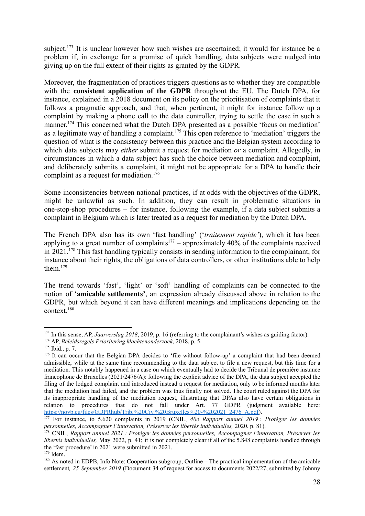subject.<sup>173</sup> It is unclear however how such wishes are ascertained; it would for instance be a problem if, in exchange for a promise of quick handling, data subjects were nudged into giving up on the full extent of their rights as granted by the GDPR.

Moreover, the fragmentation of practices triggers questions as to whether they are compatible with the **consistent application of the GDPR** throughout the EU. The Dutch DPA, for instance, explained in a 2018 document on its policy on the prioritisation of complaints that it follows a pragmatic approach, and that, when pertinent, it might for instance follow up a complaint by making a phone call to the data controller, trying to settle the case in such a manner.<sup>174</sup> This concerned what the Dutch DPA presented as a possible 'focus on mediation' as a legitimate way of handling a complaint.<sup>175</sup> This open reference to 'mediation' triggers the question of what is the consistency between this practice and the Belgian system according to which data subjects may *either* submit a request for mediation *or* a complaint. Allegedly, in circumstances in which a data subject has such the choice between mediation and complaint, and deliberately submits a complaint, it might not be appropriate for a DPA to handle their complaint as a request for mediation.<sup>176</sup>

Some inconsistencies between national practices, if at odds with the objectives of the GDPR, might be unlawful as such. In addition, they can result in problematic situations in one-stop-shop procedures – for instance, following the example, if a data subject submits a complaint in Belgium which is later treated as a request for mediation by the Dutch DPA.

The French DPA also has its own 'fast handling' ('*traitement rapide'*), which it has been applying to a great number of complaints<sup>177</sup> – approximately 40% of the complaints received in 2021.<sup>178</sup> This fast handling typically consists in sending information to the complainant, for instance about their rights, the obligations of data controllers, or other institutions able to help them $179$ 

The trend towards 'fast', 'light' or 'soft' handling of complaints can be connected to the notion of '**amicable settlements'**, an expression already discussed above in relation to the GDPR, but which beyond it can have different meanings and implications depending on the context.<sup>180</sup>

<sup>&</sup>lt;sup>173</sup> In this sense, AP, *Jaarverslag* 2018, 2019, p. 16 (referring to the complainant's wishes as guiding factor).

<sup>174</sup> AP, *Beleidsregels Prioritering klachtenonderzoek*, 2018, p. 5.

<sup>175</sup> Ibid., p. 7.

<sup>&</sup>lt;sup>176</sup> It can occur that the Belgian DPA decides to 'file without follow-up' a complaint that had been deemed admissible, while at the same time recommending to the data subject to file a new request, but this time for a mediation. This notably happened in a case on which eventually had to decide the Tribunal de première instance francophone de Bruxelles (2021/2476/A): following the explicit advice of the DPA, the data subject accepted the filing of the lodged complaint and introduced instead a request for mediation, only to be informed months later that the mediation had failed, and the problem was thus finally not solved. The court ruled against the DPA for its inappropriate handling of the mediation request, illustrating that DPAs also have certain obligations in relation to procedures that do not fall under Art. 77 GDPR (judgment available here: [https://noyb.eu/files/GDPRhub/Trib.%20Civ.%20Bruxelles%20-%202021\\_2476\\_A.pdf\)](https://noyb.eu/files/GDPRhub/Trib.%20Civ.%20Bruxelles%20-%202021_2476_A.pdf).

<sup>177</sup> For instance, to 5.620 complaints in 2019 (CNIL, *40e Rapport annuel 2019 : Protéger les données personnelles, Accompagner l'innovation, Préserver les libertés individuelles,* 2020, p. 81).

<sup>178</sup> CNIL, *Rapport annuel 2021 : Protéger les données personnelles, Accompagner l'innovation, Préserver les libertés individuelles,* May 2022, p. 41; it is not completely clear if all of the 5.848 complaints handled through the 'fast procedure' in 2021 were submitted in 2021.

 $179$  Idem.

<sup>180</sup> As noted in EDPB, Info Note: Cooperation subgroup, Outline – The practical implementation of the amicable settlement*, 25 September 2019* (Document 34 of request for access to documents 2022/27, submitted by Johnny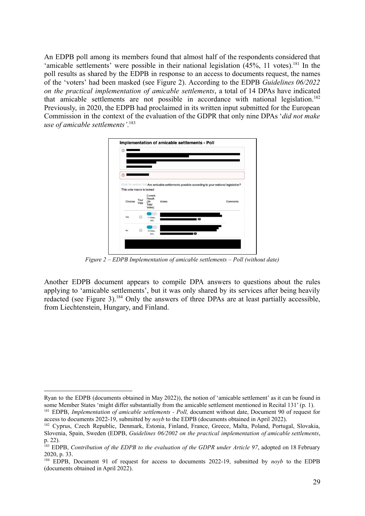An EDPB poll among its members found that almost half of the respondents considered that 'amicable settlements' were possible in their national legislation  $(45\%, 11 \text{ votes})$ .<sup>181</sup> In the poll results as shared by the EDPB in response to an access to documents request, the names of the 'voters' had been masked (see Figure 2). According to the EDPB *Guidelines 06/2022 on the practical implementation of amicable settlements*, a total of 14 DPAs have indicated that amicable settlements are not possible in accordance with national legislation.<sup>182</sup> Previously, in 2020, the EDPB had proclaimed in its written input submitted for the European Commission in the context of the evaluation of the GDPR that only nine DPAs '*did not make use of amicable settlements'*. 183



*Figure 2 – EDPB Implementation of amicable settlements – Poll (without date)*

<span id="page-28-0"></span>Another EDPB document appears to compile DPA answers to questions about the rules applying to 'amicable settlements', but it was only shared by its services after being heavily redacted (see Figure 3).<sup>184</sup> Only the answers of three DPAs are at least partially accessible. from Liechtenstein, Hungary, and Finland.

Ryan to the EDPB (documents obtained in May 2022)), the notion of 'amicable settlement' as it can be found in some Member States 'might differ substantially from the amicable settlement mentioned in Recital 131' (p. 1).

<sup>181</sup> EDPB, *Implementation of amicable settlements - Poll,* document without date, Document 90 of request for access to documents 2022-19, submitted by *noyb* to the EDPB (documents obtained in April 2022).

<sup>182</sup> Cyprus, Czech Republic, Denmark, Estonia, Finland, France, Greece, Malta, Poland, Portugal, Slovakia, Slovenia, Spain, Sweden (EDPB, *Guidelines 06/2002 on the practical implementation of amicable settlements*, p. 22).

<sup>183</sup> EDPB, *Contribution of the EDPB to the evaluation of the GDPR under Article 97*, adopted on 18 February 2020, p. 33.

<sup>184</sup> EDPB, Document 91 of request for access to documents 2022-19, submitted by *noyb* to the EDPB (documents obtained in April 2022).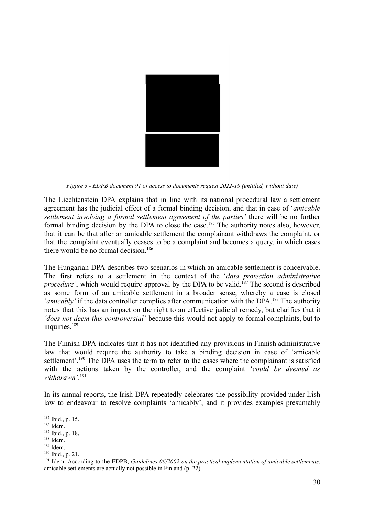

*Figure 3 - EDPB document 91 of access to documents request 2022-19 (untitled, without date)*

<span id="page-29-0"></span>The Liechtenstein DPA explains that in line with its national procedural law a settlement agreement has the judicial effect of a formal binding decision, and that in case of '*amicable settlement involving a formal settlement agreement of the parties'* there will be no further formal binding decision by the DPA to close the case.<sup>185</sup> The authority notes also, however, that it can be that after an amicable settlement the complainant withdraws the complaint, or that the complaint eventually ceases to be a complaint and becomes a query, in which cases there would be no formal decision.<sup>186</sup>

The Hungarian DPA describes two scenarios in which an amicable settlement is conceivable. The first refers to a settlement in the context of the '*data protection administrative procedure'*, which would require approval by the DPA to be valid.<sup>187</sup> The second is described as some form of an amicable settlement in a broader sense, whereby a case is closed *'amicably'* if the data controller complies after communication with the DPA.<sup>188</sup> The authority notes that this has an impact on the right to an effective judicial remedy, but clarifies that it *'does not deem this controversial'* because this would not apply to formal complaints, but to inquiries.<sup>189</sup>

The Finnish DPA indicates that it has not identified any provisions in Finnish administrative law that would require the authority to take a binding decision in case of 'amicable settlement'.<sup>190</sup> The DPA uses the term to refer to the cases where the complainant is satisfied with the actions taken by the controller, and the complaint '*could be deemed as withdrawn'*. 191

In its annual reports, the Irish DPA repeatedly celebrates the possibility provided under Irish law to endeavour to resolve complaints 'amicably', and it provides examples presumably

<sup>189</sup> Idem.

<sup>185</sup> Ibid., p. 15.

 $186$  Idem.

<sup>187</sup> Ibid., p. 18.

<sup>188</sup> Idem.

<sup>190</sup> Ibid., p. 21.

<sup>191</sup> Idem. According to the EDPB, *Guidelines 06/2002 on the practical implementation of amicable settlements*, amicable settlements are actually not possible in Finland (p. 22).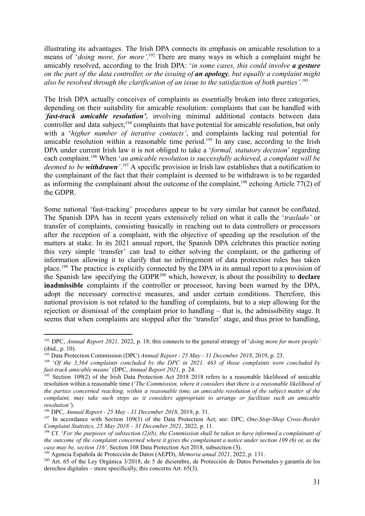illustrating its advantages. The Irish DPA connects its emphasis on amicable resolution to a means of '*doing more, for more'*. <sup>192</sup> There are many ways in which a complaint might be amicably resolved, according to the Irish DPA: '*in some cases, this could involve a gesture* on the part of the data controller, or the issuing of an apology, but equally a complaint might *also be resolved through the clarification of an issue to the satisfaction of both parties'.*<sup>193</sup>

The Irish DPA actually conceives of complaints as essentially broken into three categories, depending on their suitability for amicable resolution: complaints that can be handled with *'fast-track amicable resolution'*, involving minimal additional contacts between data controller and data subject;<sup>194</sup> complaints that have potential for amicable resolution, but only with a '*higher number of iterative contacts'*, and complaints lacking real potential for amicable resolution within a reasonable time period.<sup>195</sup> In any case, according to the Irish DPA under current Irish law it is not obliged to take a '*formal, statutory decision*' regarding each complaint.<sup>196</sup> When '*an amicable resolution is successfully achieved, a complaint will be deemed to be withdrawn'*. <sup>197</sup> A specific provision in Irish law establishes that a notification to the complainant of the fact that their complaint is deemed to be withdrawn is to be regarded as informing the complainant about the outcome of the complaint,<sup>198</sup> echoing Article 77(2) of the GDPR.

Some national 'fast-tracking' procedures appear to be very similar but cannot be conflated. The Spanish DPA has in recent years extensively relied on what it calls the '*traslado'* or transfer of complaints, consisting basically in reaching out to data controllers or processors after the reception of a complaint, with the objective of speeding up the resolution of the matters at stake. In its 2021 annual report, the Spanish DPA celebrates this practice noting this very simple 'transfer' can lead to either solving the complaint, or the gathering of information allowing it to clarify that no infringement of data protection rules has taken place.<sup>199</sup> The practice is explicitly connected by the DPA in its annual report to a provision of the Spanish law specifying the GDPR<sup>200</sup> which, however, is about the possibility to **declare inadmissible** complaints if the controller or processor, having been warned by the DPA, adopt the necessary corrective measures, and under certain conditions. Therefore, this national provision is not related to the handling of complaints, but to a step allowing for the rejection or dismissal of the complaint prior to handling – that is, the admissibility stage. It seems that when complaints are stopped after the 'transfer' stage, and thus prior to handling,

<sup>192</sup> DPC, *Annual Report 2021,* 2022, p. 18; this connects to the general strategy of '*doing more for more people'* (ibid., p. 10).

<sup>193</sup> Data Protection Commission (DPC) *Annual Report - 25 May - 31 December 2018*, 2019, p. 23.

<sup>194</sup> '*Of the 3,564 complaints concluded by the DPC in 2021, 463 of those complaints were concluded by fast-track amicable means'* (DPC, *Annual Report 2021*, p. 24.

<sup>&</sup>lt;sup>195</sup> Section 109(2) of the Irish Data Protection Act 2018 2018 refers to a reasonable likelihood of amicable resolution within a reasonable time ('*The Commission, where it considers that there is a reasonable likelihood of* the parties concerned reaching, within a reasonable time, an amicable resolution of the subject matter of the *complaint, may take such steps as it considers appropriate to arrange or facilitate such an amicable resolution'*).

<sup>196</sup> DPC, *Annual Report - 25 May - 31 December 2018*, 2019, p. 31.

<sup>197</sup> In accordance with Section 109(3) of the Data Protection Act; see: DPC, *One-Stop-Shop Cross-Border Complaint Statistics, 25 May 2018 – 31 December 2021*, 2022, p. 11.

<sup>&</sup>lt;sup>198</sup> Cf. 'For the purposes of subsection (2)(b), the Commission shall be taken to have informed a complainant of the outcome of the complaint concerned where it gives the complainant a notice under section 109 (6) or, as the *case may be, section 116',* Section 108 Data Protection Act 2018, subsection (3).

<sup>199</sup> Agencia Española de Protección de Datos (AEPD), *Memoria anual 2021*, 2022, p. 131.

<sup>200</sup> Art. 65 of the Ley Orgánica 3/2018, de 5 de diciembre, de Protección de Datos Personales y garantía de los derechos digitales – more specifically, this concerns Art. 65(3).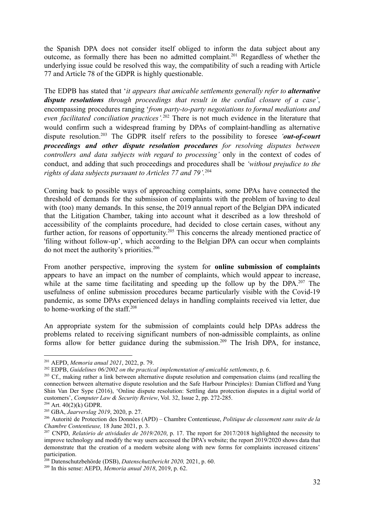the Spanish DPA does not consider itself obliged to inform the data subject about any outcome, as formally there has been no admitted complaint.<sup>201</sup> Regardless of whether the underlying issue could be resolved this way, the compatibility of such a reading with Article 77 and Article 78 of the GDPR is highly questionable.

The EDPB has stated that '*it appears that amicable settlements generally refer to alternative dispute resolutions through proceedings that result in the cordial closure of a case'*, encompassing procedures ranging '*from party-to-party negotiations to formal mediations and even facilitated conciliation practices'.*<sup>202</sup> There is not much evidence in the literature that would confirm such a widespread framing by DPAs of complaint-handling as alternative dispute resolution.<sup>203</sup> The GDPR itself refers to the possibility to foresee *'out-of-court proceedings and other dispute resolution procedures for resolving disputes between controllers and data subjects with regard to processing'* only in the context of codes of conduct, and adding that such proceedings and procedures shall be *'without prejudice to the rights of data subjects pursuant to Articles 77 and 79'.*<sup>204</sup>

Coming back to possible ways of approaching complaints, some DPAs have connected the threshold of demands for the submission of complaints with the problem of having to deal with (too) many demands. In this sense, the 2019 annual report of the Belgian DPA indicated that the Litigation Chamber, taking into account what it described as a low threshold of accessibility of the complaints procedure, had decided to close certain cases, without any further action, for reasons of opportunity.<sup>205</sup> This concerns the already mentioned practice of 'filing without follow-up', which according to the Belgian DPA can occur when complaints do not meet the authority's priorities.<sup>206</sup>

From another perspective, improving the system for **online submission of complaints** appears to have an impact on the number of complaints, which would appear to increase, while at the same time facilitating and speeding up the follow up by the DPA.<sup>207</sup> The usefulness of online submission procedures became particularly visible with the Covid-19 pandemic, as some DPAs experienced delays in handling complaints received via letter, due to home-working of the staff. $208$ 

An appropriate system for the submission of complaints could help DPAs address the problems related to receiving significant numbers of non-admissible complaints, as online forms allow for better guidance during the submission.<sup>209</sup> The Irish DPA, for instance,

<sup>201</sup> AEPD, *Memoria anual 2021*, 2022, p. 79.

<sup>202</sup> EDPB, *Guidelines 06/2002 on the practical implementation of amicable settlements*, p. 6.

<sup>&</sup>lt;sup>203</sup> Cf., making rather a link between alternative dispute resolution and compensation claims (and recalling the connection between alternative dispute resolution and the Safe Harbour Principles): Damian Clifford and Yung Shin Van Der Sype (2016), 'Online dispute resolution: Settling data protection disputes in a digital world of customers', *Computer Law & Security Review*, Vol. 32, Issue 2, pp. 272-285.

 $204$  Art.  $40(2)(k)$  GDPR.

<sup>205</sup> GBA, *Jaarverslag 2019*, 2020, p. 27.

<sup>206</sup> Autorité de Protection des Données (APD) – Chambre Contentieuse, *Politique de classement sans suite de la Chambre Contentieuse,* 18 June 2021, p. 3.

<sup>207</sup> CNPD, *Relatório de atividades de 2019/2020*, p. 17. The report for 2017/2018 highlighted the necessity to improve technology and modify the way users accessed the DPA's website; the report 2019/2020 shows data that demonstrate that the creation of a modern website along with new forms for complaints increased citizens' participation.

<sup>208</sup> Datenschutzbehörde (DSB), *Datenschutzbericht 2020,* 2021, p. 60.

<sup>209</sup> In this sense: AEPD, *Memoria anual 2018*, 2019, p. 62.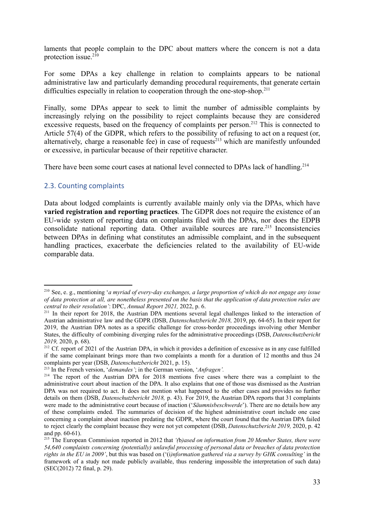laments that people complain to the DPC about matters where the concern is not a data protection issue. $2^{10}$ 

For some DPAs a key challenge in relation to complaints appears to be national administrative law and particularly demanding procedural requirements, that generate certain difficulties especially in relation to cooperation through the one-stop-shop.<sup>211</sup>

Finally, some DPAs appear to seek to limit the number of admissible complaints by increasingly relying on the possibility to reject complaints because they are considered excessive requests, based on the frequency of complaints per person.<sup>212</sup> This is connected to Article 57(4) of the GDPR, which refers to the possibility of refusing to act on a request (or, alternatively, charge a reasonable fee) in case of requests<sup>213</sup> which are manifestly unfounded or excessive, in particular because of their repetitive character.

There have been some court cases at national level connected to DPAs lack of handling.<sup>214</sup>

#### <span id="page-32-0"></span>2.3. Counting complaints

Data about lodged complaints is currently available mainly only via the DPAs, which have **varied registration and reporting practices**. The GDPR does not require the existence of an EU-wide system of reporting data on complaints filed with the DPAs, nor does the EDPB consolidate national reporting data. Other available sources are rare.<sup>215</sup> Inconsistencies between DPAs in defining what constitutes an admissible complaint, and in the subsequent handling practices, exacerbate the deficiencies related to the availability of EU-wide comparable data.

<sup>210</sup> See, e. g., mentioning '*a myriad of every-day exchanges, a large proportion of which do not engage any issue* of data protection at all, are nonetheless presented on the basis that the application of data protection rules are *central to their resolution'*: DPC, *Annual Report 2021,* 2022, p. 6.

<sup>&</sup>lt;sup>211</sup> In their report for 2018, the Austrian DPA mentions several legal challenges linked to the interaction of Austrian administrative law and the GDPR (DSB, *Datenschutzbericht 2018,* 2019, pp. 64-65). In their report for 2019, the Austrian DPA notes as a specific challenge for cross-border proceedings involving other Member States, the difficulty of combining diverging rules for the administrative proceedings (DSB, *Datenschutzbericht 2019,* 2020, p. 68).

<sup>&</sup>lt;sup>212</sup> Cf. report of 2021 of the Austrian DPA, in which it provides a definition of excessive as in any case fulfilled if the same complainant brings more than two complaints a month for a duration of 12 months and thus 24 complaints per year (DSB, *Datenschutzbericht* 2021, p. 15).

<sup>213</sup> In the French version, '*demandes'*; in the German version, '*Anfragen'.*

<sup>&</sup>lt;sup>214</sup> The report of the Austrian DPA for 2018 mentions five cases where there was a complaint to the administrative court about inaction of the DPA. It also explains that one of those was dismissed as the Austrian DPA was not required to act. It does not mention what happened to the other cases and provides no further details on them (DSB, *Datenschutzbericht 2018,* p. 43). For 2019, the Austrian DPA reports that 31 complaints were made to the administrative court because of inaction ('*Säumnisbeschwerde*'). There are no details how any of these complaints ended. The summaries of decision of the highest administrative court include one case concerning a complaint about inaction predating the GDPR, where the court found that the Austrian DPA failed to reject clearly the complaint because they were not yet competent (DSB, *Datenschutzbericht 2019,* 2020, p. 42 and pp. 60-61).

<sup>215</sup> The European Commission reported in 2012 that *'(*b*)ased on information from 20 Member States, there were 54,640 complaints concerning (potentially) unlawful processing of personal data or breaches of data protection rights in the EU in 2009'*, but this was based on ('(i*)nformation gathered via a survey by GHK consulting'* in the framework of a study not made publicly available, thus rendering impossible the interpretation of such data) (SEC(2012) 72 final, p. 29).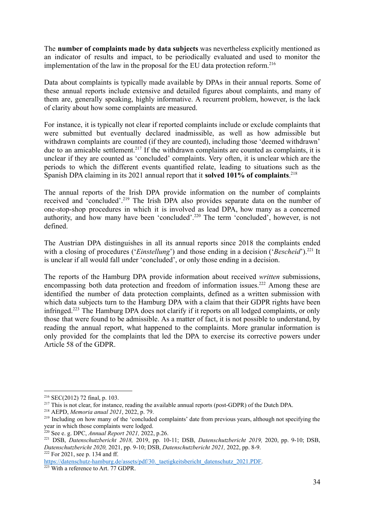The **number of complaints made by data subjects** was nevertheless explicitly mentioned as an indicator of results and impact, to be periodically evaluated and used to monitor the implementation of the law in the proposal for the EU data protection reform.<sup>216</sup>

Data about complaints is typically made available by DPAs in their annual reports. Some of these annual reports include extensive and detailed figures about complaints, and many of them are, generally speaking, highly informative. A recurrent problem, however, is the lack of clarity about how some complaints are measured.

For instance, it is typically not clear if reported complaints include or exclude complaints that were submitted but eventually declared inadmissible, as well as how admissible but withdrawn complaints are counted (if they are counted), including those 'deemed withdrawn' due to an amicable settlement.<sup>217</sup> If the withdrawn complaints are counted as complaints, it is unclear if they are counted as 'concluded' complaints. Very often, it is unclear which are the periods to which the different events quantified relate, leading to situations such as the Spanish DPA claiming in its 2021 annual report that it **solved 101% of complaints**. 218

The annual reports of the Irish DPA provide information on the number of complaints received and 'concluded'.<sup>219</sup> The Irish DPA also provides separate data on the number of one-stop-shop procedures in which it is involved as lead DPA, how many as a concerned authority, and how many have been 'concluded'.<sup>220</sup> The term 'concluded', however, is not defined.

The Austrian DPA distinguishes in all its annual reports since 2018 the complaints ended with a closing of procedures ('*Einstellung*') and those ending in a decision ('*Bescheid*').<sup>221</sup> It is unclear if all would fall under 'concluded', or only those ending in a decision.

The reports of the Hamburg DPA provide information about received *written* submissions, encompassing both data protection and freedom of information issues.<sup>222</sup> Among these are identified the number of data protection complaints, defined as a written submission with which data subjects turn to the Hamburg DPA with a claim that their GDPR rights have been infringed.<sup>223</sup> The Hamburg DPA does not clarify if it reports on all lodged complaints, or only those that were found to be admissible. As a matter of fact, it is not possible to understand, by reading the annual report, what happened to the complaints. More granular information is only provided for the complaints that led the DPA to exercise its corrective powers under Article 58 of the GDPR.

<sup>216</sup> SEC(2012) 72 final, p. 103.

<sup>&</sup>lt;sup>217</sup> This is not clear, for instance, reading the available annual reports (post-GDPR) of the Dutch DPA.

<sup>218</sup> AEPD, *Memoria anual 2021*, 2022, p. 79.

<sup>&</sup>lt;sup>219</sup> Including on how many of the 'concluded complaints' date from previous years, although not specifying the year in which those complaints were lodged.

<sup>220</sup> See e. g. DPC, *Annual Report 2021,* 2022, p.26.

<sup>222</sup> For 2021, see p. 134 and ff. <sup>221</sup> DSB, *Datenschutzbericht 2018,* 2019, pp. 10-11; DSB, *Datenschutzbericht 2019,* 2020, pp. 9-10; DSB, *Datenschutzbericht 2020,* 2021, pp. 9-10; DSB, *Datenschutzbericht 2021,* 2022, pp. 8-9.

https://datenschutz-hamburg.de/assets/pdf/30.\_taetigkeitsbericht\_datenschutz\_2021.PDF.

<sup>&</sup>lt;sup>223</sup> With a reference to Art. 77 GDPR.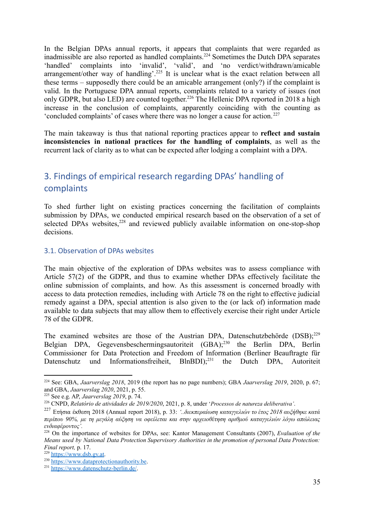In the Belgian DPAs annual reports, it appears that complaints that were regarded as inadmissible are also reported as handled complaints.<sup>224</sup> Sometimes the Dutch DPA separates 'handled' complaints into 'invalid', 'valid', and 'no verdict/withdrawn/amicable arrangement/other way of handling'.<sup>225</sup> It is unclear what is the exact relation between all these terms – supposedly there could be an amicable arrangement (only?) if the complaint is valid. In the Portuguese DPA annual reports, complaints related to a variety of issues (not only GDPR, but also LED) are counted together.<sup>226</sup> The Hellenic DPA reported in 2018 a high increase in the conclusion of complaints, apparently coinciding with the counting as 'concluded complaints' of cases where there was no longer a cause for action. <sup>227</sup>

The main takeaway is thus that national reporting practices appear to **reflect and sustain inconsistencies in national practices for the handling of complaints**, as well as the recurrent lack of clarity as to what can be expected after lodging a complaint with a DPA.

# <span id="page-34-0"></span>3. Findings of empirical research regarding DPAs' handling of complaints

To shed further light on existing practices concerning the facilitation of complaints submission by DPAs, we conducted empirical research based on the observation of a set of selected DPAs websites,<sup>228</sup> and reviewed publicly available information on one-stop-shop decisions.

#### <span id="page-34-1"></span>3.1. Observation of DPAs websites

The main objective of the exploration of DPAs websites was to assess compliance with Article 57(2) of the GDPR, and thus to examine whether DPAs effectively facilitate the online submission of complaints, and how. As this assessment is concerned broadly with access to data protection remedies, including with Article 78 on the right to effective judicial remedy against a DPA, special attention is also given to the (or lack of) information made available to data subjects that may allow them to effectively exercise their right under Article 78 of the GDPR.

The examined websites are those of the Austrian DPA, Datenschutzbehörde (DSB);<sup>229</sup> Belgian DPA, Gegevensbeschermingsautoriteit (GBA);<sup>230</sup> the Berlin DPA, Berlin Commissioner for Data Protection and Freedom of Information (Berliner Beauftragte für Datenschutz und Informationsfreiheit, BlnBDI);<sup>231</sup> the Dutch DPA, Autoriteit

<sup>224</sup> See: GBA, *Jaarverslag 2018*, 2019 (the report has no page numbers); GBA *Jaarverslag 2019*, 2020, p. 67; and GBA, *Jaarverslag 2020*, 2021, p. 55.

<sup>225</sup> See e.g. AP, *Jaarverslag 2019*, p. 74.

<sup>226</sup> CNPD, *Relatório de atividades de 2019/2020*, 2021, p. 8, under '*Processos de natureza deliberativa'*.

<sup>227</sup> Ετήσια έκθεση 2018 (Annual report 2018), p. 33: *'..διεκπεραίωση καταγγελιών το έτος 2018 αυξήθηκε κατά περίπου 90%, με τη μεγάλη αύξηση να οφείλεται και στην αρχειοθέτηση αριθμού καταγγελιών λόγω απώλειας ενδιαφέροντος'.*

<sup>228</sup> On the importance of websites for DPAs, see: Kantor Management Consultants (2007), *Evaluation of the Means used by National Data Protection Supervisory Authorities in the promotion of personal Data Protection: Final report,* p. 17.

<sup>229</sup> <https://www.dsb.gv.at>.

<sup>&</sup>lt;sup>230</sup> <https://www.dataprotectionauthority.be>.

<sup>231</sup> <https://www.datenschutz-berlin.de/>.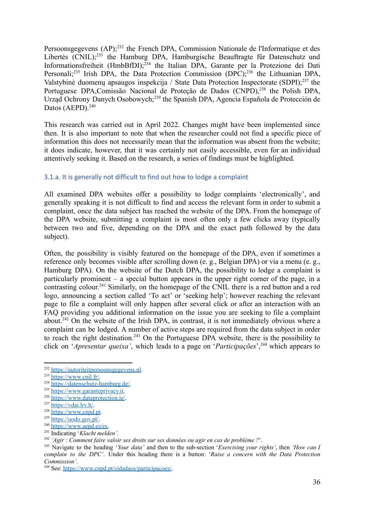Persoonsgegevens (AP);<sup>232</sup> the French DPA, Commission Nationale de l'Informatique et des Libertés (CNIL);<sup>233</sup> the Hamburg DPA, Hamburgische Beauftragte für Datenschutz und Informationsfreiheit (HmbBfDI);<sup>234</sup> the Italian DPA, Garante per la Protezione dei Dati Personali;<sup>235</sup> Irish DPA, the Data Protection Commission (DPC);<sup>236</sup> the Lithuanian DPA, Valstybinė duomenų apsaugos inspekcija / State Data Protection Inspectorate (SDPI);<sup>237</sup> the Portuguese DPA, Comissão Nacional de Proteção de Dados (CNPD),<sup>238</sup> the Polish DPA, Urząd Ochrony Danych Osobowych;<sup>239</sup> the Spanish DPA, Agencia Española de Protección de Datos (AEPD). $240$ 

This research was carried out in April 2022. Changes might have been implemented since then. It is also important to note that when the researcher could not find a specific piece of information this does not necessarily mean that the information was absent from the website; it does indicate, however, that it was certainly not easily accessible, even for an individual attentively seeking it. Based on the research, a series of findings must be highlighted.

#### <span id="page-35-0"></span>3.1.a. It is generally not difficult to find out how to lodge a complaint

All examined DPA websites offer a possibility to lodge complaints 'electronically', and generally speaking it is not difficult to find and access the relevant form in order to submit a complaint, once the data subject has reached the website of the DPA. From the homepage of the DPA website, submitting a complaint is most often only a few clicks away (typically between two and five, depending on the DPA and the exact path followed by the data subject).

Often, the possibility is visibly featured on the homepage of the DPA, even if sometimes a reference only becomes visible after scrolling down (e. g., Belgian DPA) or via a menu (e. g., Hamburg DPA). On the website of the Dutch DPA, the possibility to lodge a complaint is particularly prominent – a special button appears in the upper right corner of the page, in a contrasting colour.<sup>241</sup> Similarly, on the homepage of the CNIL there is a red button and a red logo, announcing a section called 'To act' or 'seeking help'; however reaching the relevant page to file a complaint will only happen after several click or after an interaction with an FAQ providing you additional information on the issue you are seeking to file a complaint about.<sup>242</sup> On the website of the Irish DPA, in contrast, it is not immediately obvious where a complaint can be lodged. A number of active steps are required from the data subject in order to reach the right destination.<sup>243</sup> On the Portuguese DPA website, there is the possibility to click on '*Apresentar queixa'*, which leads to a page on '*Participações*',<sup>244</sup> which appears to

<sup>&</sup>lt;sup>232</sup> <https://autoriteitpersoonsgegevens.nl>.

 $233$  [https://www.cnil.fr/.](https://www.cnil.fr/)

<sup>234</sup> [https://datenschutz-hamburg.de/.](https://datenschutz-hamburg.de/)

<sup>235</sup> [https://www.garanteprivacy.it.](https://www.garanteprivacy.it)

<sup>236</sup> <https://www.dataprotection.ie/>.

 $237$  <https://vdai.lrv.lt/>.

<sup>&</sup>lt;sup>238</sup> <https://www.cnpd.pt>.

 $239$  <https://uodo.gov.pl/>.

<sup>240</sup> [https://www.aepd.es/es.](https://www.aepd.es/es)

<sup>241</sup> Indicating '*Klacht melden'*.

<sup>242</sup> *'Agir : Comment faire valoir ses droits sur ses données ou agir en cas de problème ?*'.

<sup>243</sup> Navigate to the heading '*Your data'* and then to the sub-section '*Exercising your rights'*, then *'How can I complain to the DPC'*. Under this heading there is a button: '*Raise a concern with the Data Protection Commission'.*

<sup>244</sup> See: <https://www.cnpd.pt/cidadaos/participacoes/>.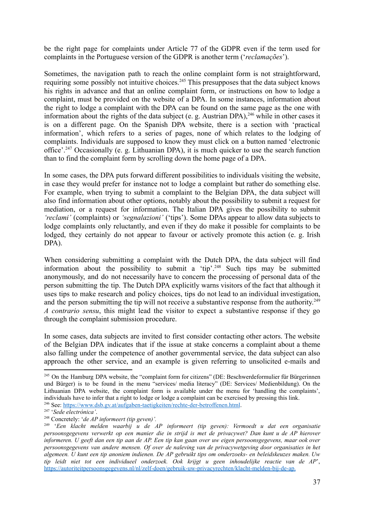be the right page for complaints under Article 77 of the GDPR even if the term used for complaints in the Portuguese version of the GDPR is another term ('*reclamações*').

Sometimes, the navigation path to reach the online complaint form is not straightforward, requiring some possibly not intuitive choices.<sup>245</sup> This presupposes that the data subject knows his rights in advance and that an online complaint form, or instructions on how to lodge a complaint, must be provided on the website of a DPA. In some instances, information about the right to lodge a complaint with the DPA can be found on the same page as the one with information about the rights of the data subject (e. g. Austrian DPA),  $246$  while in other cases it is on a different page. On the Spanish DPA website, there is a section with 'practical information', which refers to a series of pages, none of which relates to the lodging of complaints. Individuals are supposed to know they must click on a button named 'electronic office'.<sup>247</sup> Occasionally (e. g. Lithuanian DPA), it is much quicker to use the search function than to find the complaint form by scrolling down the home page of a DPA.

In some cases, the DPA puts forward different possibilities to individuals visiting the website, in case they would prefer for instance not to lodge a complaint but rather do something else. For example, when trying to submit a complaint to the Belgian DPA, the data subject will also find information about other options, notably about the possibility to submit a request for mediation, or a request for information. The Italian DPA gives the possibility to submit *'reclami'* (complaints) or *'segnalazioni'* ('tips'). Some DPAs appear to allow data subjects to lodge complaints only reluctantly, and even if they do make it possible for complaints to be lodged, they certainly do not appear to favour or actively promote this action (e. g. Irish DPA).

When considering submitting a complaint with the Dutch DPA, the data subject will find information about the possibility to submit a 'tip'.<sup>248</sup> Such tips may be submitted anonymously, and do not necessarily have to concern the processing of personal data of the person submitting the tip. The Dutch DPA explicitly warns visitors of the fact that although it uses tips to make research and policy choices, tips do not lead to an individual investigation, and the person submitting the tip will not receive a substantive response from the authority.<sup>249</sup> *A contrario sensu*, this might lead the visitor to expect a substantive response if they go through the complaint submission procedure.

In some cases, data subjects are invited to first consider contacting other actors. The website of the Belgian DPA indicates that if the issue at stake concerns a complaint about a theme also falling under the competence of another governmental service, the data subject can also approach the other service, and an example is given referring to unsolicited e-mails and

<sup>246</sup> See: <https://www.dsb.gv.at/aufgaben-taetigkeiten/rechte-der-betroffenen.html>. <sup>245</sup> On the Hamburg DPA website, the "complaint form for citizens" (DE: Beschwerdeformulier für Bürgerinnen und Bürger) is to be found in the menu "services/ media literacy" (DE: Services/ Medienbildung). On the Lithuanian DPA website, the complaint form is available under the menu for 'handling the complaints', individuals have to infer that a right to lodge or lodge a complaint can be exercised by pressing this link.

<sup>247</sup> '*Sede electrónica'*.

<sup>248</sup> Concretely: '*de AP informeert (tip geven)'.*

<sup>249</sup> '*Een klacht melden waarbij u de AP informeert (tip geven): Vermoedt u dat een organisatie* persoonsgegevens verwerkt op een manier die in striid is met de privacywet? Dan kunt u de AP hierover informeren. U geeft dan een tip aan de AP. Een tip kan gaan over uw eigen persoonsgegevens, maar ook over *persoonsgegevens van andere mensen. Of over de naleving van de privacywetgeving door organisaties in het algemeen. U kunt een tip anoniem indienen. De AP gebruikt tips om onderzoeks- en beleidskeuzes maken. Uw tip leidt niet tot een individueel onderzoek. Ook krijgt u geen inhoudelijke reactie van de AP*', [https://autoriteitpersoonsgegevens.nl/nl/zelf-doen/gebruik-uw-privacyrechten/klacht-melden-bij-de-ap.](https://autoriteitpersoonsgegevens.nl/nl/zelf-doen/gebruik-uw-privacyrechten/klacht-melden-bij-de-ap)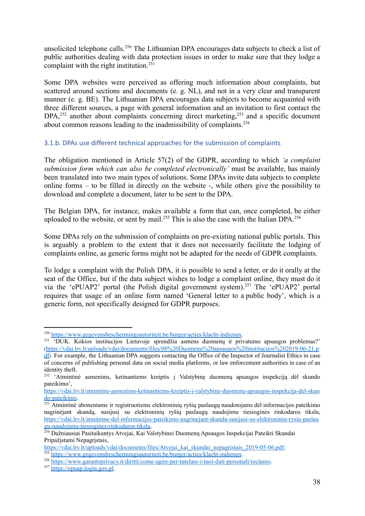unsolicited telephone calls.<sup>250</sup> The Lithuanian DPA encourages data subjects to check a list of public authorities dealing with data protection issues in order to make sure that they lodge a complaint with the right institution.<sup>251</sup>

Some DPA websites were perceived as offering much information about complaints, but scattered around sections and documents (e. g. NL), and not in a very clear and transparent manner (e. g. BE). The Lithuanian DPA encourages data subjects to become acquainted with three different sources, a page with general information and an invitation to first contact the DPA,<sup>252</sup> another about complaints concerning direct marketing,<sup>253</sup> and a specific document about common reasons leading to the inadmissibility of complaints.<sup>254</sup>

#### <span id="page-37-0"></span>3.1.b. DPAs use different technical approaches for the submission of complaints

The obligation mentioned in Article 57(2) of the GDPR, according to which *'a complaint submission form which can also be completed electronically'* must be available, has mainly been translated into two main types of solutions. Some DPAs invite data subjects to complete online forms – to be filled in directly on the website -, while others give the possibility to download and complete a document, later to be sent to the DPA.

The Belgian DPA, for instance, makes available a form that can, once completed, be either uploaded to the website, or sent by mail.<sup>255</sup> This is also the case with the Italian DPA.<sup>256</sup>

Some DPAs rely on the submission of complaints on pre-existing national public portals. This is arguably a problem to the extent that it does not necessarily facilitate the lodging of complaints online, as generic forms might not be adapted for the needs of GDPR complaints.

To lodge a complaint with the Polish DPA, it is possible to send a letter, or do it orally at the seat of the Office, but if the data subject wishes to lodge a complaint online, they must do it via the 'ePUAP2' portal (the Polish digital government system).<sup>257</sup> The 'ePUAP2' portal requires that usage of an online form named 'General letter to a public body', which is a generic form, not specifically designed for GDPR purposes.

<sup>&</sup>lt;sup>250</sup> <https://www.gegevensbeschermingsautoriteit.be/burger/acties/klacht-indienen>.

<sup>&</sup>lt;sup>251</sup> 'DUK. Kokios institucijos Lietuvoje sprendžia asmens duomenų ir privatumo apsaugos problemas?' ([https://vdai.lrv.lt/uploads/vdai/documents/files/08%20Duomenu%20apsaugos%20institucijos%202019-06-21.p](https://vdai.lrv.lt/uploads/vdai/documents/files/08%20Duomenu%20apsaugos%20institucijos%202019-06-21.pdf)

[df](https://vdai.lrv.lt/uploads/vdai/documents/files/08%20Duomenu%20apsaugos%20institucijos%202019-06-21.pdf)). For example, the Lithuanian DPA suggests contacting the Office of the Inspector of Journalist Ethics in case of concerns of publishing personal data on social media platforms, or law enforcement authorities in case of an identity theft.

<sup>&</sup>lt;sup>252</sup> 'Atmintinė asmenims, ketinantiems kreiptis į Valstybinę duomenų apsaugos inspekciją dėl skundo pateikimo',

[https://vdai.lrv.lt/atmintine-asmenims-ketinantiems-kreiptis-i-valstybine-duomenu-apsaugos-inspekcija-del-skun](https://vdai.lrv.lt/atmintine-asmenims-ketinantiems-kreiptis-i-valstybine-duomenu-apsaugos-inspekcija-del-skundo-pateikimo) [do-pateikimo](https://vdai.lrv.lt/atmintine-asmenims-ketinantiems-kreiptis-i-valstybine-duomenu-apsaugos-inspekcija-del-skundo-pateikimo).

<sup>&</sup>lt;sup>253</sup> Atmintinė abonentams ir registruotiems elektroninių ryšių paslaugų naudotojams dėl informacijos pateikimo nagrinėjant skundą, susijusį su elektroninių ryšių paslaugų naudojimu tiesioginės rinkodaros tikslu, [https://vdai.lrv.lt/atmintine-del-informacijos-pateikimo-nagrinejant-skunda-susijusi-su-elektroniniu-rysiu-paslau](https://vdai.lrv.lt/atmintine-del-informacijos-pateikimo-nagrinejant-skunda-susijusi-su-elektroniniu-rysiu-paslaugu-naudojimu-tiesiogines-rinkodaros-tikslu) [gu-naudojimu-tiesiogines-rinkodaros-tikslu.](https://vdai.lrv.lt/atmintine-del-informacijos-pateikimo-nagrinejant-skunda-susijusi-su-elektroniniu-rysiu-paslaugu-naudojimu-tiesiogines-rinkodaros-tikslu)

<sup>&</sup>lt;sup>254</sup> Dažniausiai Pasitaikantys Atvejai, Kai Valstybinei Duomenų Apsaugos Inspekcijai Pateikti Skundai Pripažistami Nepagristais,

[https://vdai.lrv.lt/uploads/vdai/documents/files/Atvejai\\_kai\\_skundai\\_nepagristais\\_2019-05-06.pdf.](https://vdai.lrv.lt/uploads/vdai/documents/files/Atvejai_kai_skundai_nepagristais_2019-05-06.pdf)

<sup>255</sup> <https://www.gegevensbeschermingsautoriteit.be/burger/acties/klacht-indienen>.

<sup>256</sup> [https://www.garanteprivacy.it/diritti/come-agire-per-tutelare-i-tuoi-dati-personali/reclamo.](https://www.garanteprivacy.it/diritti/come-agire-per-tutelare-i-tuoi-dati-personali/reclamo)

<sup>257</sup> <https://epuap.login.gov.pl>.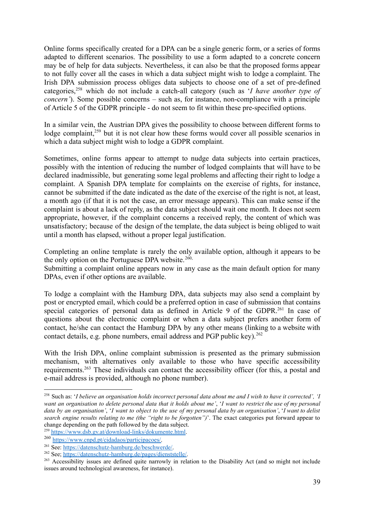Online forms specifically created for a DPA can be a single generic form, or a series of forms adapted to different scenarios. The possibility to use a form adapted to a concrete concern may be of help for data subjects. Nevertheless, it can also be that the proposed forms appear to not fully cover all the cases in which a data subject might wish to lodge a complaint. The Irish DPA submission process obliges data subjects to choose one of a set of pre-defined categories,<sup>258</sup> which do not include a catch-all category (such as '*I have another type of concern'*). Some possible concerns – such as, for instance, non-compliance with a principle of Article 5 of the GDPR principle - do not seem to fit within these pre-specified options.

In a similar vein, the Austrian DPA gives the possibility to choose between different forms to lodge complaint,<sup>259</sup> but it is not clear how these forms would cover all possible scenarios in which a data subject might wish to lodge a GDPR complaint.

Sometimes, online forms appear to attempt to nudge data subjects into certain practices, possibly with the intention of reducing the number of lodged complaints that will have to be declared inadmissible, but generating some legal problems and affecting their right to lodge a complaint. A Spanish DPA template for complaints on the exercise of rights, for instance, cannot be submitted if the date indicated as the date of the exercise of the right is not, at least, a month ago (if that it is not the case, an error message appears). This can make sense if the complaint is about a lack of reply, as the data subject should wait one month. It does not seem appropriate, however, if the complaint concerns a received reply, the content of which was unsatisfactory; because of the design of the template, the data subject is being obliged to wait until a month has elapsed, without a proper legal justification.

Completing an online template is rarely the only available option, although it appears to be the only option on the Portuguese DPA website.<sup>260,</sup>

Submitting a complaint online appears now in any case as the main default option for many DPAs, even if other options are available.

To lodge a complaint with the Hamburg DPA, data subjects may also send a complaint by post or encrypted email, which could be a preferred option in case of submission that contains special categories of personal data as defined in Article 9 of the GDPR.<sup>261</sup> In case of questions about the electronic complaint or when a data subject prefers another form of contact, he/she can contact the Hamburg DPA by any other means (linking to a website with contact details, e.g. phone numbers, email address and PGP public key).<sup>262</sup>

With the Irish DPA, online complaint submission is presented as the primary submission mechanism, with alternatives only available to those who have specific accessibility requirements.<sup>263</sup> These individuals can contact the accessibility officer (for this, a postal and e-mail address is provided, although no phone number).

<sup>&</sup>lt;sup>258</sup> Such as: 'I believe an organisation holds incorrect personal data about me and I wish to have it corrected', 'I want an organisation to delete personal data that it holds about me', 'I want to restrict the use of my personal data by an organisation', 'I want to object to the use of my personal data by an organisation', 'I want to delist *search engine results relating to me (the "right to be forgotten")*'. The exact categories put forward appear to change depending on the path followed by the data subject.

<sup>&</sup>lt;sup>259</sup> <https://www.dsb.gv.at/download-links/dokumente.html>.

<sup>260</sup> [https://www.cnpd.pt/cidadaos/participacoes/.](https://www.cnpd.pt/cidadaos/participacoes/)

<sup>261</sup> See: [https://datenschutz-hamburg.de/beschwerde/.](https://datenschutz-hamburg.de/beschwerde/)

<sup>262</sup> See; [https://datenschutz-hamburg.de/pages/dienststelle/.](https://datenschutz-hamburg.de/pages/dienststelle/)

<sup>&</sup>lt;sup>263</sup> Accessibility issues are defined quite narrowly in relation to the Disability Act (and so might not include issues around technological awareness, for instance).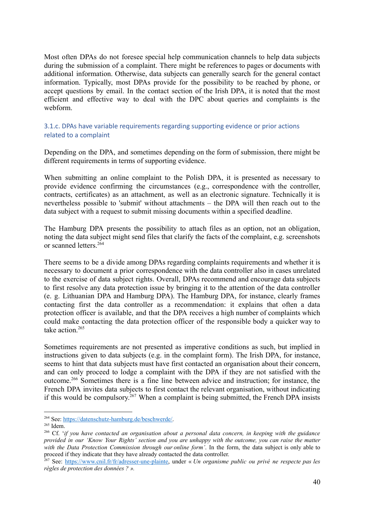Most often DPAs do not foresee special help communication channels to help data subjects during the submission of a complaint. There might be references to pages or documents with additional information. Otherwise, data subjects can generally search for the general contact information. Typically, most DPAs provide for the possibility to be reached by phone, or accept questions by email. In the contact section of the Irish DPA, it is noted that the most efficient and effective way to deal with the DPC about queries and complaints is the webform.

#### <span id="page-39-0"></span>3.1.c. DPAs have variable requirements regarding supporting evidence or prior actions related to a complaint

Depending on the DPA, and sometimes depending on the form of submission, there might be different requirements in terms of supporting evidence.

When submitting an online complaint to the Polish DPA, it is presented as necessary to provide evidence confirming the circumstances (e.g., correspondence with the controller, contracts, certificates) as an attachment, as well as an electronic signature. Technically it is nevertheless possible to 'submit' without attachments – the DPA will then reach out to the data subject with a request to submit missing documents within a specified deadline.

The Hamburg DPA presents the possibility to attach files as an option, not an obligation, noting the data subject might send files that clarify the facts of the complaint, e.g. screenshots or scanned letters.<sup>264</sup>

There seems to be a divide among DPAs regarding complaints requirements and whether it is necessary to document a prior correspondence with the data controller also in cases unrelated to the exercise of data subject rights. Overall, DPAs recommend and encourage data subjects to first resolve any data protection issue by bringing it to the attention of the data controller (e. g. Lithuanian DPA and Hamburg DPA). The Hamburg DPA, for instance, clearly frames contacting first the data controller as a recommendation: it explains that often a data protection officer is available, and that the DPA receives a high number of complaints which could make contacting the data protection officer of the responsible body a quicker way to take action.<sup>265</sup>

Sometimes requirements are not presented as imperative conditions as such, but implied in instructions given to data subjects (e.g. in the complaint form). The Irish DPA, for instance, seems to hint that data subjects must have first contacted an organisation about their concern, and can only proceed to lodge a complaint with the DPA if they are not satisfied with the outcome.<sup>266</sup> Sometimes there is a fine line between advice and instruction; for instance, the French DPA invites data subjects to first contact the relevant organisation, without indicating if this would be compulsory. <sup>267</sup> When a complaint is being submitted, the French DPA insists

<sup>264</sup> See: [https://datenschutz-hamburg.de/beschwerde/.](https://datenschutz-hamburg.de/beschwerde/)

<sup>265</sup> Idem.

<sup>266</sup> Cf. '*if you have contacted an organisation about a personal data concern, in keeping with the guidance* provided in our 'Know Your Rights' section and you are unhappy with the outcome, you can raise the matter *with the Data Protection Commission through our online form'*. In the form, the data subject is only able to proceed if they indicate that they have already contacted the data controller.

<sup>267</sup> See: [https://www.cnil.fr/fr/adresser-une-plainte,](https://www.cnil.fr/fr/adresser-une-plainte) under « *Un organisme public ou privé ne respecte pas les règles de protection des données ? ».*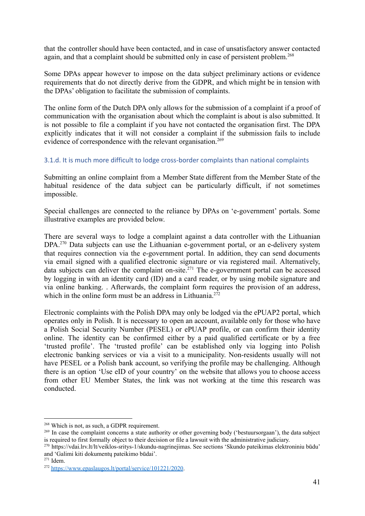that the controller should have been contacted, and in case of unsatisfactory answer contacted again, and that a complaint should be submitted only in case of persistent problem.<sup>268</sup>

Some DPAs appear however to impose on the data subject preliminary actions or evidence requirements that do not directly derive from the GDPR, and which might be in tension with the DPAs' obligation to facilitate the submission of complaints.

The online form of the Dutch DPA only allows for the submission of a complaint if a proof of communication with the organisation about which the complaint is about is also submitted. It is not possible to file a complaint if you have not contacted the organisation first. The DPA explicitly indicates that it will not consider a complaint if the submission fails to include evidence of correspondence with the relevant organisation.<sup>269</sup>

#### <span id="page-40-0"></span>3.1.d. It is much more difficult to lodge cross-border complaints than national complaints

Submitting an online complaint from a Member State different from the Member State of the habitual residence of the data subject can be particularly difficult, if not sometimes impossible.

Special challenges are connected to the reliance by DPAs on 'e-government' portals. Some illustrative examples are provided below.

There are several ways to lodge a complaint against a data controller with the Lithuanian DPA.<sup>270</sup> Data subjects can use the Lithuanian e-government portal, or an e-delivery system that requires connection via the e-government portal. In addition, they can send documents via email signed with a qualified electronic signature or via registered mail. Alternatively, data subjects can deliver the complaint on-site.<sup>271</sup> The e-government portal can be accessed by logging in with an identity card (ID) and a card reader, or by using mobile signature and via online banking. . Afterwards, the complaint form requires the provision of an address, which in the online form must be an address in Lithuania.<sup>272</sup>

Electronic complaints with the Polish DPA may only be lodged via the ePUAP2 portal, which operates only in Polish. It is necessary to open an account, available only for those who have a Polish Social Security Number (PESEL) or ePUAP profile, or can confirm their identity online. The identity can be confirmed either by a paid qualified certificate or by a free 'trusted profile'. The 'trusted profile' can be established only via logging into Polish electronic banking services or via a visit to a municipality. Non-residents usually will not have PESEL or a Polish bank account, so verifying the profile may be challenging. Although there is an option 'Use eID of your country' on the website that allows you to choose access from other EU Member States, the link was not working at the time this research was conducted.

<sup>268</sup> Which is not, as such, a GDPR requirement.

<sup>&</sup>lt;sup>269</sup> In case the complaint concerns a state authority or other governing body ('bestuursorgaan'), the data subject is required to first formally object to their decision or file a lawsuit with the administrative judiciary.

<sup>270</sup> <https://vdai.lrv.lt/lt/veiklos-sritys-1/skundu-nagrinejimas>. See sections 'Skundo pateikimas elektroniniu būdu' and 'Galimi kiti dokumentų pateikimo būdai'.

<sup>271</sup> Idem.

<sup>272</sup> <https://www.epaslaugos.lt/portal/service/101221/2020>.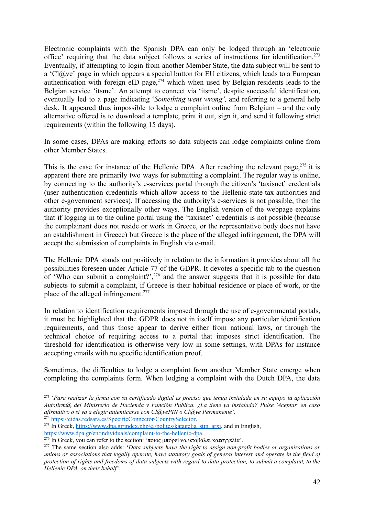Electronic complaints with the Spanish DPA can only be lodged through an 'electronic office' requiring that the data subject follows a series of instructions for identification.<sup>273</sup> Eventually, if attempting to login from another Member State, the data subject will be sent to a 'Cl@ve' page in which appears a special button for EU citizens, which leads to a European authentication with foreign eID page,<sup>274</sup> which when used by Belgian residents leads to the Belgian service 'itsme'. An attempt to connect via 'itsme', despite successful identification, eventually led to a page indicating '*Something went wrong',* and referring to a general help desk. It appeared thus impossible to lodge a complaint online from Belgium – and the only alternative offered is to download a template, print it out, sign it, and send it following strict requirements (within the following 15 days).

In some cases, DPAs are making efforts so data subjects can lodge complaints online from other Member States.

This is the case for instance of the Hellenic DPA. After reaching the relevant page,  $275$  it is apparent there are primarily two ways for submitting a complaint. The regular way is online, by connecting to the authority's e-services portal through the citizen's 'taxisnet' credentials (user authentication credentials which allow access to the Hellenic state tax authorities and other e-government services). If accessing the authority's e-services is not possible, then the authority provides exceptionally other ways. The English version of the webpage explains that if logging in to the online portal using the 'taxisnet' credentials is not possible (because the complainant does not reside or work in Greece, or the representative body does not have an establishment in Greece) but Greece is the place of the alleged infringement, the DPA will accept the submission of complaints in English via e-mail.

The Hellenic DPA stands out positively in relation to the information it provides about all the possibilities foreseen under Article 77 of the GDPR. It devotes a specific tab to the question of 'Who can submit a complaint?',<sup>276</sup> and the answer suggests that it is possible for data subjects to submit a complaint, if Greece is their habitual residence or place of work, or the place of the alleged infringement.<sup>277</sup>

In relation to identification requirements imposed through the use of e-governmental portals, it must be highlighted that the GDPR does not in itself impose any particular identification requirements, and thus those appear to derive either from national laws, or through the technical choice of requiring access to a portal that imposes strict identification. The threshold for identification is otherwise very low in some settings, with DPAs for instance accepting emails with no specific identification proof.

Sometimes, the difficulties to lodge a complaint from another Member State emerge when completing the complaints form. When lodging a complaint with the Dutch DPA, the data

<sup>&</sup>lt;sup>273</sup> 'Para realizar la firma con su certificado digital es preciso que tenga instalada en su equipo la aplicación *Autofirm@ del Ministerio de Hacienda y Función Pública. ¿La tiene ya instalada? Pulse 'Aceptar' en caso afirmativo o si va a elegir autenticarse con Cl@vePIN o Cl@ve Permanente'.*

<sup>274</sup> <https://eidas.redsara.es/SpecificConnector/CountrySelector>.

 $^{275}$  In Greek, [https://www.dpa.gr/index.php/el/polites/katagelia\\_stin\\_arxi](https://www.dpa.gr/index.php/el/polites/katagelia_stin_arxi), and in English, <https://www.dpa.gr/en/individuals/complaint-to-the-hellenic-dpa>.

<sup>&</sup>lt;sup>276</sup> In Greek, you can refer to the section: 'ποιος μπορεί να υποβάλει καταγγελία'.

<sup>277</sup> The same section also adds: '*Data subjects have the right to assign non-profit bodies or organizations or* unions or associations that legally operate, have statutory goals of general interest and operate in the field of protection of rights and freedoms of data subjects with regard to data protection, to submit a complaint, to the *Hellenic DPA, on their behalf'.*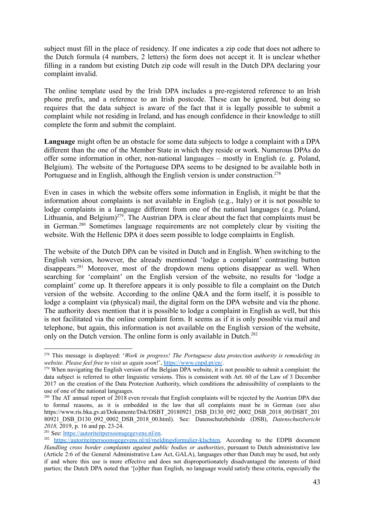subject must fill in the place of residency. If one indicates a zip code that does not adhere to the Dutch formula (4 numbers, 2 letters) the form does not accept it. It is unclear whether filling in a random but existing Dutch zip code will result in the Dutch DPA declaring your complaint invalid.

The online template used by the Irish DPA includes a pre-registered reference to an Irish phone prefix, and a reference to an Irish postcode. These can be ignored, but doing so requires that the data subject is aware of the fact that it is legally possible to submit a complaint while not residing in Ireland, and has enough confidence in their knowledge to still complete the form and submit the complaint.

**Language** might often be an obstacle for some data subjects to lodge a complaint with a DPA different than the one of the Member State in which they reside or work. Numerous DPAs do offer some information in other, non-national languages – mostly in English (e. g. Poland, Belgium). The website of the Portuguese DPA seems to be designed to be available both in Portuguese and in English, although the English version is under construction.<sup>278</sup>

Even in cases in which the website offers some information in English, it might be that the information about complaints is not available in English (e.g., Italy) or it is not possible to lodge complaints in a language different from one of the national languages (e.g. Poland, Lithuania, and Belgium)<sup> $279$ </sup>. The Austrian DPA is clear about the fact that complaints must be in German.<sup>280</sup> Sometimes language requirements are not completely clear by visiting the website. With the Hellenic DPA it does seem possible to lodge complaints in English.

The website of the Dutch DPA can be visited in Dutch and in English. When switching to the English version, however, the already mentioned 'lodge a complaint' contrasting button disappears.<sup>281</sup> Moreover, most of the dropdown menu options disappear as well. When searching for 'complaint' on the English version of the website, no results for 'lodge a complaint' come up. It therefore appears it is only possible to file a complaint on the Dutch version of the website. According to the online Q&A and the form itself, it is possible to lodge a complaint via (physical) mail, the digital form on the DPA website and via the phone. The authority does mention that it is possible to lodge a complaint in English as well, but this is not facilitated via the online complaint form. It seems as if it is only possible via mail and telephone, but again, this information is not available on the English version of the website, only on the Dutch version. The online form is only available in Dutch.<sup>282</sup>

<sup>278</sup> This message is displayed: '*Work in progress! The Portuguese data protection authority is remodeling its website. Please feel free to visit us again soon*!', <https://www.cnpd.pt/en/>.

<sup>&</sup>lt;sup>279</sup> When navigating the English version of the Belgian DPA website, it is not possible to submit a complaint: the data subject is referred to other linguistic versions. This is consistent with Art. 60 of the Law of 3 December 2017 on the creation of the Data Protection Authority, which conditions the admissibility of complaints to the use of one of the national languages.

<sup>&</sup>lt;sup>280</sup> The AT annual report of 2018 even reveals that English complaints will be rejected by the Austrian DPA due to formal reasons, as it is embedded in the law that all complaints must be in German (see also https://www.ris.bka.gv.at/Dokumente/Dsk/DSBT\_20180921\_DSB\_D130\_092\_0002\_DSB\_2018\_00/DSBT\_201 80921\_DSB\_D130\_092\_0002\_DSB\_2018\_00.html). See: Datenschutzbehörde (DSB), *Datenschutzbericht 2018,* 2019, p. 16 and pp. 23-24.

<sup>&</sup>lt;sup>281</sup> See: <https://autoriteitpersoonsgegevens.nl/en>.

<sup>&</sup>lt;sup>282</sup> [https://autoriteitpersoonsgegevens.nl/nl/meldingsformulier-klachten.](https://autoriteitpersoonsgegevens.nl/nl/meldingsformulier-klachten) According to the EDPB document *Handling cross border complaints against public bodies or authorities*, pursuant to Dutch administrative law (Article 2:6 of the General Administrative Law Act, GALA), languages other than Dutch may be used, but only if and where this use is more effective and does not disproportionately disadvantaged the interests of third parties; the Dutch DPA noted that '[o]ther than English, no language would satisfy these criteria, especially the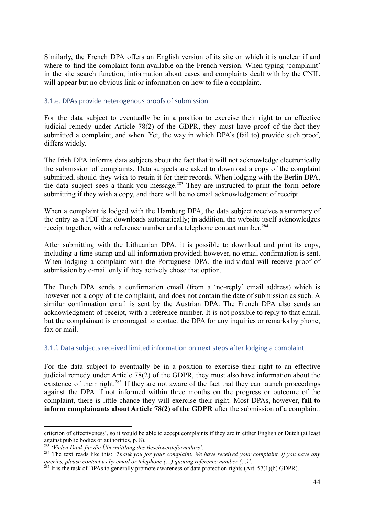Similarly, the French DPA offers an English version of its site on which it is unclear if and where to find the complaint form available on the French version. When typing 'complaint' in the site search function, information about cases and complaints dealt with by the CNIL will appear but no obvious link or information on how to file a complaint.

#### 3.1.e. DPAs provide heterogenous proofs of submission

For the data subject to eventually be in a position to exercise their right to an effective judicial remedy under Article 78(2) of the GDPR, they must have proof of the fact they submitted a complaint, and when. Yet, the way in which DPA's (fail to) provide such proof, differs widely.

The Irish DPA informs data subjects about the fact that it will not acknowledge electronically the submission of complaints. Data subjects are asked to download a copy of the complaint submitted, should they wish to retain it for their records. When lodging with the Berlin DPA, the data subject sees a thank you message.<sup>283</sup> They are instructed to print the form before submitting if they wish a copy, and there will be no email acknowledgement of receipt.

When a complaint is lodged with the Hamburg DPA, the data subject receives a summary of the entry as a PDF that downloads automatically; in addition, the website itself acknowledges receipt together, with a reference number and a telephone contact number.<sup>284</sup>

After submitting with the Lithuanian DPA, it is possible to download and print its copy, including a time stamp and all information provided; however, no email confirmation is sent. When lodging a complaint with the Portuguese DPA, the individual will receive proof of submission by e-mail only if they actively chose that option.

The Dutch DPA sends a confirmation email (from a 'no-reply' email address) which is however not a copy of the complaint, and does not contain the date of submission as such. A similar confirmation email is sent by the Austrian DPA. The French DPA also sends an acknowledgment of receipt, with a reference number. It is not possible to reply to that email, but the complainant is encouraged to contact the DPA for any inquiries or remarks by phone, fax or mail.

#### <span id="page-43-0"></span>3.1.f. Data subjects received limited information on next steps after lodging a complaint

For the data subject to eventually be in a position to exercise their right to an effective judicial remedy under Article 78(2) of the GDPR, they must also have information about the existence of their right.<sup>285</sup> If they are not aware of the fact that they can launch proceedings against the DPA if not informed within three months on the progress or outcome of the complaint, there is little chance they will exercise their right. Most DPAs, however, **fail to inform complainants about Article 78(2) of the GDPR** after the submission of a complaint.

criterion of effectiveness', so it would be able to accept complaints if they are in either English or Dutch (at least against public bodies or authorities, p. 8).

<sup>283</sup> '*Vielen Dank für die Übermittlung des Beschwerdeformulars'*.

<sup>284</sup> The text reads like this: '*Thank you for your complaint. We have received your complaint. If you have any queries, please contact us by email or telephone (…) quoting reference number (…)'*.

 $^{285}$  It is the task of DPAs to generally promote awareness of data protection rights (Art. 57(1)(b) GDPR).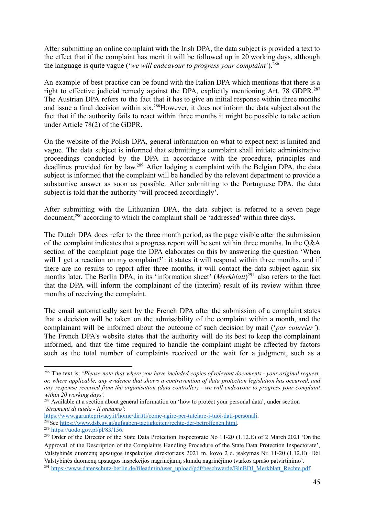After submitting an online complaint with the Irish DPA, the data subject is provided a text to the effect that if the complaint has merit it will be followed up in 20 working days, although the language is quite vague ('*we will endeavour to progress your complaint'*).<sup>286</sup>

An example of best practice can be found with the Italian DPA which mentions that there is a right to effective judicial remedy against the DPA, explicitly mentioning Art. 78 GDPR.<sup>287</sup> The Austrian DPA refers to the fact that it has to give an initial response within three months and issue a final decision within six.<sup>288</sup>However, it does not inform the data subject about the fact that if the authority fails to react within three months it might be possible to take action under Article 78(2) of the GDPR.

On the website of the Polish DPA, general information on what to expect next is limited and vague. The data subject is informed that submitting a complaint shall initiate administrative proceedings conducted by the DPA in accordance with the procedure, principles and deadlines provided for by law.<sup>289</sup> After lodging a complaint with the Belgian DPA, the data subject is informed that the complaint will be handled by the relevant department to provide a substantive answer as soon as possible. After submitting to the Portuguese DPA, the data subject is told that the authority 'will proceed accordingly'.

After submitting with the Lithuanian DPA, the data subject is referred to a seven page document,<sup>290</sup> according to which the complaint shall be 'addressed' within three days.

The Dutch DPA does refer to the three month period, as the page visible after the submission of the complaint indicates that a progress report will be sent within three months. In the Q&A section of the complaint page the DPA elaborates on this by answering the question 'When will I get a reaction on my complaint?': it states it will respond within three months, and if there are no results to report after three months, it will contact the data subject again six months later. The Berlin DPA, in its 'information sheet' (*Merkblatt*) 291, also refers to the fact that the DPA will inform the complainant of the (interim) result of its review within three months of receiving the complaint.

The email automatically sent by the French DPA after the submission of a complaint states that a decision will be taken on the admissibility of the complaint within a month, and the complainant will be informed about the outcome of such decision by mail ('*par courrier'*). The French DPA's website states that the authority will do its best to keep the complainant informed, and that the time required to handle the complaint might be affected by factors such as the total number of complaints received or the wait for a judgment, such as a

<sup>286</sup> The text is: '*Please note that where you have included copies of relevant documents - your original request, or, where applicable, any evidence that shows a contravention of data protection legislation has occurred, and any response received from the organisation (data controller) - we will endeavour to progress your complaint within 20 working days'.*

<sup>&</sup>lt;sup>287</sup> Available at a section about general information on 'how to protect your personal data', under section *'Strumenti di tutela - Il reclamo'*:

<sup>&</sup>lt;sup>288</sup>See <https://www.dsb.gv.at/aufgaben-taetigkeiten/rechte-der-betroffenen.html>. <https://www.garanteprivacy.it/home/diritti/come-agire-per-tutelare-i-tuoi-dati-personali>.

<sup>289</sup> <https://uodo.gov.pl/pl/83/156>.

<sup>&</sup>lt;sup>291</sup> [https://www.datenschutz-berlin.de/fileadmin/user\\_upload/pdf/beschwerde/BlnBDI\\_Merkblatt\\_Rechte.pdf.](https://www.datenschutz-berlin.de/fileadmin/user_upload/pdf/beschwerde/BlnBDI_Merkblatt_Rechte.pdf) <sup>290</sup> Order of the Director of the State Data Protection Inspectorate No 1T-20 (1.12.E) of 2 March 2021 'On the Approval of the Description of the Complaints Handling Procedure of the State Data Protection Inspectorate', Valstybinės duomenų apsaugos inspekcijos direktoriaus 2021 m. kovo 2 d. įsakymas Nr. 1T-20 (1.12.E) 'Dėl Valstybinės duomenų apsaugos inspekcijos nagrinėjamų skundų nagrinėjimo tvarkos aprašo patvirtinimo'.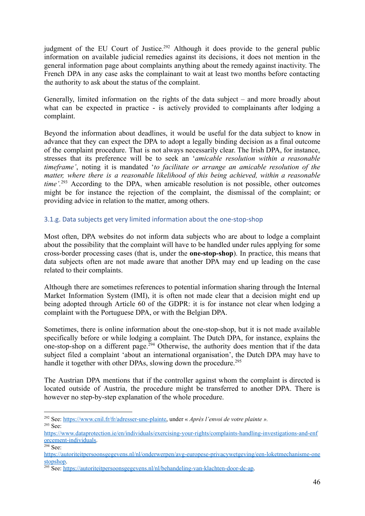judgment of the EU Court of Justice.<sup>292</sup> Although it does provide to the general public information on available judicial remedies against its decisions, it does not mention in the general information page about complaints anything about the remedy against inactivity. The French DPA in any case asks the complainant to wait at least two months before contacting the authority to ask about the status of the complaint.

Generally, limited information on the rights of the data subject – and more broadly about what can be expected in practice - is actively provided to complainants after lodging a complaint.

Beyond the information about deadlines, it would be useful for the data subject to know in advance that they can expect the DPA to adopt a legally binding decision as a final outcome of the complaint procedure. That is not always necessarily clear. The Irish DPA, for instance, stresses that its preference will be to seek an '*amicable resolution within a reasonable timeframe'*, noting it is mandated '*to facilitate or arrange an amicable resolution of the matter, where there is a reasonable likelihood of this being achieved, within a reasonable time'.*<sup>293</sup> According to the DPA, when amicable resolution is not possible, other outcomes might be for instance the rejection of the complaint, the dismissal of the complaint; or providing advice in relation to the matter, among others.

#### <span id="page-45-0"></span>3.1.g. Data subjects get very limited information about the one-stop-shop

Most often, DPA websites do not inform data subjects who are about to lodge a complaint about the possibility that the complaint will have to be handled under rules applying for some cross-border processing cases (that is, under the **one-stop-shop**). In practice, this means that data subjects often are not made aware that another DPA may end up leading on the case related to their complaints.

Although there are sometimes references to potential information sharing through the Internal Market Information System (IMI), it is often not made clear that a decision might end up being adopted through Article 60 of the GDPR: it is for instance not clear when lodging a complaint with the Portuguese DPA, or with the Belgian DPA.

Sometimes, there is online information about the one-stop-shop, but it is not made available specifically before or while lodging a complaint. The Dutch DPA, for instance, explains the one-stop-shop on a different page.<sup>294</sup> Otherwise, the authority does mention that if the data subject filed a complaint 'about an international organisation', the Dutch DPA may have to handle it together with other DPAs, slowing down the procedure.<sup>295</sup>

The Austrian DPA mentions that if the controller against whom the complaint is directed is located outside of Austria, the procedure might be transferred to another DPA. There is however no step-by-step explanation of the whole procedure.

<sup>293</sup> See: <sup>292</sup> See: [https://www.cnil.fr/fr/adresser-une-plainte,](https://www.cnil.fr/fr/adresser-une-plainte) under « *Après l'envoi de votre plainte ».*

[https://www.dataprotection.ie/en/individuals/exercising-your-rights/complaints-handling-investigations-and-enf](https://www.dataprotection.ie/en/individuals/exercising-your-rights/complaints-handling-investigations-and-enforcement-individuals) [orcement-individuals.](https://www.dataprotection.ie/en/individuals/exercising-your-rights/complaints-handling-investigations-and-enforcement-individuals)

<sup>294</sup> See:

[https://autoriteitpersoonsgegevens.nl/nl/onderwerpen/avg-europese-privacywetgeving/een-loketmechanisme-one](https://autoriteitpersoonsgegevens.nl/nl/onderwerpen/avg-europese-privacywetgeving/een-loketmechanisme-onestopshop) [stopshop.](https://autoriteitpersoonsgegevens.nl/nl/onderwerpen/avg-europese-privacywetgeving/een-loketmechanisme-onestopshop)

<sup>&</sup>lt;sup>295</sup> See: <https://autoriteitpersoonsgegevens.nl/nl/behandeling-van-klachten-door-de-ap>.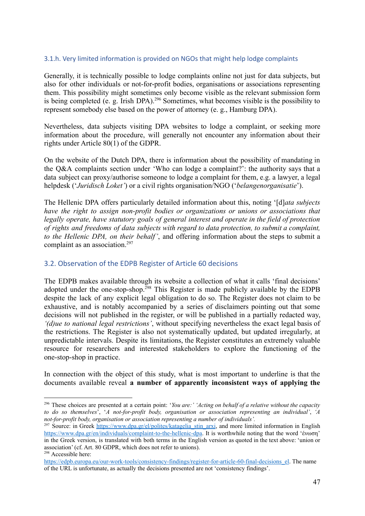#### <span id="page-46-0"></span>3.1.h. Very limited information is provided on NGOs that might help lodge complaints

Generally, it is technically possible to lodge complaints online not just for data subjects, but also for other individuals or not-for-profit bodies, organisations or associations representing them. This possibility might sometimes only become visible as the relevant submission form is being completed (e. g. Irish DPA).<sup>296</sup> Sometimes, what becomes visible is the possibility to represent somebody else based on the power of attorney (e. g., Hamburg DPA).

Nevertheless, data subjects visiting DPA websites to lodge a complaint, or seeking more information about the procedure, will generally not encounter any information about their rights under Article 80(1) of the GDPR.

On the website of the Dutch DPA, there is information about the possibility of mandating in the Q&A complaints section under 'Who can lodge a complaint?': the authority says that a data subject can proxy/authorise someone to lodge a complaint for them, e.g. a lawyer, a legal helpdesk ('*Juridisch Loket'*) or a civil rights organisation/NGO ('*belangenorganisatie*').

The Hellenic DPA offers particularly detailed information about this, noting '[d]*ata subjects have the right to assign non-profit bodies or organizations or unions or associations that legally operate, have statutory goals of general interest and operate in the field of protection of rights and freedoms of data subjects with regard to data protection, to submit a complaint, to the Hellenic DPA, on their behalf'*, and offering information about the steps to submit a complaint as an association.<sup>297</sup>

#### <span id="page-46-1"></span>3.2. Observation of the EDPB Register of Article 60 decisions

The EDPB makes available through its website a collection of what it calls 'final decisions' adopted under the one-stop-shop.<sup>298</sup> This Register is made publicly available by the EDPB despite the lack of any explicit legal obligation to do so. The Register does not claim to be exhaustive, and is notably accompanied by a series of disclaimers pointing out that some decisions will not published in the register, or will be published in a partially redacted way, *'(d)ue to national legal restrictions'*, without specifying nevertheless the exact legal basis of the restrictions. The Register is also not systematically updated, but updated irregularly, at unpredictable intervals. Despite its limitations, the Register constitutes an extremely valuable resource for researchers and interested stakeholders to explore the functioning of the one-stop-shop in practice.

In connection with the object of this study, what is most important to underline is that the documents available reveal **a number of apparently inconsistent ways of applying the**

<sup>296</sup> These choices are presented at a certain point: '*You are:' 'Acting on behalf of a relative without the capacity to do so themselves*', '*A not-for-profit body, organisation or association representing an individual'*, *'A not-for-profit body, organisation or association representing a number of individuals'.*

<sup>&</sup>lt;sup>297</sup> Source: in Greek [https://www.dpa.gr/el/polites/katagelia\\_stin\\_arxi](https://www.dpa.gr/el/polites/katagelia_stin_arxi), and more limited information in English <https://www.dpa.gr/en/individuals/complaint-to-the-hellenic-dpa>. It is worthwhile noting that the word 'ένωση' in the Greek version, is translated with both terms in the English version as quoted in the text above: 'union or association' (cf. Art. 80 GDPR, which does not refer to unions).

<sup>298</sup> Accessible here:

https://edpb.europa.eu/our-work-tools/consistency-findings/register-for-article-60-final-decisions el. The name of the URL is unfortunate, as actually the decisions presented are not 'consistency findings'.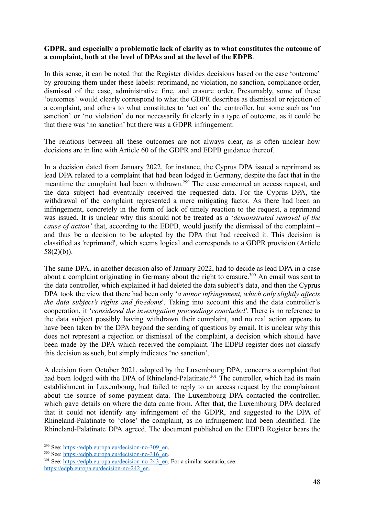#### **GDPR, and especially a problematic lack of clarity as to what constitutes the outcome of a complaint, both at the level of DPAs and at the level of the EDPB**.

In this sense, it can be noted that the Register divides decisions based on the case 'outcome' by grouping them under these labels: reprimand, no violation, no sanction, compliance order, dismissal of the case, administrative fine, and erasure order. Presumably, some of these 'outcomes' would clearly correspond to what the GDPR describes as dismissal or rejection of a complaint, and others to what constitutes to 'act on' the controller, but some such as 'no sanction' or 'no violation' do not necessarily fit clearly in a type of outcome, as it could be that there was 'no sanction' but there was a GDPR infringement.

The relations between all these outcomes are not always clear, as is often unclear how decisions are in line with Article 60 of the GDPR and EDPB guidance thereof.

In a decision dated from January 2022, for instance, the Cyprus DPA issued a reprimand as lead DPA related to a complaint that had been lodged in Germany, despite the fact that in the meantime the complaint had been withdrawn.<sup>299</sup> The case concerned an access request, and the data subject had eventually received the requested data. For the Cyprus DPA, the withdrawal of the complaint represented a mere mitigating factor. As there had been an infringement, concretely in the form of lack of timely reaction to the request, a reprimand was issued. It is unclear why this should not be treated as a '*demonstrated removal of the cause of action'* that, according to the EDPB, would justify the dismissal of the complaint – and thus be a decision to be adopted by the DPA that had received it. This decision is classified as 'reprimand', which seems logical and corresponds to a GDPR provision (Article  $58(2)(b)$ ).

The same DPA, in another decision also of January 2022, had to decide as lead DPA in a case about a complaint originating in Germany about the right to erasure.<sup>300</sup> An email was sent to the data controller, which explained it had deleted the data subject's data, and then the Cyprus DPA took the view that there had been only '*a minor infringement, which only slightly affects the data subject's rights and freedoms*'. Taking into account this and the data controller's cooperation, it '*considered the investigation proceedings concluded'.* There is no reference to the data subject possibly having withdrawn their complaint, and no real action appears to have been taken by the DPA beyond the sending of questions by email. It is unclear why this does not represent a rejection or dismissal of the complaint, a decision which should have been made by the DPA which received the complaint. The EDPB register does not classify this decision as such, but simply indicates 'no sanction'.

A decision from October 2021, adopted by the Luxembourg DPA, concerns a complaint that had been lodged with the DPA of Rhineland-Palatinate.<sup>301</sup> The controller, which had its main establishment in Luxembourg, had failed to reply to an access request by the complainant about the source of some payment data. The Luxembourg DPA contacted the controller, which gave details on where the data came from. After that, the Luxembourg DPA declared that it could not identify any infringement of the GDPR, and suggested to the DPA of Rhineland-Palatinate to 'close' the complaint, as no infringement had been identified. The Rhineland-Palatinate DPA agreed. The document published on the EDPB Register bears the

<sup>&</sup>lt;sup>299</sup> See: [https://edpb.europa.eu/decision-no-309\\_en](https://edpb.europa.eu/decision-no-309_en).

<sup>&</sup>lt;sup>300</sup> See: [https://edpb.europa.eu/decision-no-316\\_en](https://edpb.europa.eu/decision-no-316_en).

<sup>&</sup>lt;sup>301</sup> See: https://edpb.europa.eu/decision-no-243<sup>-</sup>en. For a similar scenario, see: [https://edpb.europa.eu/decision-no-242\\_en](https://edpb.europa.eu/decision-no-242_en).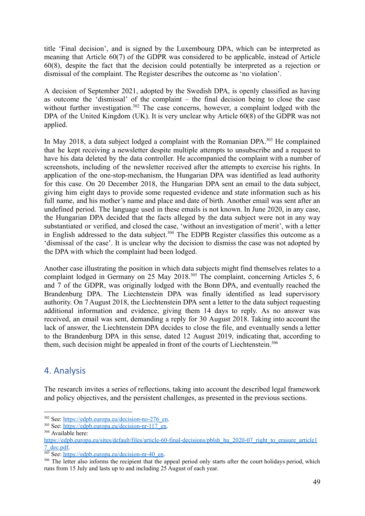title 'Final decision', and is signed by the Luxembourg DPA, which can be interpreted as meaning that Article 60(7) of the GDPR was considered to be applicable, instead of Article 60(8), despite the fact that the decision could potentially be interpreted as a rejection or dismissal of the complaint. The Register describes the outcome as 'no violation'.

A decision of September 2021, adopted by the Swedish DPA, is openly classified as having as outcome the 'dismissal' of the complaint – the final decision being to close the case without further investigation.<sup>302</sup> The case concerns, however, a complaint lodged with the DPA of the United Kingdom (UK). It is very unclear why Article 60(8) of the GDPR was not applied.

In May 2018, a data subject lodged a complaint with the Romanian DPA.<sup>303</sup> He complained that he kept receiving a newsletter despite multiple attempts to unsubscribe and a request to have his data deleted by the data controller. He accompanied the complaint with a number of screenshots, including of the newsletter received after the attempts to exercise his rights. In application of the one-stop-mechanism, the Hungarian DPA was identified as lead authority for this case. On 20 December 2018, the Hungarian DPA sent an email to the data subject, giving him eight days to provide some requested evidence and state information such as his full name, and his mother's name and place and date of birth. Another email was sent after an undefined period. The language used in these emails is not known. In June 2020, in any case, the Hungarian DPA decided that the facts alleged by the data subject were not in any way substantiated or verified, and closed the case, 'without an investigation of merit', with a letter in English addressed to the data subject.<sup>304</sup> The EDPB Register classifies this outcome as a 'dismissal of the case'. It is unclear why the decision to dismiss the case was not adopted by the DPA with which the complaint had been lodged.

Another case illustrating the position in which data subjects might find themselves relates to a complaint lodged in Germany on 25 May 2018.<sup>305</sup> The complaint, concerning Articles 5, 6 and 7 of the GDPR, was originally lodged with the Bonn DPA, and eventually reached the Brandenburg DPA. The Liechtenstein DPA was finally identified as lead supervisory authority. On 7 August 2018, the Liechtenstein DPA sent a letter to the data subject requesting additional information and evidence, giving them 14 days to reply. As no answer was received, an email was sent, demanding a reply for 30 August 2018. Taking into account the lack of answer, the Liechtenstein DPA decides to close the file, and eventually sends a letter to the Brandenburg DPA in this sense, dated 12 August 2019, indicating that, according to them, such decision might be appealed in front of the courts of Liechtenstein.<sup>306</sup>

# <span id="page-48-0"></span>4. Analysis

The research invites a series of reflections, taking into account the described legal framework and policy objectives, and the persistent challenges, as presented in the previous sections.

<sup>302</sup> See: [https://edpb.europa.eu/decision-no-276\\_en](https://edpb.europa.eu/decision-no-276_en).

<sup>303</sup> See: [https://edpb.europa.eu/decision-nr-117\\_en.](https://edpb.europa.eu/decision-nr-117_en)

<sup>&</sup>lt;sup>304</sup> Available here:

[https://edpb.europa.eu/sites/default/files/article-60-final-decisions/pblsh\\_hu\\_2020-07\\_right\\_to\\_erasure\\_article1](https://edpb.europa.eu/sites/default/files/article-60-final-decisions/pblsh_hu_2020-07_right_to_erasure_article17_dec.pdf) [7\\_dec.pdf.](https://edpb.europa.eu/sites/default/files/article-60-final-decisions/pblsh_hu_2020-07_right_to_erasure_article17_dec.pdf)

 $\frac{305 \text{ Sec.}}{305 \text{ Sec.}}$  [https://edpb.europa.eu/decision-nr-40\\_en](https://edpb.europa.eu/decision-nr-40_en).

<sup>&</sup>lt;sup>306</sup> The letter also informs the recipient that the appeal period only starts after the court holidays period, which runs from 15 July and lasts up to and including 25 August of each year.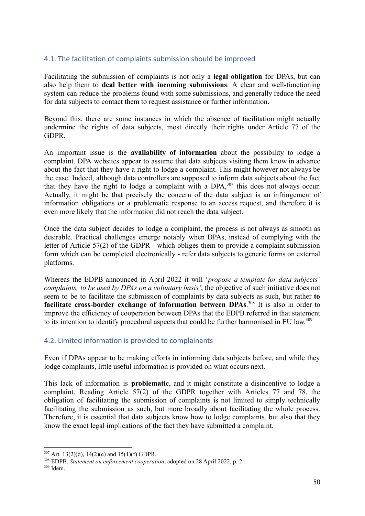#### <span id="page-49-0"></span>4.1. The facilitation of complaints submission should be improved

Facilitating the submission of complaints is not only a **legal obligation** for DPAs, but can also help them to **deal better with incoming submissions**. A clear and well-functioning system can reduce the problems found with some submissions, and generally reduce the need for data subjects to contact them to request assistance or further information.

Beyond this, there are some instances in which the absence of facilitation might actually undermine the rights of data subjects, most directly their rights under Article 77 of the GDPR.

An important issue is the **availability of information** about the possibility to lodge a complaint. DPA websites appear to assume that data subjects visiting them know in advance about the fact that they have a right to lodge a complaint. This might however not always be the case. Indeed, although data controllers are supposed to inform data subjects about the fact that they have the right to lodge a complaint with a  $DPA$ ,  $307$  this does not always occur. Actually, it might be that precisely the concern of the data subject is an infringement of information obligations or a problematic response to an access request, and therefore it is even more likely that the information did not reach the data subject.

Once the data subject decides to lodge a complaint, the process is not always as smooth as desirable. Practical challenges emerge notably when DPAs, instead of complying with the letter of Article 57(2) of the GDPR - which obliges them to provide a complaint submission form which can be completed electronically - refer data subjects to generic forms on external platforms.

Whereas the EDPB announced in April 2022 it will '*propose a template for data subjects' complaints, to be used by DPAs on a voluntary basis'*, the objective of such initiative does not seem to be to facilitate the submission of complaints by data subjects as such, but rather **to facilitate cross-border exchange of information between DPAs**. 308 It is also in order to improve the efficiency of cooperation between DPAs that the EDPB referred in that statement to its intention to identify procedural aspects that could be further harmonised in EU law.<sup>309</sup>

#### <span id="page-49-1"></span>4.2. Limited information is provided to complainants

Even if DPAs appear to be making efforts in informing data subjects before, and while they lodge complaints, little useful information is provided on what occurs next.

This lack of information is **problematic**, and it might constitute a disincentive to lodge a complaint. Reading Article 57(2) of the GDPR together with Articles 77 and 78, the obligation of facilitating the submission of complaints is not limited to simply technically facilitating the submission as such, but more broadly about facilitating the whole process. Therefore, it is essential that data subjects know how to lodge complaints, but also that they know the exact legal implications of the fact they have submitted a complaint.

 $307$  Art. 13(2)(d), 14(2)(e) and 15(1)(f) GDPR.

<sup>308</sup> EDPB, *Statement on enforcement cooperation*, adopted on 28 April 2022, p. 2.

<sup>309</sup> Idem.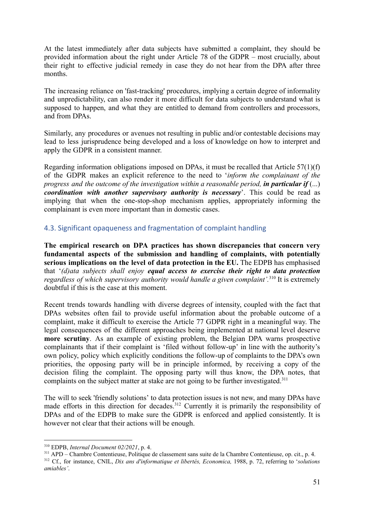At the latest immediately after data subjects have submitted a complaint, they should be provided information about the right under Article 78 of the GDPR – most crucially, about their right to effective judicial remedy in case they do not hear from the DPA after three months.

The increasing reliance on 'fast-tracking' procedures, implying a certain degree of informality and unpredictability, can also render it more difficult for data subjects to understand what is supposed to happen, and what they are entitled to demand from controllers and processors, and from DPAs.

Similarly, any procedures or avenues not resulting in public and/or contestable decisions may lead to less jurisprudence being developed and a loss of knowledge on how to interpret and apply the GDPR in a consistent manner.

Regarding information obligations imposed on DPAs, it must be recalled that Article 57(1)(f) of the GDPR makes an explicit reference to the need to '*inform the complainant of the progress and the outcome of the investigation within a reasonable period, in particular if* (...) *coordination with another supervisory authority is necessary*'. This could be read as implying that when the one-stop-shop mechanism applies, appropriately informing the complainant is even more important than in domestic cases.

#### <span id="page-50-0"></span>4.3. Significant opaqueness and fragmentation of complaint handling

**The empirical research on DPA practices has shown discrepancies that concern very fundamental aspects of the submission and handling of complaints, with potentially serious implications on the level of data protection in the EU.** The EDPB has emphasised that '*(d)ata subjects shall enjoy equal access to exercise their right to data protection regardless of which supervisory authority would handle a given complaint'.*<sup>310</sup> It is extremely doubtful if this is the case at this moment.

Recent trends towards handling with diverse degrees of intensity, coupled with the fact that DPAs websites often fail to provide useful information about the probable outcome of a complaint, make it difficult to exercise the Article 77 GDPR right in a meaningful way. The legal consequences of the different approaches being implemented at national level deserve **more scrutiny**. As an example of existing problem, the Belgian DPA warns prospective complainants that if their complaint is 'filed without follow-up' in line with the authority's own policy, policy which explicitly conditions the follow-up of complaints to the DPA's own priorities, the opposing party will be in principle informed, by receiving a copy of the decision filing the complaint. The opposing party will thus know, the DPA notes, that complaints on the subject matter at stake are not going to be further investigated.<sup>311</sup>

The will to seek 'friendly solutions' to data protection issues is not new, and many DPAs have made efforts in this direction for decades.<sup>312</sup> Currently it is primarily the responsibility of DPAs and of the EDPB to make sure the GDPR is enforced and applied consistently. It is however not clear that their actions will be enough.

<sup>310</sup> EDPB, *Internal Document 02/2021*, p. 4.

<sup>312</sup> Cf., for instance, CNIL, *Dix ans d'informatique et libertés, Economica,* 1988, p. 72, referring to '*solutions amiables'*. <sup>311</sup> APD – Chambre Contentieuse, Politique de classement sans suite de la Chambre Contentieuse, op. cit., p. 4.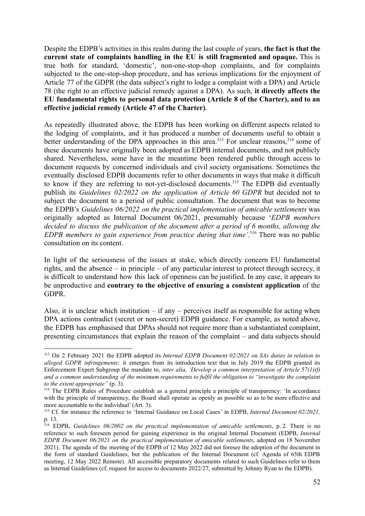Despite the EDPB's activities in this realm during the last couple of years, **the fact is that the current state of complaints handling in the EU is still fragmented and opaque.** This is true both for standard, 'domestic', non-one-stop-shop complaints, and for complaints subjected to the one-stop-shop procedure, and has serious implications for the enjoyment of Article 77 of the GDPR (the data subject's right to lodge a complaint with a DPA) and Article 78 (the right to an effective judicial remedy against a DPA). As such, **it directly affects the EU fundamental rights to personal data protection (Article 8 of the Charter), and to an effective judicial remedy (Article 47 of the Charter)**.

As repeatedly illustrated above, the EDPB has been working on different aspects related to the lodging of complaints, and it has produced a number of documents useful to obtain a better understanding of the DPA approaches in this area.<sup>313</sup> For unclear reasons,<sup>314</sup> some of these documents have originally been adopted as EDPB internal documents, and not publicly shared. Nevertheless, some have in the meantime been rendered public through access to document requests by concerned individuals and civil society organisations. Sometimes the eventually disclosed EDPB documents refer to other documents in ways that make it difficult to know if they are referring to not-yet-disclosed documents.<sup>315</sup> The EDPB did eventually publish its *Guidelines 02/2022 on the application of Article 60 GDPR* but decided not to subject the document to a period of public consultation. The document that was to become the EDPB's *Guidelines 06/2022 on the practical implementation of amicable settlements* was originally adopted as Internal Document 06/2021, presumably because '*EDPB members decided to discuss the publication of the document after a period of 6 months, allowing the EDPB members to gain experience from practice during that time'*. <sup>316</sup> There was no public consultation on its content.

In light of the seriousness of the issues at stake, which directly concern EU fundamental rights, and the absence – in principle – of any particular interest to protect through secrecy, it is difficult to understand how this lack of openness can be justified. In any case, it appears to be unproductive and **contrary to the objective of ensuring a consistent application** of the GDPR.

Also, it is unclear which institution – if any – perceives itself as responsible for acting when DPA actions contradict (secret or non-secret) EDPB guidance. For example, as noted above, the EDPB has emphasised that DPAs should not require more than a substantiated complaint, presenting circumstances that explain the reason of the complaint – and data subjects should

<sup>313</sup> On 2 February 2021 the EDPB adopted its *Internal EDPB Document 02/2021 on SAs duties in relation to alleged GDPR infringements;* it emerges from its introduction text that in July 2019 the EDPB granted its Enforcement Expert Subgroup the mandate to, *inter alia, 'Develop a common interpretation of Article 57(1)(f) and a common understanding of the minimum requirements to fulfil the obligation to "investigate the complaint to the extent appropriate"* (p. 3).

<sup>&</sup>lt;sup>314</sup> The EDPB Rules of Procedure establish as a general principle a principle of transparency: 'In accordance with the principle of transparency, the Board shall operate as openly as possible so as to be more effective and more accountable to the individual' (Art. 3).

<sup>315</sup> Cf. for instance the reference to 'Internal Guidance on Local Cases' in EDPB, *Internal Document 02/2021,* p. 13.

<sup>316</sup> EDPB, *Guidelines 06/2002 on the practical implementation of amicable settlements*, p. 2. There is no reference to such foreseen period for gaining experience in the original Internal Document (EDPB, *Internal EDPB Document 06/2021 on the practical implementation of amicable settlements*, adopted on 18 November 2021). The agenda of the meeting of the EDPB of 12 May 2022 did not foresee the adoption of the document in the form of standard Guidelines, but the publication of the Internal Document (cf. Agenda of 65th EDPB meeting, 12 May 2022 Remote). All accessible preparatory documents related to such Guidelines refer to them as Internal Guidelines (cf. request for access to documents 2022/27, submitted by Johnny Ryan to the EDPB).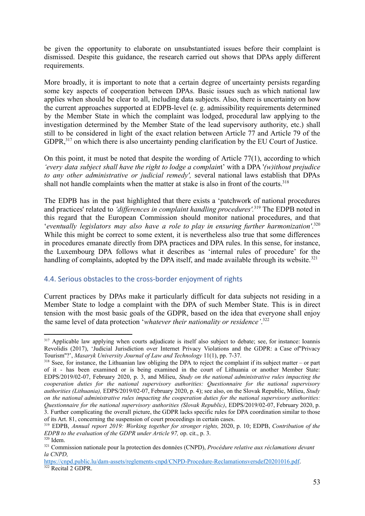be given the opportunity to elaborate on unsubstantiated issues before their complaint is dismissed. Despite this guidance, the research carried out shows that DPAs apply different requirements.

More broadly, it is important to note that a certain degree of uncertainty persists regarding some key aspects of cooperation between DPAs. Basic issues such as which national law applies when should be clear to all, including data subjects. Also, there is uncertainty on how the current approaches supported at EDPB-level (e. g. admissibility requirements determined by the Member State in which the complaint was lodged, procedural law applying to the investigation determined by the Member State of the lead supervisory authority, etc.) shall still to be considered in light of the exact relation between Article 77 and Article 79 of the GDPR,<sup>317</sup> on which there is also uncertainty pending clarification by the EU Court of Justice.

On this point, it must be noted that despite the wording of Article 77(1), according to which *'every data subject shall have the right to lodge a complain*t' with a DPA '*(w)ithout prejudice to any other administrative or judicial remedy',* several national laws establish that DPAs shall not handle complaints when the matter at stake is also in front of the courts.<sup>318</sup>

The EDPB has in the past highlighted that there exists a 'patchwork of national procedures and practices' related to *'differences in complaint handling procedures'.*<sup>319</sup> The EDPB noted in this regard that the European Commission should monitor national procedures, and that '*eventually legislators may also have a role to play in ensuring further harmonization'*. 320 While this might be correct to some extent, it is nevertheless also true that some differences in procedures emanate directly from DPA practices and DPA rules. In this sense, for instance, the Luxembourg DPA follows what it describes as 'internal rules of procedure' for the handling of complaints, adopted by the DPA itself, and made available through its website.<sup>321</sup>

#### <span id="page-52-0"></span>4.4. Serious obstacles to the cross-border enjoyment of rights

Current practices by DPAs make it particularly difficult for data subjects not residing in a Member State to lodge a complaint with the DPA of such Member State. This is in direct tension with the most basic goals of the GDPR, based on the idea that everyone shall enjoy the same level of data protection '*whatever their nationality or residence'*. 322

<sup>&</sup>lt;sup>317</sup> Applicable law applying when courts adjudicate is itself also subject to debate; see, for instance: Ioannis Revolidis (2017), 'Judicial Jurisdiction over Internet Privacy Violations and the GDPR: a Case of''Privacy Tourism''?', *Masaryk University Journal of Law and Technology* 11(1), pp. 7-37.

<sup>&</sup>lt;sup>318</sup> Ssee, for instance, the Lithuanian law obliging the DPA to reject the complaint if its subject matter – or part of it - has been examined or is being examined in the court of Lithuania or another Member State: EDPS/2019/02-07, February 2020, p. 3, and Milieu, *Study on the national administrative rules impacting the cooperation duties for the national supervisory authorities: Questionnaire for the national supervisory authorities (Lithuania),* EDPS/2019/02-07, February 2020, p. 4); see also, on the Slovak Republic, Milieu, *Study on the national administrative rules impacting the cooperation duties for the national supervisory authorities: Questionnaire for the national supervisory authorities (Slovak Republic)*, EDPS/2019/02-07, February 2020, p. 3. Further complicating the overall picture, the GDPR lacks specific rules for DPA coordination similar to those of its Art. 81, concerning the suspension of court proceedings in certain cases.

<sup>319</sup> EDPB, *Annual report 2019: Working together for stronger rights,* 2020, p. 10; EDPB, *Contribution of the EDPB to the evaluation of the GDPR under Article 97,* op. cit., p. 3.

<sup>320</sup> Idem.

<sup>321</sup> Commission nationale pour la protection des données (CNPD), *Procédure relative aux réclamations devant la CNPD,*

<sup>&</sup>lt;sup>322</sup> Recital 2 GDPR. <https://cnpd.public.lu/dam-assets/reglements-cnpd/CNPD-Procedure-Reclamationsversdef20201016.pdf>.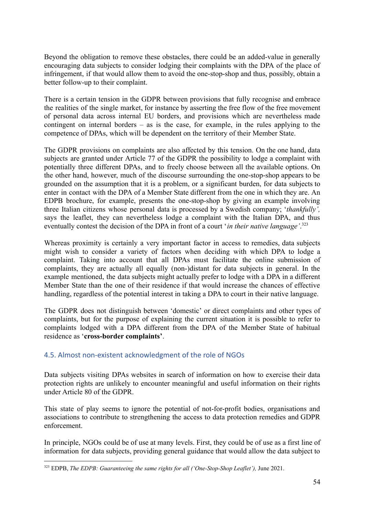Beyond the obligation to remove these obstacles, there could be an added-value in generally encouraging data subjects to consider lodging their complaints with the DPA of the place of infringement, if that would allow them to avoid the one-stop-shop and thus, possibly, obtain a better follow-up to their complaint.

There is a certain tension in the GDPR between provisions that fully recognise and embrace the realities of the single market, for instance by asserting the free flow of the free movement of personal data across internal EU borders, and provisions which are nevertheless made contingent on internal borders – as is the case, for example, in the rules applying to the competence of DPAs, which will be dependent on the territory of their Member State.

The GDPR provisions on complaints are also affected by this tension. On the one hand, data subjects are granted under Article 77 of the GDPR the possibility to lodge a complaint with potentially three different DPAs, and to freely choose between all the available options. On the other hand, however, much of the discourse surrounding the one-stop-shop appears to be grounded on the assumption that it is a problem, or a significant burden, for data subjects to enter in contact with the DPA of a Member State different from the one in which they are. An EDPB brochure, for example, presents the one-stop-shop by giving an example involving three Italian citizens whose personal data is processed by a Swedish company; '*thankfully',* says the leaflet, they can nevertheless lodge a complaint with the Italian DPA, and thus eventually contest the decision of the DPA in front of a court '*in their native language'*. 323

Whereas proximity is certainly a very important factor in access to remedies, data subjects might wish to consider a variety of factors when deciding with which DPA to lodge a complaint. Taking into account that all DPAs must facilitate the online submission of complaints, they are actually all equally (non-)distant for data subjects in general. In the example mentioned, the data subjects might actually prefer to lodge with a DPA in a different Member State than the one of their residence if that would increase the chances of effective handling, regardless of the potential interest in taking a DPA to court in their native language.

The GDPR does not distinguish between 'domestic' or direct complaints and other types of complaints, but for the purpose of explaining the current situation it is possible to refer to complaints lodged with a DPA different from the DPA of the Member State of habitual residence as '**cross-border complaints'**.

#### <span id="page-53-0"></span>4.5. Almost non-existent acknowledgment of the role of NGOs

Data subjects visiting DPAs websites in search of information on how to exercise their data protection rights are unlikely to encounter meaningful and useful information on their rights under Article 80 of the GDPR.

This state of play seems to ignore the potential of not-for-profit bodies, organisations and associations to contribute to strengthening the access to data protection remedies and GDPR enforcement.

In principle, NGOs could be of use at many levels. First, they could be of use as a first line of information for data subjects, providing general guidance that would allow the data subject to

<sup>323</sup> EDPB, *The EDPB: Guaranteeing the same rights for all ('One-Stop-Shop Leaflet'),* June 2021.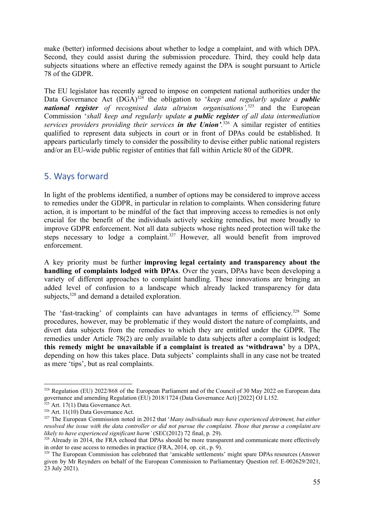make (better) informed decisions about whether to lodge a complaint, and with which DPA. Second, they could assist during the submission procedure. Third, they could help data subjects situations where an effective remedy against the DPA is sought pursuant to Article 78 of the GDPR.

The EU legislator has recently agreed to impose on competent national authorities under the Data Governance Act (DGA)<sup>324</sup> the obligation to '*keep and regularly update a public national register of recognised data altruism organisations',*<sup>325</sup> and the European Commission '*shall keep and regularly update a public register of all data intermediation services providers providing their services in the Union'.* <sup>326</sup> A similar register of entities qualified to represent data subjects in court or in front of DPAs could be established. It appears particularly timely to consider the possibility to devise either public national registers and/or an EU-wide public register of entities that fall within Article 80 of the GDPR.

# <span id="page-54-0"></span>5. Ways forward

In light of the problems identified, a number of options may be considered to improve access to remedies under the GDPR, in particular in relation to complaints. When considering future action, it is important to be mindful of the fact that improving access to remedies is not only crucial for the benefit of the individuals actively seeking remedies, but more broadly to improve GDPR enforcement. Not all data subjects whose rights need protection will take the steps necessary to lodge a complaint.<sup>327</sup> However, all would benefit from improved enforcement.

A key priority must be further **improving legal certainty and transparency about the handling of complaints lodged with DPAs**. Over the years, DPAs have been developing a variety of different approaches to complaint handling. These innovations are bringing an added level of confusion to a landscape which already lacked transparency for data subjects,<sup>328</sup> and demand a detailed exploration.

The 'fast-tracking' of complaints can have advantages in terms of efficiency.<sup>329</sup> Some procedures, however, may be problematic if they would distort the nature of complaints, and divert data subjects from the remedies to which they are entitled under the GDPR. The remedies under Article 78(2) are only available to data subjects after a complaint is lodged; **this remedy might be unavailable if a complaint is treated as 'withdrawn'** by a DPA, depending on how this takes place. Data subjects' complaints shall in any case not be treated as mere 'tips', but as real complaints.

<sup>&</sup>lt;sup>324</sup> Regulation (EU) 2022/868 of the European Parliament and of the Council of 30 May 2022 on European data governance and amending Regulation (EU) 2018/1724 (Data Governance Act) [2022] OJ L152.

 $325$  Art. 17(1) Data Governance Act.

 $326$  Art. 11(10) Data Governance Act.

<sup>327</sup> The European Commission noted in 2012 that '*Many individuals may have experienced detriment, but either* resolved the issue with the data controller or did not pursue the complaint. Those that pursue a complaint are *likely to have experienced significant harm'* (SEC(2012) 72 final, p. 29).

<sup>&</sup>lt;sup>328</sup> Already in 2014, the FRA echoed that DPAs should be more transparent and communicate more effectively in order to ease access to remedies in practice (FRA, 2014, op. cit., p. 9).

<sup>&</sup>lt;sup>329</sup> The European Commission has celebrated that 'amicable settlements' might spare DPAs resources (Answer given by Mr Reynders on behalf of the European Commission to Parliamentary Question ref. E-002629/2021, 23 July 2021).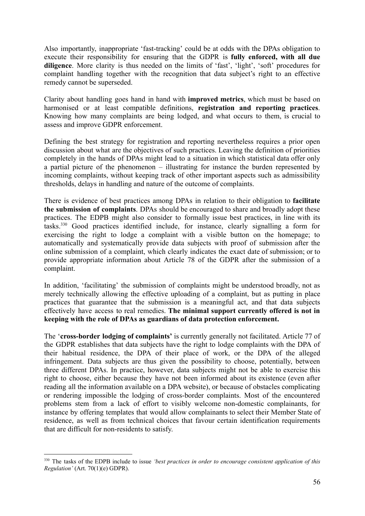Also importantly, inappropriate 'fast-tracking' could be at odds with the DPAs obligation to execute their responsibility for ensuring that the GDPR is **fully enforced, with all due diligence**. More clarity is thus needed on the limits of 'fast', 'light', 'soft' procedures for complaint handling together with the recognition that data subject's right to an effective remedy cannot be superseded.

Clarity about handling goes hand in hand with **improved metrics**, which must be based on harmonised or at least compatible definitions, **registration and reporting practices**. Knowing how many complaints are being lodged, and what occurs to them, is crucial to assess and improve GDPR enforcement.

Defining the best strategy for registration and reporting nevertheless requires a prior open discussion about what are the objectives of such practices. Leaving the definition of priorities completely in the hands of DPAs might lead to a situation in which statistical data offer only a partial picture of the phenomenon – illustrating for instance the burden represented by incoming complaints, without keeping track of other important aspects such as admissibility thresholds, delays in handling and nature of the outcome of complaints.

There is evidence of best practices among DPAs in relation to their obligation to **facilitate the submission of complaints**. DPAs should be encouraged to share and broadly adopt these practices. The EDPB might also consider to formally issue best practices, in line with its tasks.<sup>330</sup> Good practices identified include, for instance, clearly signalling a form for exercising the right to lodge a complaint with a visible button on the homepage; to automatically and systematically provide data subjects with proof of submission after the online submission of a complaint, which clearly indicates the exact date of submission; or to provide appropriate information about Article 78 of the GDPR after the submission of a complaint.

In addition, 'facilitating' the submission of complaints might be understood broadly, not as merely technically allowing the effective uploading of a complaint, but as putting in place practices that guarantee that the submission is a meaningful act, and that data subjects effectively have access to real remedies. **The minimal support currently offered is not in keeping with the role of DPAs as guardians of data protection enforcement.**

The '**cross-border lodging of complaints'** is currently generally not facilitated. Article 77 of the GDPR establishes that data subjects have the right to lodge complaints with the DPA of their habitual residence, the DPA of their place of work, or the DPA of the alleged infringement. Data subjects are thus given the possibility to choose, potentially, between three different DPAs. In practice, however, data subjects might not be able to exercise this right to choose, either because they have not been informed about its existence (even after reading all the information available on a DPA website), or because of obstacles complicating or rendering impossible the lodging of cross-border complaints. Most of the encountered problems stem from a lack of effort to visibly welcome non-domestic complainants, for instance by offering templates that would allow complainants to select their Member State of residence, as well as from technical choices that favour certain identification requirements that are difficult for non-residents to satisfy.

<sup>330</sup> The tasks of the EDPB include to issue *'best practices in order to encourage consistent application of this Regulation'* (Art. 70(1)(e) GDPR).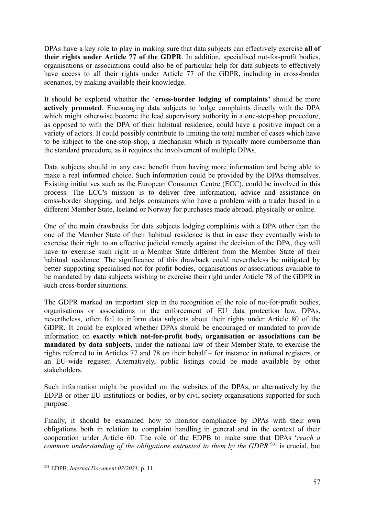DPAs have a key role to play in making sure that data subjects can effectively exercise **all of their rights under Article 77 of the GDPR**. In addition, specialised not-for-profit bodies, organisations or associations could also be of particular help for data subjects to effectively have access to all their rights under Article 77 of the GDPR, including in cross-border scenarios, by making available their knowledge.

It should be explored whether the '**cross-border lodging of complaints'** should be more **actively promoted**. Encouraging data subjects to lodge complaints directly with the DPA which might otherwise become the lead supervisory authority in a one-stop-shop procedure, as opposed to with the DPA of their habitual residence, could have a positive impact on a variety of actors. It could possibly contribute to limiting the total number of cases which have to be subject to the one-stop-shop, a mechanism which is typically more cumbersome than the standard procedure, as it requires the involvement of multiple DPAs.

Data subjects should in any case benefit from having more information and being able to make a real informed choice. Such information could be provided by the DPAs themselves. Existing initiatives such as the European Consumer Centre (ECC), could be involved in this process. The ECC's mission is to deliver free information, advice and assistance on cross-border shopping, and helps consumers who have a problem with a trader based in a different Member State, Iceland or Norway for purchases made abroad, physically or online.

One of the main drawbacks for data subjects lodging complaints with a DPA other than the one of the Member State of their habitual residence is that in case they eventually wish to exercise their right to an effective judicial remedy against the decision of the DPA, they will have to exercise such right in a Member State different from the Member State of their habitual residence. The significance of this drawback could nevertheless be mitigated by better supporting specialised not-for-profit bodies, organisations or associations available to be mandated by data subjects wishing to exercise their right under Article 78 of the GDPR in such cross-border situations.

The GDPR marked an important step in the recognition of the role of not-for-profit bodies, organisations or associations in the enforcement of EU data protection law. DPAs, nevertheless, often fail to inform data subjects about their rights under Article 80 of the GDPR. It could be explored whether DPAs should be encouraged or mandated to provide information on **exactly which not-for-profit body, organisation or associations can be mandated by data subjects**, under the national law of their Member State, to exercise the rights referred to in Articles 77 and 78 on their behalf – for instance in national registers, or an EU-wide register. Alternatively, public listings could be made available by other stakeholders.

Such information might be provided on the websites of the DPAs, or alternatively by the EDPB or other EU institutions or bodies, or by civil society organisations supported for such purpose.

Finally, it should be examined how to monitor compliance by DPAs with their own obligations both in relation to complaint handling in general and in the context of their cooperation under Article 60. The role of the EDPB to make sure that DPAs '*reach a common understanding of the obligations entrusted to them by the GDPR'*<sup>331</sup> is crucial, but

<sup>331</sup> EDPB, *Internal Document 02/2021*, p. 11.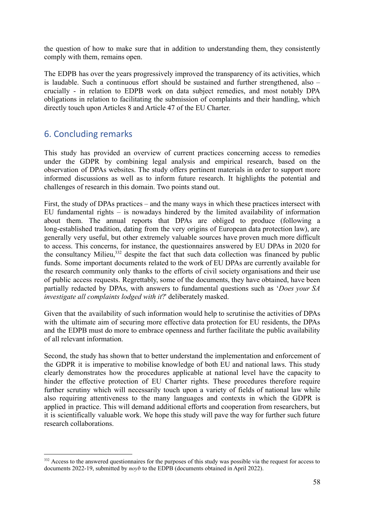the question of how to make sure that in addition to understanding them, they consistently comply with them, remains open.

The EDPB has over the years progressively improved the transparency of its activities, which is laudable. Such a continuous effort should be sustained and further strengthened, also – crucially - in relation to EDPB work on data subject remedies, and most notably DPA obligations in relation to facilitating the submission of complaints and their handling, which directly touch upon Articles 8 and Article 47 of the EU Charter.

# <span id="page-57-0"></span>6. Concluding remarks

This study has provided an overview of current practices concerning access to remedies under the GDPR by combining legal analysis and empirical research, based on the observation of DPAs websites. The study offers pertinent materials in order to support more informed discussions as well as to inform future research. It highlights the potential and challenges of research in this domain. Two points stand out.

First, the study of DPAs practices – and the many ways in which these practices intersect with EU fundamental rights – is nowadays hindered by the limited availability of information about them. The annual reports that DPAs are obliged to produce (following a long-established tradition, dating from the very origins of European data protection law), are generally very useful, but other extremely valuable sources have proven much more difficult to access. This concerns, for instance, the questionnaires answered by EU DPAs in 2020 for the consultancy Milieu, $332$  despite the fact that such data collection was financed by public funds. Some important documents related to the work of EU DPAs are currently available for the research community only thanks to the efforts of civil society organisations and their use of public access requests. Regrettably, some of the documents, they have obtained, have been partially redacted by DPAs, with answers to fundamental questions such as '*Does your SA investigate all complaints lodged with it*?' deliberately masked.

Given that the availability of such information would help to scrutinise the activities of DPAs with the ultimate aim of securing more effective data protection for EU residents, the DPAs and the EDPB must do more to embrace openness and further facilitate the public availability of all relevant information.

Second, the study has shown that to better understand the implementation and enforcement of the GDPR it is imperative to mobilise knowledge of both EU and national laws. This study clearly demonstrates how the procedures applicable at national level have the capacity to hinder the effective protection of EU Charter rights. These procedures therefore require further scrutiny which will necessarily touch upon a variety of fields of national law while also requiring attentiveness to the many languages and contexts in which the GDPR is applied in practice. This will demand additional efforts and cooperation from researchers, but it is scientifically valuable work. We hope this study will pave the way for further such future research collaborations.

<sup>&</sup>lt;sup>332</sup> Access to the answered questionnaires for the purposes of this study was possible via the request for access to documents 2022-19, submitted by *noyb* to the EDPB (documents obtained in April 2022).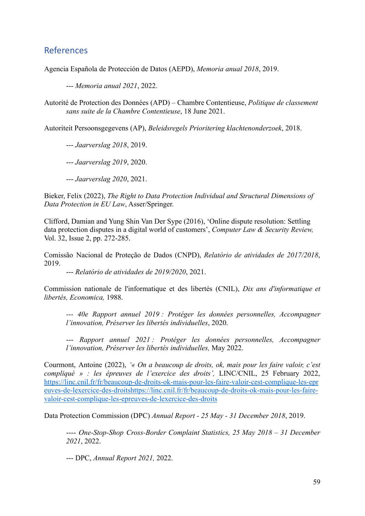## <span id="page-58-0"></span>References

Agencia Española de Protección de Datos (AEPD), *Memoria anual 2018*, 2019.

--- *Memoria anual 2021*, 2022.

Autorité de Protection des Données (APD) – Chambre Contentieuse, *Politique de classement sans suite de la Chambre Contentieuse*, 18 June 2021.

Autoriteit Persoonsgegevens (AP), *Beleidsregels Prioritering klachtenonderzoek*, 2018.

--- *Jaarverslag 2018*, 2019.

--- *Jaarverslag 2019*, 2020.

--- *Jaarverslag 2020*, 2021.

Bieker, Felix (2022), *The Right to Data Protection Individual and Structural Dimensions of Data Protection in EU Law*, Asser/Springer.

Clifford, Damian and Yung Shin Van Der Sype (2016), 'Online dispute resolution: Settling data protection disputes in a digital world of customers', *Computer Law & Security Review,* Vol. 32, Issue 2, pp. 272-285.

Comissão Nacional de Proteção de Dados (CNPD), *Relatório de atividades de 2017/2018*, 2019.

--- *Relatório de atividades de 2019/2020*, 2021.

Commission nationale de l'informatique et des libertés (CNIL), *Dix ans d'informatique et libertés, Economica,* 1988.

*--- 40e Rapport annuel 2019 : Protéger les données personnelles, Accompagner l'innovation, Préserver les libertés individuelles*, 2020.

--- *Rapport annuel 2021 : Protéger les données personnelles, Accompagner l'innovation, Préserver les libertés individuelles,* May 2022.

Courmont, Antoine (2022), *'« On a beaucoup de droits, ok, mais pour les faire valoir, c'est compliqué » : les épreuves de l'exercice des droits',* LINC/CNIL, 25 February 2022, [https://linc.cnil.fr/fr/beaucoup-de-droits-ok-mais-pour-les-faire-valoir-cest-complique-les-epr](https://linc.cnil.fr/fr/beaucoup-de-droits-ok-mais-pour-les-faire-valoir-cest-complique-les-epreuves-de-lexercice-des-droits) [euves-de-lexercice-des-droitshttps://linc.cnil.fr/fr/beaucoup-de-droits-ok-mais-pour-les-faire](https://linc.cnil.fr/fr/beaucoup-de-droits-ok-mais-pour-les-faire-valoir-cest-complique-les-epreuves-de-lexercice-des-droits)[valoir-cest-complique-les-epreuves-de-lexercice-des-droits](https://linc.cnil.fr/fr/beaucoup-de-droits-ok-mais-pour-les-faire-valoir-cest-complique-les-epreuves-de-lexercice-des-droits)

Data Protection Commission (DPC) *Annual Report - 25 May - 31 December 2018*, 2019.

---- *One-Stop-Shop Cross-Border Complaint Statistics, 25 May 2018 – 31 December 2021*, 2022.

--- DPC, *Annual Report 2021,* 2022.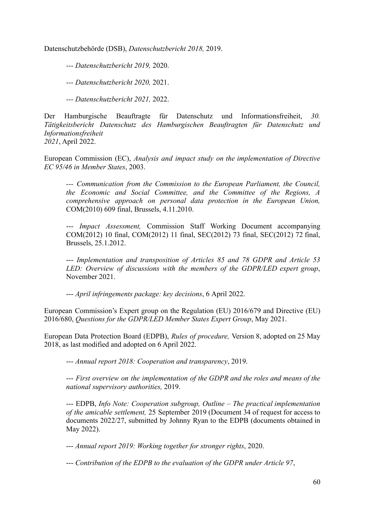Datenschutzbehörde (DSB), *Datenschutzbericht 2018,* 2019.

*--- Datenschutzbericht 2019,* 2020.

*--- Datenschutzbericht 2020,* 2021.

*--- Datenschutzbericht 2021,* 2022.

Der Hamburgische Beauftragte für Datenschutz und Informationsfreiheit, *30. Tätigkeitsbericht Datenschutz des Hamburgischen Beauftragten für Datenschutz und Informationsfreiheit 2021*, April 2022.

European Commission (EC), *Analysis and impact study on the implementation of Directive EC 95/46 in Member States*, 2003.

*--- Communication from the Commission to the European Parliament, the Council, the Economic and Social Committee, and the Committee of the Regions, A comprehensive approach on personal data protection in the European Union,* COM(2010) 609 final, Brussels, 4.11.2010.

--- *Impact Assessment,* Commission Staff Working Document accompanying COM(2012) 10 final, COM(2012) 11 final, SEC(2012) 73 final, SEC(2012) 72 final, Brussels, 25.1.2012.

--- *Implementation and transposition of Articles 85 and 78 GDPR and Article 53 LED: Overview of discussions with the members of the GDPR/LED expert group*, November 2021.

--- *April infringements package: key decisions*, 6 April 2022.

European Commission's Expert group on the Regulation (EU) 2016/679 and Directive (EU) 2016/680, *Questions for the GDPR/LED Member States Expert Group*, May 2021.

European Data Protection Board (EDPB), *Rules of procedure,* Version 8, adopted on 25 May 2018, as last modified and adopted on 6 April 2022.

--- *Annual report 2018: Cooperation and transparency*, 2019.

--- *First overview on the implementation of the GDPR and the roles and means of the national supervisory authorities,* 2019.

--- EDPB, *Info Note: Cooperation subgroup, Outline – The practical implementation of the amicable settlement,* 25 September 2019 (Document 34 of request for access to documents 2022/27, submitted by Johnny Ryan to the EDPB (documents obtained in May 2022).

--- *Annual report 2019: Working together for stronger rights*, 2020.

--- *Contribution of the EDPB to the evaluation of the GDPR under Article 97*,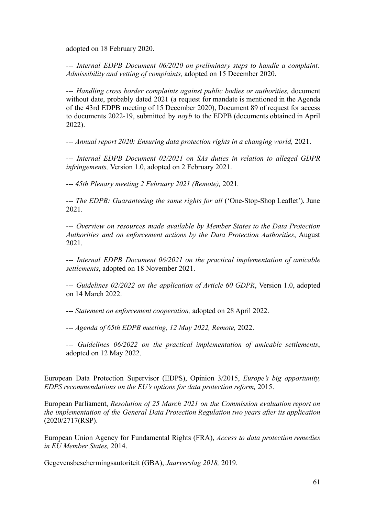adopted on 18 February 2020.

--- *Internal EDPB Document 06/2020 on preliminary steps to handle a complaint: Admissibility and vetting of complaints,* adopted on 15 December 2020.

--- *Handling cross border complaints against public bodies or authorities,* document without date, probably dated 2021 (a request for mandate is mentioned in the Agenda of the 43rd EDPB meeting of 15 December 2020), Document 89 of request for access to documents 2022-19, submitted by *noyb* to the EDPB (documents obtained in April 2022).

--- *Annual report 2020: Ensuring data protection rights in a changing world,* 2021.

--- *Internal EDPB Document 02/2021 on SAs duties in relation to alleged GDPR infringements,* Version 1.0, adopted on 2 February 2021.

--- *45th Plenary meeting 2 February 2021 (Remote),* 2021*.*

--- *The EDPB: Guaranteeing the same rights for all* ('One-Stop-Shop Leaflet'), June 2021.

--- *Overview on resources made available by Member States to the Data Protection Authorities and on enforcement actions by the Data Protection Authorities*, August 2021.

--- *Internal EDPB Document 06/2021 on the practical implementation of amicable settlements*, adopted on 18 November 2021.

--- *Guidelines 02/2022 on the application of Article 60 GDPR*, Version 1.0, adopted on 14 March 2022.

--- *Statement on enforcement cooperation,* adopted on 28 April 2022.

--- *Agenda of 65th EDPB meeting, 12 May 2022, Remote,* 2022.

--- *Guidelines 06/2022 on the practical implementation of amicable settlements*, adopted on 12 May 2022.

European Data Protection Supervisor (EDPS), Opinion 3/2015, *Europe's big opportunity, EDPS recommendations on the EU's options for data protection reform,* 2015.

European Parliament, *Resolution of 25 March 2021 on the Commission evaluation report on the implementation of the General Data Protection Regulation two years after its application* (2020/2717(RSP).

European Union Agency for Fundamental Rights (FRA), *Access to data protection remedies in EU Member States,* 2014.

Gegevensbeschermingsautoriteit (GBA), *Jaarverslag 2018,* 2019.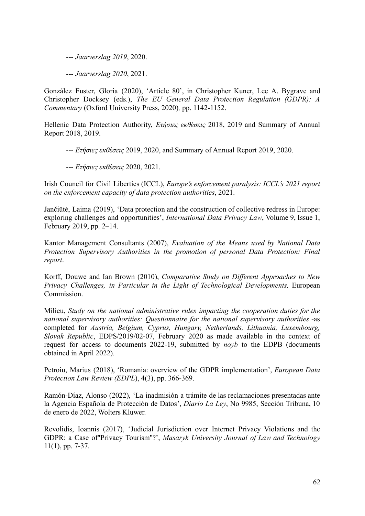--- *Jaarverslag 2019*, 2020.

--- *Jaarverslag 2020*, 2021.

González Fuster, Gloria (2020), 'Article 80', in Christopher Kuner, Lee A. Bygrave and Christopher Docksey (eds.), *The EU General Data Protection Regulation (GDPR): A Commentary* (Oxford University Press, 2020)*,* pp. 1142-1152.

Hellenic Data Protection Authority, *Ετήσιες εκθέσεις* 2018, 2019 and Summary of Annual Report 2018, 2019.

--- *Ετήσιες εκθέσεις* 2019, 2020, and Summary of Annual Report 2019, 2020.

--- *Ετήσιες εκθέσεις* 2020, 2021.

Irish Council for Civil Liberties (ICCL), *Europe's enforcement paralysis: ICCL's 2021 report on the enforcement capacity of data protection authorities*, 2021.

Jančiūtė, Laima (2019), 'Data protection and the construction of collective redress in Europe: exploring challenges and opportunities', *International Data Privacy Law*, Volume 9, Issue 1, February 2019, pp. 2–14.

Kantor Management Consultants (2007), *Evaluation of the Means used by National Data Protection Supervisory Authorities in the promotion of personal Data Protection: Final report*.

Korff, Douwe and Ian Brown (2010), *Comparative Study on Different Approaches to New Privacy Challenges, in Particular in the Light of Technological Developments,* European Commission.

Milieu, *Study on the national administrative rules impacting the cooperation duties for the national supervisory authorities: Questionnaire for the national supervisory authorities -*as completed for *Austria, Belgium, Cyprus, Hungary, Netherlands, Lithuania, Luxembourg, Slovak Republic*, EDPS/2019/02-07, February 2020 as made available in the context of request for access to documents 2022-19, submitted by *noyb* to the EDPB (documents obtained in April 2022).

Petroiu, Marius (2018), 'Romania: overview of the GDPR implementation', *European Data Protection Law Review (EDPL*), 4(3), pp. 366-369.

Ramón-Díaz, Alonso (2022), 'La inadmisión a trámite de las reclamaciones presentadas ante la Agencia Española de Protección de Datos', *Diario La Ley*, No 9985, Sección Tribuna, 10 de enero de 2022, Wolters Kluwer.

Revolidis, Ioannis (2017), 'Judicial Jurisdiction over Internet Privacy Violations and the GDPR: a Case of''Privacy Tourism''?', *Masaryk University Journal of Law and Technology* 11(1), pp. 7-37.